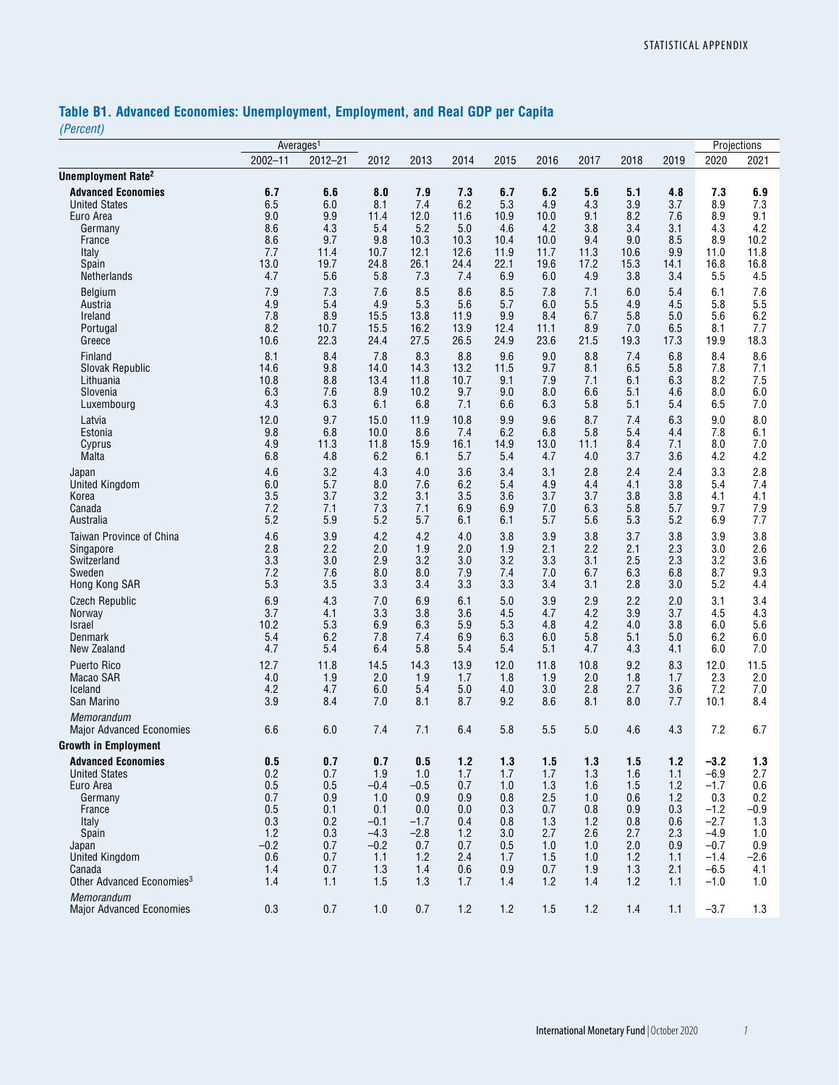# **Table B1. Advanced Economies: Unemployment, Employment, and Real GDP per Capita**

*(Percent)*

| $\mu$ <i>urovni</i>                                                                                                                                                                                      | Averages <sup>1</sup>                                                        |                                                                           | Projections                                                                           |                                                                                    |                                                                           |                                                                           |                                                                           |                                                                           |                                                                           |                                                                           |                                                                                                         |                                                                                 |
|----------------------------------------------------------------------------------------------------------------------------------------------------------------------------------------------------------|------------------------------------------------------------------------------|---------------------------------------------------------------------------|---------------------------------------------------------------------------------------|------------------------------------------------------------------------------------|---------------------------------------------------------------------------|---------------------------------------------------------------------------|---------------------------------------------------------------------------|---------------------------------------------------------------------------|---------------------------------------------------------------------------|---------------------------------------------------------------------------|---------------------------------------------------------------------------------------------------------|---------------------------------------------------------------------------------|
|                                                                                                                                                                                                          | $2002 - 11$                                                                  | $2012 - 21$                                                               | 2012                                                                                  | 2013                                                                               | 2014                                                                      | 2015                                                                      | 2016                                                                      | 2017                                                                      | 2018                                                                      | 2019                                                                      | 2020                                                                                                    | 2021                                                                            |
| Unemployment Rate <sup>2</sup>                                                                                                                                                                           |                                                                              |                                                                           |                                                                                       |                                                                                    |                                                                           |                                                                           |                                                                           |                                                                           |                                                                           |                                                                           |                                                                                                         |                                                                                 |
| <b>Advanced Economies</b>                                                                                                                                                                                | 6.7                                                                          | 6.6                                                                       | 8.0                                                                                   | 7.9                                                                                | 7.3                                                                       | 6.7                                                                       | 6.2                                                                       | 5.6                                                                       | 5.1                                                                       | 4.8                                                                       | 7.3                                                                                                     | 6.9                                                                             |
| <b>United States</b>                                                                                                                                                                                     | 6.5                                                                          | 6.0                                                                       | 8.1                                                                                   | 7.4                                                                                | 6.2                                                                       | 5.3                                                                       | 4.9                                                                       | 4.3                                                                       | 3.9                                                                       | 3.7                                                                       | 8.9                                                                                                     | 7.3                                                                             |
| Euro Area                                                                                                                                                                                                | 9.0                                                                          | 9.9                                                                       | 11.4                                                                                  | 12.0                                                                               | 11.6                                                                      | 10.9                                                                      | 10.0                                                                      | 9.1                                                                       | 8.2                                                                       | 7.6                                                                       | 8.9                                                                                                     | 9.1                                                                             |
| Germany                                                                                                                                                                                                  | 8.6                                                                          | 4.3                                                                       | 5.4                                                                                   | 5.2                                                                                | 5.0                                                                       | 4.6                                                                       | 4.2                                                                       | 3.8                                                                       | 3.4                                                                       | 3.1                                                                       | 4.3                                                                                                     | 4.2                                                                             |
| France                                                                                                                                                                                                   | 8.6                                                                          | 9.7                                                                       | 9.8                                                                                   | 10.3                                                                               | 10.3                                                                      | 10.4                                                                      | 10.0                                                                      | 9.4                                                                       | 9.0                                                                       | 8.5                                                                       | 8.9                                                                                                     | 10.2                                                                            |
| Italy                                                                                                                                                                                                    | 7.7                                                                          | 11.4                                                                      | 10.7                                                                                  | 12.1                                                                               | 12.6                                                                      | 11.9                                                                      | 11.7                                                                      | 11.3                                                                      | 10.6                                                                      | 9.9                                                                       | 11.0                                                                                                    | 11.8                                                                            |
| Spain                                                                                                                                                                                                    | 13.0                                                                         | 19.7                                                                      | 24.8                                                                                  | 26.1                                                                               | 24.4                                                                      | 22.1                                                                      | 19.6                                                                      | 17.2                                                                      | 15.3                                                                      | 14.1                                                                      | 16.8                                                                                                    | 16.8                                                                            |
| Netherlands                                                                                                                                                                                              | 4.7                                                                          | 5.6                                                                       | 5.8                                                                                   | 7.3                                                                                | 7.4                                                                       | 6.9                                                                       | 6.0                                                                       | 4.9                                                                       | 3.8                                                                       | 3.4                                                                       | 5.5                                                                                                     | 4.5                                                                             |
| Belgium                                                                                                                                                                                                  | 7.9                                                                          | 7.3                                                                       | 7.6                                                                                   | 8.5                                                                                | 8.6                                                                       | 8.5                                                                       | 7.8                                                                       | 7.1                                                                       | 6.0                                                                       | 5.4                                                                       | 6.1                                                                                                     | 7.6                                                                             |
| Austria                                                                                                                                                                                                  | 4.9                                                                          | 5.4                                                                       | 4.9                                                                                   | 5.3                                                                                | 5.6                                                                       | 5.7                                                                       | 6.0                                                                       | 5.5                                                                       | 4.9                                                                       | 4.5                                                                       | 5.8                                                                                                     | 5.5                                                                             |
| Ireland                                                                                                                                                                                                  | 7.8                                                                          | 8.9                                                                       | 15.5                                                                                  | 13.8                                                                               | 11.9                                                                      | 9.9                                                                       | 8.4                                                                       | 6.7                                                                       | 5.8                                                                       | 5.0                                                                       | 5.6                                                                                                     | 6.2                                                                             |
| Portugal                                                                                                                                                                                                 | 8.2                                                                          | 10.7                                                                      | 15.5                                                                                  | 16.2                                                                               | 13.9                                                                      | 12.4                                                                      | 11.1                                                                      | 8.9                                                                       | 7.0                                                                       | 6.5                                                                       | 8.1                                                                                                     | 7.7                                                                             |
| Greece                                                                                                                                                                                                   | 10.6                                                                         | 22.3                                                                      | 24.4                                                                                  | 27.5                                                                               | 26.5                                                                      | 24.9                                                                      | 23.6                                                                      | 21.5                                                                      | 19.3                                                                      | 17.3                                                                      | 19.9                                                                                                    | 18.3                                                                            |
| Finland                                                                                                                                                                                                  | 8.1                                                                          | 8.4                                                                       | 7.8                                                                                   | 8.3                                                                                | 8.8                                                                       | 9.6                                                                       | 9.0                                                                       | 8.8                                                                       | 7.4                                                                       | 6.8                                                                       | 8.4                                                                                                     | 8.6                                                                             |
| Slovak Republic                                                                                                                                                                                          | 14.6                                                                         | 9.8                                                                       | 14.0                                                                                  | 14.3                                                                               | 13.2                                                                      | 11.5                                                                      | 9.7                                                                       | 8.1                                                                       | 6.5                                                                       | 5.8                                                                       | 7.8                                                                                                     | 7.1                                                                             |
| Lithuania                                                                                                                                                                                                | 10.8                                                                         | 8.8                                                                       | 13.4                                                                                  | 11.8                                                                               | 10.7                                                                      | 9.1                                                                       | 7.9                                                                       | 7.1                                                                       | 6.1                                                                       | 6.3                                                                       | 8.2                                                                                                     | 7.5                                                                             |
| Slovenia                                                                                                                                                                                                 | 6.3                                                                          | 7.6                                                                       | 8.9                                                                                   | 10.2                                                                               | 9.7                                                                       | 9.0                                                                       | 8.0                                                                       | 6.6                                                                       | 5.1                                                                       | 4.6                                                                       | 8.0                                                                                                     | 6.0                                                                             |
| Luxembourg                                                                                                                                                                                               | 4.3                                                                          | 6.3                                                                       | 6.1                                                                                   | 6.8                                                                                | 7.1                                                                       | 6.6                                                                       | 6.3                                                                       | 5.8                                                                       | 5.1                                                                       | 5.4                                                                       | 6.5                                                                                                     | 7.0                                                                             |
| Latvia                                                                                                                                                                                                   | 12.0                                                                         | 9.7                                                                       | 15.0                                                                                  | 11.9                                                                               | 10.8                                                                      | 9.9                                                                       | 9.6                                                                       | 8.7                                                                       | 7.4                                                                       | 6.3                                                                       | 9.0                                                                                                     | 8.0                                                                             |
| Estonia                                                                                                                                                                                                  | 9.8                                                                          | 6.8                                                                       | 10.0                                                                                  | 8.6                                                                                | 7.4                                                                       | 6.2                                                                       | 6.8                                                                       | 5.8                                                                       | 5.4                                                                       | 4.4                                                                       | 7.8                                                                                                     | 6.1                                                                             |
| Cyprus                                                                                                                                                                                                   | 4.9                                                                          | 11.3                                                                      | 11.8                                                                                  | 15.9                                                                               | 16.1                                                                      | 14.9                                                                      | 13.0                                                                      | 11.1                                                                      | 8.4                                                                       | 7.1                                                                       | 8.0                                                                                                     | 7.0                                                                             |
| Malta                                                                                                                                                                                                    | 6.8                                                                          | 4.8                                                                       | 6.2                                                                                   | 6.1                                                                                | 5.7                                                                       | 5.4                                                                       | 4.7                                                                       | 4.0                                                                       | 3.7                                                                       | 3.6                                                                       | 4.2                                                                                                     | 4.2                                                                             |
| Japan                                                                                                                                                                                                    | 4.6                                                                          | 3.2                                                                       | 4.3                                                                                   | 4.0                                                                                | 3.6                                                                       | 3.4                                                                       | 3.1                                                                       | 2.8                                                                       | 2.4                                                                       | 2.4                                                                       | 3.3                                                                                                     | 2.8                                                                             |
| <b>United Kingdom</b>                                                                                                                                                                                    | 6.0                                                                          | 5.7                                                                       | 8.0                                                                                   | 7.6                                                                                | 6.2                                                                       | 5.4                                                                       | 4.9                                                                       | 4.4                                                                       | 4.1                                                                       | 3.8                                                                       | 5.4                                                                                                     | 7.4                                                                             |
| Korea                                                                                                                                                                                                    | 3.5                                                                          | 3.7                                                                       | 3.2                                                                                   | 3.1                                                                                | 3.5                                                                       | 3.6                                                                       | 3.7                                                                       | 3.7                                                                       | 3.8                                                                       | 3.8                                                                       | 4.1                                                                                                     | 4.1                                                                             |
| Canada                                                                                                                                                                                                   | 7.2                                                                          | 7.1                                                                       | 7.3                                                                                   | 7.1                                                                                | 6.9                                                                       | 6.9                                                                       | 7.0                                                                       | 6.3                                                                       | 5.8                                                                       | 5.7                                                                       | 9.7                                                                                                     | 7.9                                                                             |
| Australia                                                                                                                                                                                                | 5.2                                                                          | 5.9                                                                       | 5.2                                                                                   | 5.7                                                                                | 6.1                                                                       | 6.1                                                                       | 5.7                                                                       | 5.6                                                                       | 5.3                                                                       | 5.2                                                                       | 6.9                                                                                                     | 7.7                                                                             |
| Taiwan Province of China                                                                                                                                                                                 | 4.6                                                                          | 3.9                                                                       | 4.2                                                                                   | 4.2                                                                                | 4.0                                                                       | 3.8                                                                       | 3.9                                                                       | 3.8                                                                       | 3.7                                                                       | 3.8                                                                       | 3.9                                                                                                     | 3.8                                                                             |
| Singapore                                                                                                                                                                                                | 2.8                                                                          | 2.2                                                                       | 2.0                                                                                   | 1.9                                                                                | 2.0                                                                       | 1.9                                                                       | 2.1                                                                       | 2.2                                                                       | 2.1                                                                       | 2.3                                                                       | 3.0                                                                                                     | 2.6                                                                             |
| Switzerland                                                                                                                                                                                              | 3.3                                                                          | 3.0                                                                       | 2.9                                                                                   | 3.2                                                                                | 3.0                                                                       | 3.2                                                                       | 3.3                                                                       | 3.1                                                                       | 2.5                                                                       | 2.3                                                                       | 3.2                                                                                                     | 3.6                                                                             |
| Sweden                                                                                                                                                                                                   | 7.2                                                                          | 7.6                                                                       | 8.0                                                                                   | 8.0                                                                                | 7.9                                                                       | 7.4                                                                       | 7.0                                                                       | 6.7                                                                       | 6.3                                                                       | 6.8                                                                       | 8.7                                                                                                     | 9.3                                                                             |
| Hong Kong SAR                                                                                                                                                                                            | 5.3                                                                          | 3.5                                                                       | 3.3                                                                                   | 3.4                                                                                | 3.3                                                                       | 3.3                                                                       | 3.4                                                                       | 3.1                                                                       | 2.8                                                                       | 3.0                                                                       | 5.2                                                                                                     | 4.4                                                                             |
| <b>Czech Republic</b>                                                                                                                                                                                    | 6.9                                                                          | 4.3                                                                       | 7.0                                                                                   | 6.9                                                                                | 6.1                                                                       | 5.0                                                                       | 3.9                                                                       | 2.9                                                                       | 2.2                                                                       | 2.0                                                                       | 3.1                                                                                                     | 3.4                                                                             |
| Norway                                                                                                                                                                                                   | 3.7                                                                          | 4.1                                                                       | 3.3                                                                                   | 3.8                                                                                | 3.6                                                                       | 4.5                                                                       | 4.7                                                                       | 4.2                                                                       | 3.9                                                                       | 3.7                                                                       | 4.5                                                                                                     | 4.3                                                                             |
| Israel                                                                                                                                                                                                   | 10.2                                                                         | 5.3                                                                       | 6.9                                                                                   | 6.3                                                                                | 5.9                                                                       | 5.3                                                                       | 4.8                                                                       | 4.2                                                                       | 4.0                                                                       | 3.8                                                                       | 6.0                                                                                                     | 5.6                                                                             |
| Denmark                                                                                                                                                                                                  | 5.4                                                                          | 6.2                                                                       | 7.8                                                                                   | 7.4                                                                                | 6.9                                                                       | 6.3                                                                       | 6.0                                                                       | 5.8                                                                       | 5.1                                                                       | 5.0                                                                       | 6.2                                                                                                     | 6.0                                                                             |
| New Zealand                                                                                                                                                                                              | 4.7                                                                          | 5.4                                                                       | 6.4                                                                                   | 5.8                                                                                | 5.4                                                                       | 5.4                                                                       | 5.1                                                                       | 4.7                                                                       | 4.3                                                                       | 4.1                                                                       | 6.0                                                                                                     | 7.0                                                                             |
| Puerto Rico                                                                                                                                                                                              | 12.7                                                                         | 11.8                                                                      | 14.5                                                                                  | 14.3                                                                               | 13.9                                                                      | 12.0                                                                      | 11.8                                                                      | 10.8                                                                      | 9.2                                                                       | 8.3                                                                       | 12.0                                                                                                    | 11.5                                                                            |
| Macao SAR                                                                                                                                                                                                | 4.0                                                                          | 1.9                                                                       | 2.0                                                                                   | 1.9                                                                                | 1.7                                                                       | 1.8                                                                       | 1.9                                                                       | 2.0                                                                       | 1.8                                                                       | 1.7                                                                       | 2.3                                                                                                     | 2.0                                                                             |
| Iceland                                                                                                                                                                                                  | 4.2                                                                          | 4.7                                                                       | 6.0                                                                                   | 5.4                                                                                | 5.0                                                                       | 4.0                                                                       | 3.0                                                                       | 2.8                                                                       | 2.7                                                                       | 3.6                                                                       | 7.2                                                                                                     | 7.0                                                                             |
| San Marino                                                                                                                                                                                               | 3.9                                                                          | 8.4                                                                       | 7.0                                                                                   | 8.1                                                                                | 8.7                                                                       | 9.2                                                                       | 8.6                                                                       | 8.1                                                                       | 8.0                                                                       | 7.7                                                                       | 10.1                                                                                                    | 8.4                                                                             |
| Memorandum<br><b>Major Advanced Economies</b>                                                                                                                                                            | 6.6                                                                          | 6.0                                                                       | 7.4                                                                                   | 7.1                                                                                | 6.4                                                                       | 5.8                                                                       | 5.5                                                                       | 5.0                                                                       | 4.6                                                                       | 4.3                                                                       | 7.2                                                                                                     | 6.7                                                                             |
| <b>Growth in Employment</b>                                                                                                                                                                              |                                                                              |                                                                           |                                                                                       |                                                                                    |                                                                           |                                                                           |                                                                           |                                                                           |                                                                           |                                                                           |                                                                                                         |                                                                                 |
| <b>Advanced Economies</b><br><b>United States</b><br>Euro Area<br>Germany<br>France<br>Italy<br>Spain<br>Japan<br><b>United Kingdom</b><br>Canada<br>Other Advanced Economies <sup>3</sup><br>Memorandum | 0.5<br>0.2<br>0.5<br>0.7<br>0.5<br>0.3<br>1.2<br>$-0.2$<br>0.6<br>1.4<br>1.4 | 0.7<br>0.7<br>0.5<br>0.9<br>0.1<br>0.2<br>0.3<br>0.7<br>0.7<br>0.7<br>1.1 | 0.7<br>1.9<br>$-0.4$<br>1.0<br>0.1<br>$-0.1$<br>$-4.3$<br>$-0.2$<br>1.1<br>1.3<br>1.5 | 0.5<br>1.0<br>$-0.5$<br>0.9<br>0.0<br>$-1.7$<br>$-2.8$<br>0.7<br>1.2<br>1.4<br>1.3 | 1.2<br>1.7<br>0.7<br>0.9<br>0.0<br>0.4<br>1.2<br>0.7<br>2.4<br>0.6<br>1.7 | 1.3<br>1.7<br>1.0<br>0.8<br>0.3<br>0.8<br>3.0<br>0.5<br>1.7<br>0.9<br>1.4 | 1.5<br>1.7<br>1.3<br>2.5<br>0.7<br>1.3<br>2.7<br>1.0<br>1.5<br>0.7<br>1.2 | 1.3<br>1.3<br>1.6<br>1.0<br>0.8<br>1.2<br>2.6<br>1.0<br>1.0<br>1.9<br>1.4 | 1.5<br>1.6<br>1.5<br>0.6<br>0.9<br>0.8<br>2.7<br>2.0<br>1.2<br>1.3<br>1.2 | 1.2<br>1.1<br>1.2<br>1.2<br>0.3<br>0.6<br>2.3<br>0.9<br>1.1<br>2.1<br>1.1 | $-3.2$<br>$-6.9$<br>$-1.7$<br>0.3<br>$-1.2$<br>$-2.7$<br>$-4.9$<br>$-0.7$<br>$-1.4$<br>$-6.5$<br>$-1.0$ | 1.3<br>2.7<br>0.6<br>0.2<br>$-0.9$<br>1.3<br>1.0<br>0.9<br>$-2.6$<br>4.1<br>1.0 |
| <b>Major Advanced Economies</b>                                                                                                                                                                          | 0.3                                                                          | 0.7                                                                       | $1.0$                                                                                 | 0.7                                                                                | 1.2                                                                       | $1.2$                                                                     | 1.5                                                                       | 1.2                                                                       | 1.4                                                                       | 1.1                                                                       | $-3.7$                                                                                                  | 1.3                                                                             |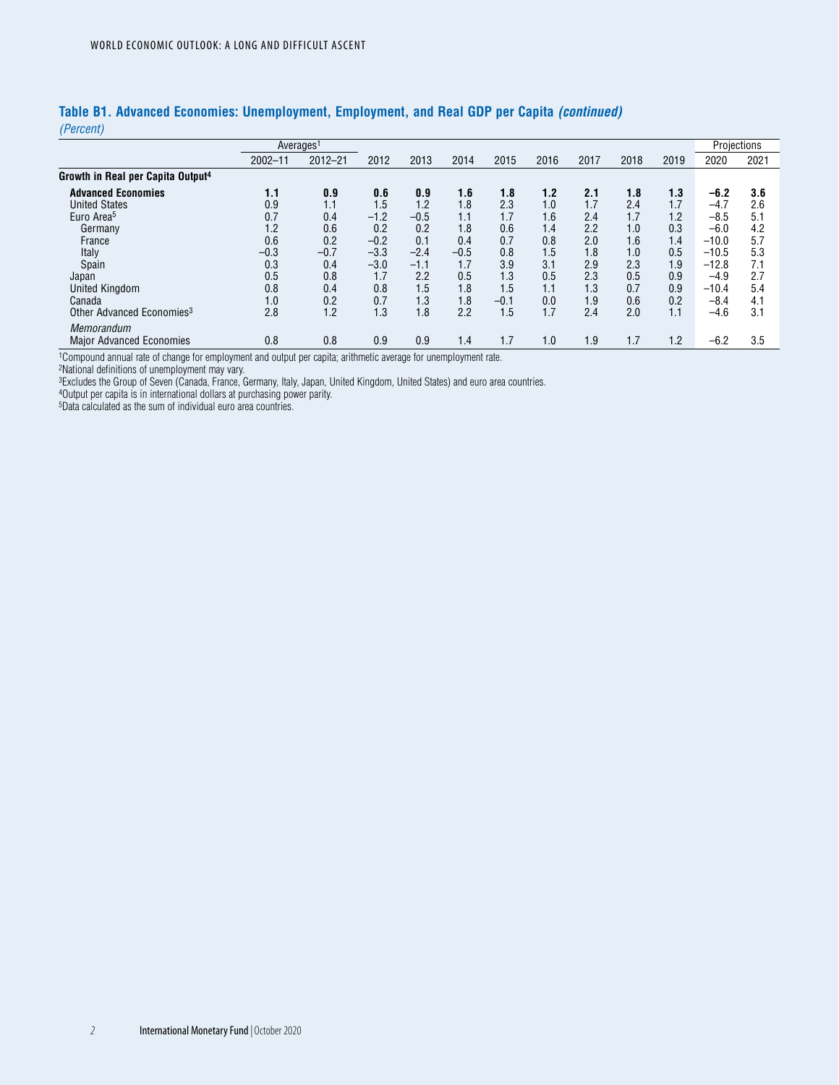| $\frac{1}{2}$ $\frac{1}{2}$                   |             |                       |        |        |        |        |      |      |      |      |         |             |
|-----------------------------------------------|-------------|-----------------------|--------|--------|--------|--------|------|------|------|------|---------|-------------|
|                                               |             | Averages <sup>1</sup> |        |        |        |        |      |      |      |      |         | Projections |
|                                               | $2002 - 11$ | $2012 - 21$           | 2012   | 2013   | 2014   | 2015   | 2016 | 2017 | 2018 | 2019 | 2020    | 2021        |
| Growth in Real per Capita Output <sup>4</sup> |             |                       |        |        |        |        |      |      |      |      |         |             |
| <b>Advanced Economies</b>                     | 1.1         | 0.9                   | 0.6    | 0.9    | 1.6    | 1.8    | 1.2  | 2.1  | 1.8  | 1.3  | -6.2    | 3.6         |
| <b>United States</b>                          | 0.9         | 1.1                   | 1.5    | 1.2    | 1.8    | 2.3    | 1.0  | 1.7  | 2.4  | 1.7  | $-4.7$  | 2.6         |
| Euro Area <sup>5</sup>                        | 0.7         | 0.4                   | $-1.2$ | $-0.5$ | 1.1    | 1.7    | 1.6  | 2.4  | 1.7  | 1.2  | $-8.5$  | 5.1         |
| Germany                                       | 1.2         | 0.6                   | 0.2    | 0.2    | 1.8    | 0.6    | 1.4  | 2.2  | 1.0  | 0.3  | $-6.0$  | 4.2         |
| France                                        | 0.6         | 0.2                   | $-0.2$ | 0.1    | 0.4    | 0.7    | 0.8  | 2.0  | 1.6  | 1.4  | $-10.0$ | 5.7         |
| Italy                                         | $-0.3$      | $-0.7$                | $-3.3$ | $-2.4$ | $-0.5$ | 0.8    | 1.5  | 1.8  | 1.0  | 0.5  | $-10.5$ | 5.3         |
| Spain                                         | 0.3         | 0.4                   | $-3.0$ | $-1.1$ | 1.7    | 3.9    | 3.1  | 2.9  | 2.3  | 1.9  | $-12.8$ | 7.1         |
| Japan                                         | 0.5         | 0.8                   | 1.7    | 2.2    | 0.5    | 1.3    | 0.5  | 2.3  | 0.5  | 0.9  | $-4.9$  | 2.7         |
| <b>United Kingdom</b>                         | 0.8         | 0.4                   | 0.8    | 1.5    | 1.8    | 1.5    | 1.1  | 1.3  | 0.7  | 0.9  | $-10.4$ | 5.4         |
| Canada                                        | 1.0         | 0.2                   | 0.7    | 1.3    | 1.8    | $-0.1$ | 0.0  | 1.9  | 0.6  | 0.2  | $-8.4$  | 4.1         |
| Other Advanced Economies <sup>3</sup>         | 2.8         | 1.2                   | 1.3    | 1.8    | 2.2    | 1.5    | 1.7  | 2.4  | 2.0  | 1.1  | $-4.6$  | 3.1         |
| Memorandum                                    |             |                       |        |        |        |        |      |      |      |      |         |             |
| <b>Major Advanced Economies</b>               | 0.8         | 0.8                   | 0.9    | 0.9    | 1.4    | 1.7    | 1.0  | 1.9  | 1.7  | 1.2  | $-6.2$  | 3.5         |
|                                               |             |                       |        |        |        |        |      |      |      |      |         |             |

#### **Table B1. Advanced Economies: Unemployment, Employment, and Real GDP per Capita** *(continued) (Percent)*

<sup>1</sup>Compound annual rate of change for employment and output per capita; arithmetic average for unemployment rate.

2National definitions of unemployment may vary.

3Excludes the Group of Seven (Canada, France, Germany, Italy, Japan, United Kingdom, United States) and euro area countries.

<sup>4</sup>Output per capita is in international dollars at purchasing power parity.

5Data calculated as the sum of individual euro area countries.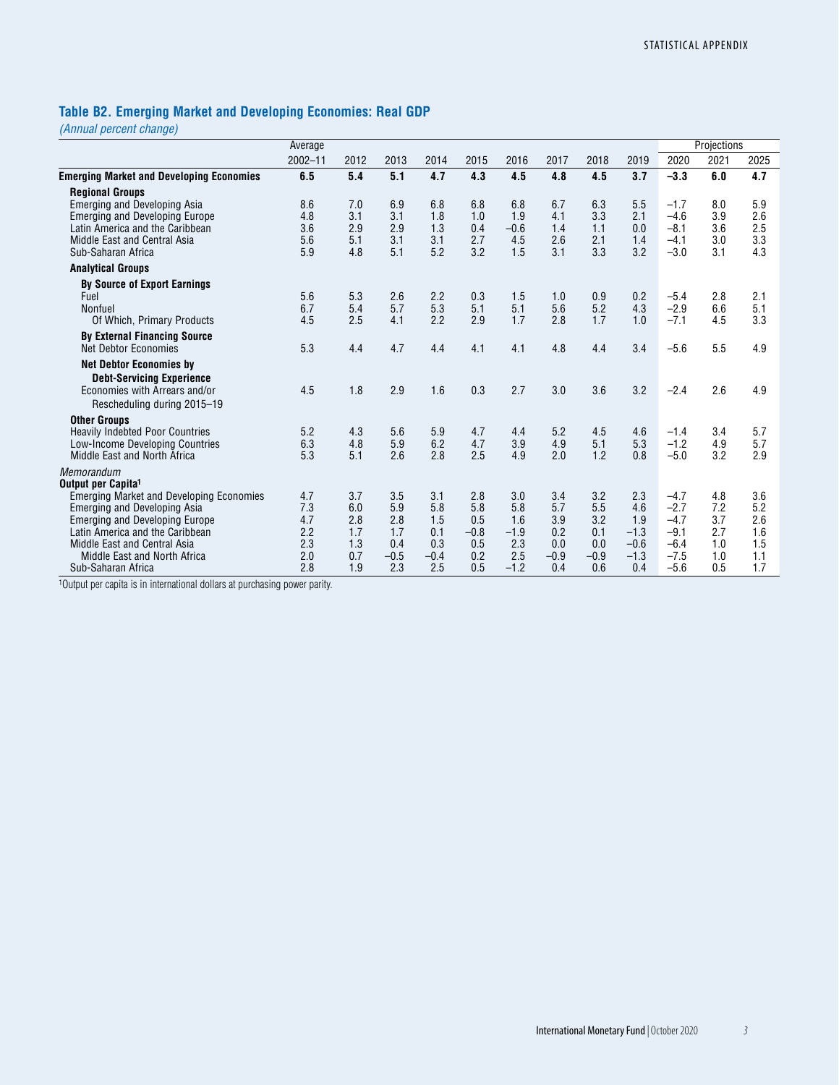## **Table B2. Emerging Market and Developing Economies: Real GDP**

*(Annual percent change)*

|                                                 | Average     |      |        |        |        |        |        |        |        |        | Projections |      |
|-------------------------------------------------|-------------|------|--------|--------|--------|--------|--------|--------|--------|--------|-------------|------|
|                                                 | $2002 - 11$ | 2012 | 2013   | 2014   | 2015   | 2016   | 2017   | 2018   | 2019   | 2020   | 2021        | 2025 |
| <b>Emerging Market and Developing Economies</b> | 6.5         | 5.4  | 5.1    | 4.7    | 4.3    | 4.5    | 4.8    | 4.5    | 3.7    | $-3.3$ | 6.0         | 4.7  |
| <b>Regional Groups</b>                          |             |      |        |        |        |        |        |        |        |        |             |      |
| <b>Emerging and Developing Asia</b>             | 8.6         | 7.0  | 6.9    | 6.8    | 6.8    | 6.8    | 6.7    | 6.3    | 5.5    | $-1.7$ | 8.0         | 5.9  |
| <b>Emerging and Developing Europe</b>           | 4.8         | 3.1  | 3.1    | 1.8    | 1.0    | 1.9    | 4.1    | 3.3    | 2.1    | $-4.6$ | 3.9         | 2.6  |
| Latin America and the Caribbean                 | 3.6         | 2.9  | 2.9    | 1.3    | 0.4    | $-0.6$ | 1.4    | 1.1    | 0.0    | $-8.1$ | 3.6         | 2.5  |
| Middle East and Central Asia                    | 5.6         | 5.1  | 3.1    | 3.1    | 2.7    | 4.5    | 2.6    | 2.1    | 1.4    | $-4.1$ | 3.0         | 3.3  |
| Sub-Saharan Africa                              | 5.9         | 4.8  | 5.1    | 5.2    | 3.2    | 1.5    | 3.1    | 3.3    | 3.2    | $-3.0$ | 3.1         | 4.3  |
| <b>Analytical Groups</b>                        |             |      |        |        |        |        |        |        |        |        |             |      |
| <b>By Source of Export Earnings</b>             |             |      |        |        |        |        |        |        |        |        |             |      |
| Fuel                                            | 5.6         | 5.3  | 2.6    | 2.2    | 0.3    | 1.5    | 1.0    | 0.9    | 0.2    | $-5.4$ | 2.8         | 2.1  |
| Nonfuel                                         | 6.7         | 5.4  | 5.7    | 5.3    | 5.1    | 5.1    | 5.6    | 5.2    | 4.3    | $-2.9$ | 6.6         | 5.1  |
| Of Which, Primary Products                      | 4.5         | 2.5  | 4.1    | 2.2    | 2.9    | 1.7    | 2.8    | 1.7    | 1.0    | $-7.1$ | 4.5         | 3.3  |
| <b>By External Financing Source</b>             |             |      |        |        |        |        |        |        |        |        |             |      |
| <b>Net Debtor Economies</b>                     | 5.3         | 4.4  | 4.7    | 4.4    | 4.1    | 4.1    | 4.8    | 4.4    | 3.4    | $-5.6$ | 5.5         | 4.9  |
| <b>Net Debtor Economies by</b>                  |             |      |        |        |        |        |        |        |        |        |             |      |
| <b>Debt-Servicing Experience</b>                |             |      |        |        |        |        |        |        |        |        |             |      |
| Economies with Arrears and/or                   | 4.5         | 1.8  | 2.9    | 1.6    | 0.3    | 2.7    | 3.0    | 3.6    | 3.2    | $-2.4$ | 2.6         | 4.9  |
| Rescheduling during 2015-19                     |             |      |        |        |        |        |        |        |        |        |             |      |
| <b>Other Groups</b>                             |             |      |        |        |        |        |        |        |        |        |             |      |
| <b>Heavily Indebted Poor Countries</b>          | 5.2         | 4.3  | 5.6    | 5.9    | 4.7    | 4.4    | 5.2    | 4.5    | 4.6    | $-1.4$ | 3.4         | 5.7  |
| Low-Income Developing Countries                 | 6.3         | 4.8  | 5.9    | 6.2    | 4.7    | 3.9    | 4.9    | 5.1    | 5.3    | $-1.2$ | 4.9         | 5.7  |
| Middle East and North Africa                    | 5.3         | 5.1  | 2.6    | 2.8    | 2.5    | 4.9    | 2.0    | 1.2    | 0.8    | $-5.0$ | 3.2         | 2.9  |
|                                                 |             |      |        |        |        |        |        |        |        |        |             |      |
| Memorandum<br>Output per Capita <sup>1</sup>    |             |      |        |        |        |        |        |        |        |        |             |      |
| <b>Emerging Market and Developing Economies</b> | 4.7         | 3.7  | 3.5    | 3.1    | 2.8    | 3.0    | 3.4    | 3.2    | 2.3    | $-4.7$ | 4.8         | 3.6  |
| Emerging and Developing Asia                    | 7.3         | 6.0  | 5.9    | 5.8    | 5.8    | 5.8    | 5.7    | 5.5    | 4.6    | $-2.7$ | 7.2         | 5.2  |
| <b>Emerging and Developing Europe</b>           | 4.7         | 2.8  | 2.8    | 1.5    | 0.5    | 1.6    | 3.9    | 3.2    | 1.9    | $-4.7$ | 3.7         | 2.6  |
| Latin America and the Caribbean                 | 2.2         | 1.7  | 1.7    | 0.1    | $-0.8$ | $-1.9$ | 0.2    | 0.1    | $-1.3$ | $-9.1$ | 2.7         | 1.6  |
| Middle East and Central Asia                    | 2.3         | 1.3  | 0.4    | 0.3    | 0.5    | 2.3    | 0.0    | 0.0    | $-0.6$ | $-6.4$ | 1.0         | 1.5  |
| Middle East and North Africa                    | 2.0         | 0.7  | $-0.5$ | $-0.4$ | 0.2    | 2.5    | $-0.9$ | $-0.9$ | $-1.3$ | $-7.5$ | 1.0         | 1.1  |
| Sub-Saharan Africa                              | 2.8         | 1.9  | 2.3    | 2.5    | 0.5    | $-1.2$ | 0.4    | 0.6    | 0.4    | $-5.6$ | 0.5         | 1.7  |
|                                                 |             |      |        |        |        |        |        |        |        |        |             |      |

1Output per capita is in international dollars at purchasing power parity.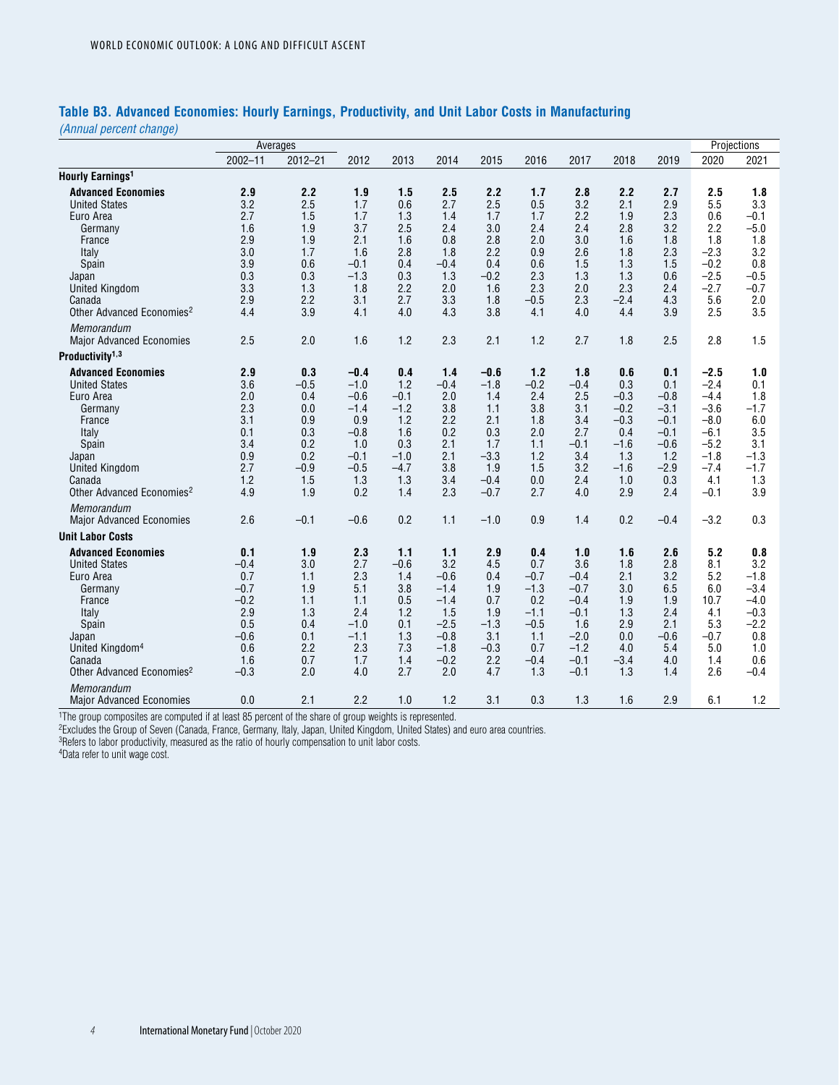### **Table B3. Advanced Economies: Hourly Earnings, Productivity, and Unit Labor Costs in Manufacturing**

*(Annual percent change)*

|                                                                                                                                                                                                          |                                                                                          | Averages                                                                        |                                                                                                |                                                                                       |                                                                                                |                                                                                          |                                                                                          |                                                                                                   |                                                                                          |                                                                                             |                                                                                                         | Projections                                                                                 |
|----------------------------------------------------------------------------------------------------------------------------------------------------------------------------------------------------------|------------------------------------------------------------------------------------------|---------------------------------------------------------------------------------|------------------------------------------------------------------------------------------------|---------------------------------------------------------------------------------------|------------------------------------------------------------------------------------------------|------------------------------------------------------------------------------------------|------------------------------------------------------------------------------------------|---------------------------------------------------------------------------------------------------|------------------------------------------------------------------------------------------|---------------------------------------------------------------------------------------------|---------------------------------------------------------------------------------------------------------|---------------------------------------------------------------------------------------------|
|                                                                                                                                                                                                          | $2002 - 11$                                                                              | $2012 - 21$                                                                     | 2012                                                                                           | 2013                                                                                  | 2014                                                                                           | 2015                                                                                     | 2016                                                                                     | 2017                                                                                              | 2018                                                                                     | 2019                                                                                        | 2020                                                                                                    | 2021                                                                                        |
| Hourly Earnings <sup>1</sup>                                                                                                                                                                             |                                                                                          |                                                                                 |                                                                                                |                                                                                       |                                                                                                |                                                                                          |                                                                                          |                                                                                                   |                                                                                          |                                                                                             |                                                                                                         |                                                                                             |
| <b>Advanced Economies</b><br><b>United States</b><br>Euro Area<br>Germany<br>France<br>Italy<br>Spain<br>Japan<br><b>United Kingdom</b><br>Canada<br>Other Advanced Economies <sup>2</sup>               | 2.9<br>3.2<br>2.7<br>1.6<br>2.9<br>3.0<br>3.9<br>0.3<br>3.3<br>2.9<br>4.4                | 2.2<br>2.5<br>1.5<br>1.9<br>1.9<br>1.7<br>0.6<br>0.3<br>1.3<br>2.2<br>3.9       | 1.9<br>1.7<br>1.7<br>3.7<br>2.1<br>1.6<br>$-0.1$<br>$-1.3$<br>1.8<br>3.1<br>4.1                | 1.5<br>0.6<br>1.3<br>2.5<br>1.6<br>2.8<br>0.4<br>0.3<br>2.2<br>2.7<br>4.0             | 2.5<br>2.7<br>1.4<br>2.4<br>0.8<br>1.8<br>$-0.4$<br>1.3<br>2.0<br>3.3<br>4.3                   | 2.2<br>2.5<br>1.7<br>3.0<br>2.8<br>2.2<br>0.4<br>$-0.2$<br>1.6<br>1.8<br>3.8             | 1.7<br>0.5<br>1.7<br>2.4<br>2.0<br>0.9<br>0.6<br>2.3<br>2.3<br>$-0.5$<br>4.1             | 2.8<br>3.2<br>2.2<br>2.4<br>3.0<br>2.6<br>1.5<br>1.3<br>2.0<br>2.3<br>4.0                         | 2.2<br>2.1<br>1.9<br>2.8<br>1.6<br>1.8<br>1.3<br>1.3<br>2.3<br>$-2.4$<br>4.4             | 2.7<br>2.9<br>2.3<br>3.2<br>1.8<br>2.3<br>1.5<br>0.6<br>2.4<br>4.3<br>3.9                   | 2.5<br>5.5<br>0.6<br>2.2<br>1.8<br>$-2.3$<br>$-0.2$<br>$-2.5$<br>$-2.7$<br>5.6<br>2.5                   | 1.8<br>3.3<br>$-0.1$<br>$-5.0$<br>1.8<br>3.2<br>0.8<br>$-0.5$<br>$-0.7$<br>2.0<br>3.5       |
| Memorandum<br><b>Major Advanced Economies</b>                                                                                                                                                            | 2.5                                                                                      | 2.0                                                                             | 1.6                                                                                            | 1.2                                                                                   | 2.3                                                                                            | 2.1                                                                                      | 1.2                                                                                      | 2.7                                                                                               | 1.8                                                                                      | 2.5                                                                                         | 2.8                                                                                                     | 1.5                                                                                         |
| Productivity <sup>1,3</sup>                                                                                                                                                                              |                                                                                          |                                                                                 |                                                                                                |                                                                                       |                                                                                                |                                                                                          |                                                                                          |                                                                                                   |                                                                                          |                                                                                             |                                                                                                         |                                                                                             |
| <b>Advanced Economies</b><br><b>United States</b><br>Euro Area<br>Germany<br>France<br>Italy<br>Spain<br>Japan<br><b>United Kingdom</b><br>Canada<br>Other Advanced Economies <sup>2</sup><br>Memorandum | 2.9<br>3.6<br>2.0<br>2.3<br>3.1<br>0.1<br>3.4<br>0.9<br>2.7<br>1.2<br>4.9                | 0.3<br>$-0.5$<br>0.4<br>0.0<br>0.9<br>0.3<br>0.2<br>0.2<br>$-0.9$<br>1.5<br>1.9 | $-0.4$<br>$-1.0$<br>$-0.6$<br>$-1.4$<br>0.9<br>$-0.8$<br>1.0<br>$-0.1$<br>$-0.5$<br>1.3<br>0.2 | 0.4<br>1.2<br>$-0.1$<br>$-1.2$<br>1.2<br>1.6<br>0.3<br>$-1.0$<br>$-4.7$<br>1.3<br>1.4 | 1.4<br>$-0.4$<br>2.0<br>3.8<br>2.2<br>0.2<br>2.1<br>2.1<br>3.8<br>3.4<br>2.3                   | $-0.6$<br>$-1.8$<br>1.4<br>1.1<br>2.1<br>0.3<br>1.7<br>$-3.3$<br>1.9<br>$-0.4$<br>$-0.7$ | 1.2<br>$-0.2$<br>2.4<br>3.8<br>1.8<br>2.0<br>1.1<br>1.2<br>1.5<br>0.0<br>2.7             | 1.8<br>$-0.4$<br>2.5<br>3.1<br>3.4<br>2.7<br>$-0.1$<br>3.4<br>3.2<br>2.4<br>4.0                   | 0.6<br>0.3<br>$-0.3$<br>$-0.2$<br>$-0.3$<br>0.4<br>$-1.6$<br>1.3<br>$-1.6$<br>1.0<br>2.9 | 0.1<br>0.1<br>$-0.8$<br>$-3.1$<br>$-0.1$<br>$-0.1$<br>$-0.6$<br>1.2<br>$-2.9$<br>0.3<br>2.4 | $-2.5$<br>$-2.4$<br>$-4.4$<br>$-3.6$<br>$-8.0$<br>$-6.1$<br>$-5.2$<br>$-1.8$<br>$-7.4$<br>4.1<br>$-0.1$ | 1.0<br>0.1<br>1.8<br>$-1.7$<br>6.0<br>3.5<br>3.1<br>$-1.3$<br>$-1.7$<br>1.3<br>3.9          |
| <b>Major Advanced Economies</b><br><b>Unit Labor Costs</b>                                                                                                                                               | 2.6                                                                                      | $-0.1$                                                                          | $-0.6$                                                                                         | 0.2                                                                                   | 1.1                                                                                            | $-1.0$                                                                                   | 0.9                                                                                      | 1.4                                                                                               | 0.2                                                                                      | $-0.4$                                                                                      | $-3.2$                                                                                                  | 0.3                                                                                         |
| <b>Advanced Economies</b><br><b>United States</b><br>Euro Area<br>Germany<br>France<br>Italy<br>Spain<br>Japan<br>United Kingdom <sup>4</sup><br>Canada<br>Other Advanced Economies <sup>2</sup>         | 0.1<br>$-0.4$<br>0.7<br>$-0.7$<br>$-0.2$<br>2.9<br>0.5<br>$-0.6$<br>0.6<br>1.6<br>$-0.3$ | 1.9<br>3.0<br>1.1<br>1.9<br>1.1<br>1.3<br>0.4<br>0.1<br>2.2<br>0.7<br>2.0       | 2.3<br>2.7<br>2.3<br>5.1<br>1.1<br>2.4<br>$-1.0$<br>$-1.1$<br>2.3<br>1.7<br>4.0                | 1.1<br>$-0.6$<br>1.4<br>3.8<br>0.5<br>1.2<br>0.1<br>1.3<br>7.3<br>1.4<br>2.7          | 1.1<br>3.2<br>$-0.6$<br>$-1.4$<br>$-1.4$<br>1.5<br>$-2.5$<br>$-0.8$<br>$-1.8$<br>$-0.2$<br>2.0 | 2.9<br>4.5<br>0.4<br>1.9<br>0.7<br>1.9<br>$-1.3$<br>3.1<br>$-0.3$<br>2.2<br>4.7          | 0.4<br>0.7<br>$-0.7$<br>$-1.3$<br>0.2<br>$-1.1$<br>$-0.5$<br>1.1<br>0.7<br>$-0.4$<br>1.3 | 1.0<br>3.6<br>$-0.4$<br>$-0.7$<br>$-0.4$<br>$-0.1$<br>1.6<br>$-2.0$<br>$-1.2$<br>$-0.1$<br>$-0.1$ | 1.6<br>1.8<br>2.1<br>3.0<br>1.9<br>1.3<br>2.9<br>0.0<br>4.0<br>$-3.4$<br>1.3             | 2.6<br>2.8<br>3.2<br>6.5<br>1.9<br>2.4<br>2.1<br>$-0.6$<br>5.4<br>4.0<br>1.4                | 5.2<br>8.1<br>5.2<br>6.0<br>10.7<br>4.1<br>5.3<br>$-0.7$<br>5.0<br>1.4<br>2.6                           | 0.8<br>3.2<br>$-1.8$<br>$-3.4$<br>$-4.0$<br>$-0.3$<br>$-2.2$<br>0.8<br>1.0<br>0.6<br>$-0.4$ |
| Memorandum<br><b>Major Advanced Economies</b>                                                                                                                                                            | 0.0                                                                                      | 2.1                                                                             | 2.2                                                                                            | 1.0                                                                                   | 1.2                                                                                            | 3.1                                                                                      | 0.3                                                                                      | 1.3                                                                                               | 1.6                                                                                      | 2.9                                                                                         | 6.1                                                                                                     | 1.2                                                                                         |

<sup>1</sup>The group composites are computed if at least 85 percent of the share of group weights is represented.

2Excludes the Group of Seven (Canada, France, Germany, Italy, Japan, United Kingdom, United States) and euro area countries.

<sup>3</sup>Refers to labor productivity, measured as the ratio of hourly compensation to unit labor costs.

4Data refer to unit wage cost.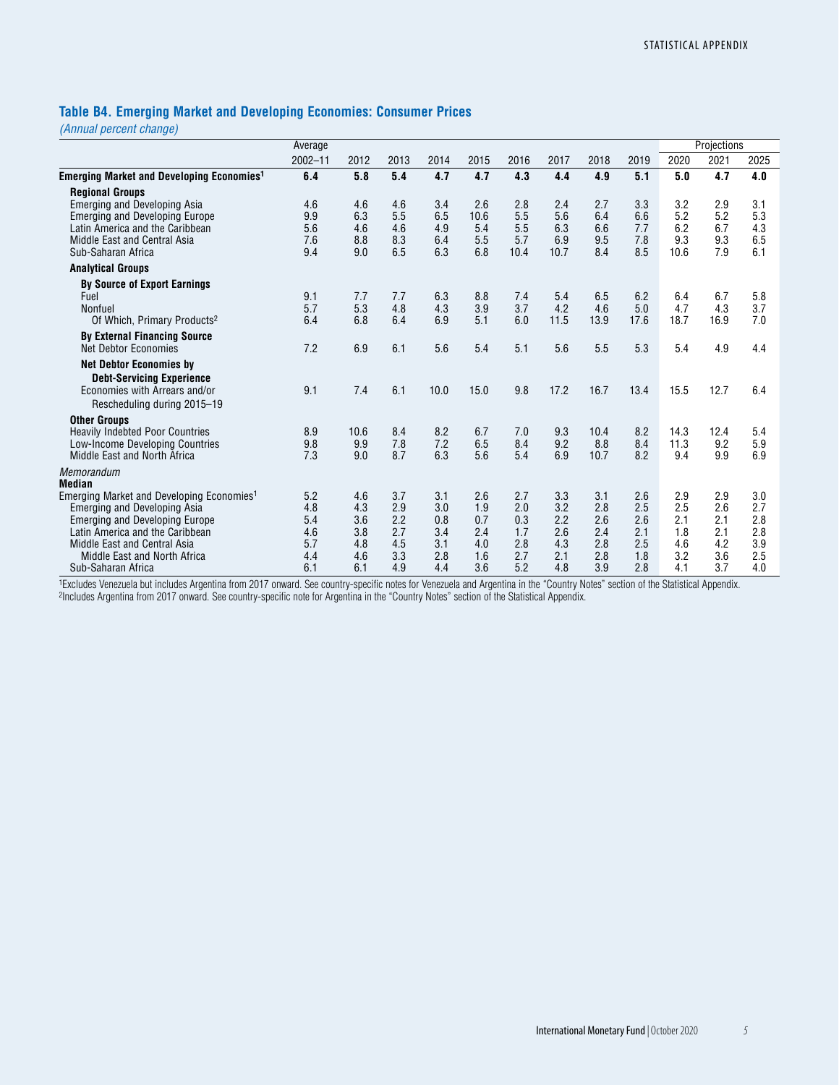### **Table B4. Emerging Market and Developing Economies: Consumer Prices**

*(Annual percent change)*

|                                                                          | Average     |            |            |            |            |            |            |            |      |      | Projections |      |
|--------------------------------------------------------------------------|-------------|------------|------------|------------|------------|------------|------------|------------|------|------|-------------|------|
|                                                                          | $2002 - 11$ | 2012       | 2013       | 2014       | 2015       | 2016       | 2017       | 2018       | 2019 | 2020 | 2021        | 2025 |
| Emerging Market and Developing Economies <sup>1</sup>                    | 6.4         | 5.8        | 5.4        | 4.7        | 4.7        | 4.3        | 4.4        | 4.9        | 5.1  | 5.0  | 4.7         | 4.0  |
| <b>Regional Groups</b>                                                   |             |            |            |            |            |            |            |            |      |      |             |      |
| <b>Emerging and Developing Asia</b>                                      | 4.6         | 4.6        | 4.6        | 3.4        | 2.6        | 2.8        | 2.4        | 2.7        | 3.3  | 3.2  | 2.9         | 3.1  |
| <b>Emerging and Developing Europe</b>                                    | 9.9         | 6.3        | 5.5        | 6.5        | 10.6       | 5.5        | 5.6        | 6.4        | 6.6  | 5.2  | 5.2         | 5.3  |
| Latin America and the Caribbean                                          | 5.6         | 4.6        | 4.6        | 4.9        | 5.4        | 5.5        | 6.3        | 6.6        | 7.7  | 6.2  | 6.7         | 4.3  |
| Middle East and Central Asia                                             | 7.6         | 8.8        | 8.3        | 6.4        | 5.5        | 5.7        | 6.9        | 9.5        | 7.8  | 9.3  | 9.3         | 6.5  |
| Sub-Saharan Africa                                                       | 9.4         | 9.0        | 6.5        | 6.3        | 6.8        | 10.4       | 10.7       | 8.4        | 8.5  | 10.6 | 7.9         | 6.1  |
| <b>Analytical Groups</b>                                                 |             |            |            |            |            |            |            |            |      |      |             |      |
| <b>By Source of Export Earnings</b>                                      |             |            |            |            |            |            |            |            |      |      |             |      |
| Fuel                                                                     | 9.1         | 7.7        | 7.7        | 6.3        | 8.8        | 7.4        | 5.4        | 6.5        | 6.2  | 6.4  | 6.7         | 5.8  |
| Nonfuel                                                                  | 5.7         | 5.3        | 4.8        | 4.3        | 3.9        | 3.7        | 4.2        | 4.6        | 5.0  | 4.7  | 4.3         | 3.7  |
| Of Which, Primary Products <sup>2</sup>                                  | 6.4         | 6.8        | 6.4        | 6.9        | 5.1        | 6.0        | 11.5       | 13.9       | 17.6 | 18.7 | 16.9        | 7.0  |
| <b>By External Financing Source</b>                                      |             |            |            |            |            |            |            |            |      |      |             |      |
| <b>Net Debtor Economies</b>                                              | 7.2         | 6.9        | 6.1        | 5.6        | 5.4        | 5.1        | 5.6        | 5.5        | 5.3  | 5.4  | 4.9         | 4.4  |
| <b>Net Debtor Economies by</b>                                           |             |            |            |            |            |            |            |            |      |      |             |      |
| <b>Debt-Servicing Experience</b>                                         |             |            |            |            |            |            |            |            |      |      |             |      |
| Economies with Arrears and/or                                            | 9.1         | 7.4        | 6.1        | 10.0       | 15.0       | 9.8        | 17.2       | 16.7       | 13.4 | 15.5 | 12.7        | 6.4  |
| Rescheduling during 2015-19                                              |             |            |            |            |            |            |            |            |      |      |             |      |
| <b>Other Groups</b>                                                      |             |            |            |            |            |            |            |            |      |      |             |      |
| <b>Heavily Indebted Poor Countries</b>                                   | 8.9         | 10.6       | 8.4        | 8.2        | 6.7        | 7.0        | 9.3        | 10.4       | 8.2  | 14.3 | 12.4        | 5.4  |
| Low-Income Developing Countries                                          | 9.8         | 9.9        | 7.8        | 7.2        | 6.5        | 8.4        | 9.2        | 8.8        | 8.4  | 11.3 | 9.2         | 5.9  |
| Middle East and North Africa                                             | 7.3         | 9.0        | 8.7        | 6.3        | 5.6        | 5.4        | 6.9        | 10.7       | 8.2  | 9.4  | 9.9         | 6.9  |
|                                                                          |             |            |            |            |            |            |            |            |      |      |             |      |
| Memorandum<br><b>Median</b>                                              |             |            |            |            |            |            |            |            |      |      |             |      |
| Emerging Market and Developing Economies <sup>1</sup>                    | 5.2         | 4.6        | 3.7        | 3.1        | 2.6        | 2.7        | 3.3        | 3.1        | 2.6  | 2.9  | 2.9         | 3.0  |
|                                                                          | 4.8         |            | 2.9        | 3.0        | 1.9        | 2.0        | 3.2        | 2.8        | 2.5  | 2.5  | 2.6         | 2.7  |
| Emerging and Developing Asia                                             | 5.4         | 4.3<br>3.6 | 2.2        | 0.8        | 0.7        | 0.3        | 2.2        | 2.6        | 2.6  | 2.1  | 2.1         | 2.8  |
| <b>Emerging and Developing Europe</b><br>Latin America and the Caribbean | 4.6         | 3.8        | 2.7        | 3.4        | 2.4        | 1.7        | 2.6        | 2.4        | 2.1  | 1.8  | 2.1         | 2.8  |
|                                                                          |             |            |            |            |            |            |            |            |      |      |             |      |
| Middle East and Central Asia                                             | 5.7         | 4.8        | 4.5<br>3.3 | 3.1<br>2.8 | 4.0        | 2.8<br>2.7 | 4.3<br>2.1 | 2.8<br>2.8 | 2.5  | 4.6  | 4.2         | 3.9  |
| Middle East and North Africa                                             | 4.4         | 4.6<br>6.1 | 4.9        |            | 1.6<br>3.6 | 5.2        |            |            | 1.8  | 3.2  | 3.6<br>3.7  | 2.5  |
| Sub-Saharan Africa                                                       | 6.1         |            |            | 4.4        |            |            | 4.8        | 3.9        | 2.8  | 4.1  |             | 4.0  |

1Excludes Venezuela but includes Argentina from 2017 onward. See country-specific notes for Venezuela and Argentina in the "Country Notes" section of the Statistical Appendix. 2Includes Argentina from 2017 onward. See country-specific note for Argentina in the "Country Notes" section of the Statistical Appendix.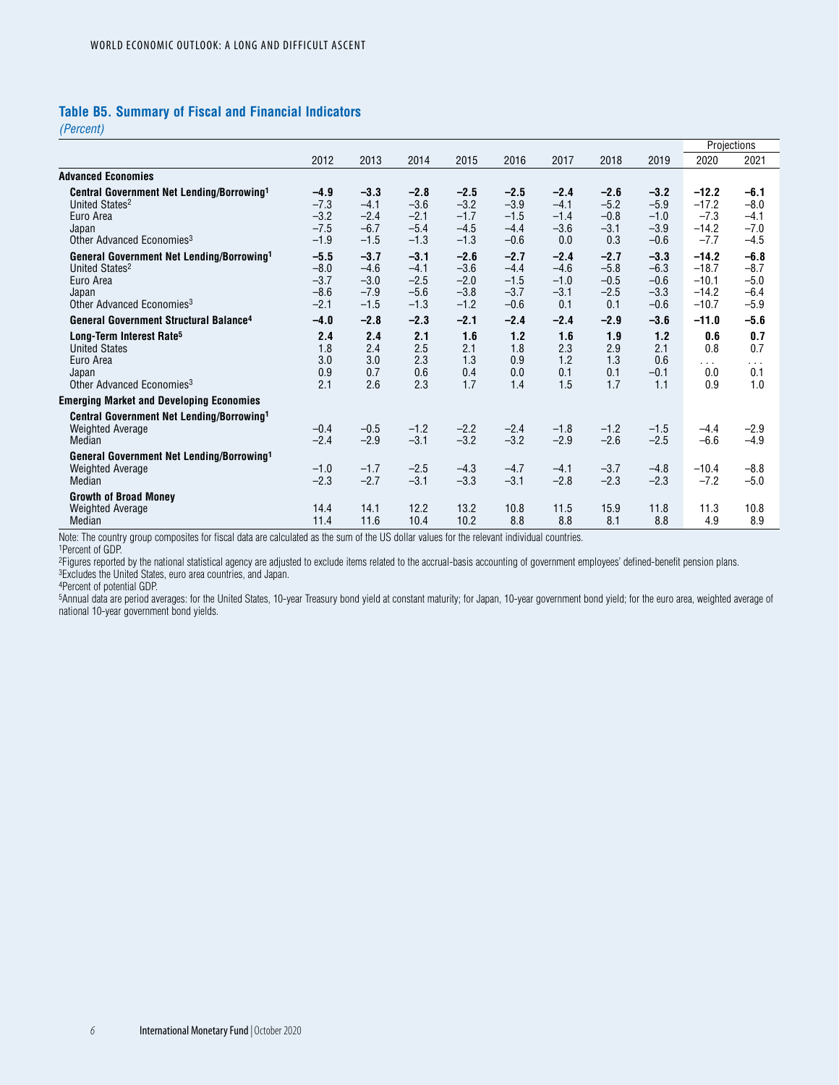### **Table B5. Summary of Fiscal and Financial Indicators**

*(Percent)*

|                                                                                                                                                    |                                                |                                                |                                                |                                                |                                                |                                             |                                             |                                                | Projections                                         |                                                |
|----------------------------------------------------------------------------------------------------------------------------------------------------|------------------------------------------------|------------------------------------------------|------------------------------------------------|------------------------------------------------|------------------------------------------------|---------------------------------------------|---------------------------------------------|------------------------------------------------|-----------------------------------------------------|------------------------------------------------|
|                                                                                                                                                    | 2012                                           | 2013                                           | 2014                                           | 2015                                           | 2016                                           | 2017                                        | 2018                                        | 2019                                           | 2020                                                | 2021                                           |
| <b>Advanced Economies</b>                                                                                                                          |                                                |                                                |                                                |                                                |                                                |                                             |                                             |                                                |                                                     |                                                |
| Central Government Net Lending/Borrowing <sup>1</sup><br>United States <sup>2</sup><br>Euro Area<br>Japan<br>Other Advanced Economies <sup>3</sup> | $-4.9$<br>$-7.3$<br>$-3.2$<br>$-7.5$<br>$-1.9$ | $-3.3$<br>$-4.1$<br>$-2.4$<br>$-6.7$<br>$-1.5$ | $-2.8$<br>$-3.6$<br>$-2.1$<br>$-5.4$<br>$-1.3$ | $-2.5$<br>$-3.2$<br>$-1.7$<br>$-4.5$<br>$-1.3$ | $-2.5$<br>$-3.9$<br>$-1.5$<br>$-4.4$<br>$-0.6$ | $-2.4$<br>$-4.1$<br>$-1.4$<br>$-3.6$<br>0.0 | $-2.6$<br>$-5.2$<br>$-0.8$<br>$-3.1$<br>0.3 | $-3.2$<br>$-5.9$<br>$-1.0$<br>$-3.9$<br>$-0.6$ | $-12.2$<br>$-17.2$<br>$-7.3$<br>$-14.2$<br>$-7.7$   | $-6.1$<br>$-8.0$<br>$-4.1$<br>$-7.0$<br>$-4.5$ |
| <b>General Government Net Lending/Borrowing1</b><br>United States <sup>2</sup><br>Euro Area<br>Japan<br>Other Advanced Economies <sup>3</sup>      | $-5.5$<br>$-8.0$<br>$-3.7$<br>$-8.6$<br>$-2.1$ | $-3.7$<br>$-4.6$<br>$-3.0$<br>$-7.9$<br>$-1.5$ | $-3.1$<br>$-4.1$<br>$-2.5$<br>$-5.6$<br>$-1.3$ | $-2.6$<br>$-3.6$<br>$-2.0$<br>$-3.8$<br>$-1.2$ | $-2.7$<br>$-4.4$<br>$-1.5$<br>$-3.7$<br>$-0.6$ | $-2.4$<br>$-4.6$<br>$-1.0$<br>$-3.1$<br>0.1 | $-2.7$<br>$-5.8$<br>$-0.5$<br>$-2.5$<br>0.1 | $-3.3$<br>$-6.3$<br>$-0.6$<br>$-3.3$<br>$-0.6$ | $-14.2$<br>$-18.7$<br>$-10.1$<br>$-14.2$<br>$-10.7$ | $-6.8$<br>$-8.7$<br>$-5.0$<br>$-6.4$<br>$-5.9$ |
| General Government Structural Balance <sup>4</sup>                                                                                                 | $-4.0$                                         | $-2.8$                                         | $-2.3$                                         | $-2.1$                                         | $-2.4$                                         | $-2.4$                                      | $-2.9$                                      | $-3.6$                                         | $-11.0$                                             | $-5.6$                                         |
| Long-Term Interest Rate <sup>5</sup><br><b>United States</b><br>Euro Area<br>Japan<br>Other Advanced Economies <sup>3</sup>                        | 2.4<br>1.8<br>3.0<br>0.9<br>2.1                | 2.4<br>2.4<br>3.0<br>0.7<br>2.6                | 2.1<br>2.5<br>2.3<br>0.6<br>2.3                | 1.6<br>2.1<br>1.3<br>0.4<br>1.7                | 1.2<br>1.8<br>0.9<br>0.0<br>1.4                | 1.6<br>2.3<br>1.2<br>0.1<br>1.5             | 1.9<br>2.9<br>1.3<br>0.1<br>1.7             | 1.2<br>2.1<br>0.6<br>$-0.1$<br>1.1             | 0.6<br>0.8<br>.<br>0.0<br>0.9                       | 0.7<br>0.7<br>.<br>0.1<br>1.0                  |
| <b>Emerging Market and Developing Economies</b>                                                                                                    |                                                |                                                |                                                |                                                |                                                |                                             |                                             |                                                |                                                     |                                                |
| Central Government Net Lending/Borrowing <sup>1</sup><br><b>Weighted Average</b><br>Median                                                         | $-0.4$<br>$-2.4$                               | $-0.5$<br>$-2.9$                               | $-1.2$<br>$-3.1$                               | $-2.2$<br>$-3.2$                               | $-2.4$<br>$-3.2$                               | $-1.8$<br>$-2.9$                            | $-1.2$<br>$-2.6$                            | $-1.5$<br>$-2.5$                               | $-4.4$<br>$-6.6$                                    | $-2.9$<br>$-4.9$                               |
| <b>General Government Net Lending/Borrowing1</b><br><b>Weighted Average</b><br>Median                                                              | $-1.0$<br>$-2.3$                               | $-1.7$<br>$-2.7$                               | $-2.5$<br>$-3.1$                               | $-4.3$<br>$-3.3$                               | $-4.7$<br>$-3.1$                               | $-4.1$<br>$-2.8$                            | $-3.7$<br>$-2.3$                            | $-4.8$<br>$-2.3$                               | $-10.4$<br>$-7.2$                                   | $-8.8$<br>$-5.0$                               |
| <b>Growth of Broad Money</b><br>Weighted Average<br>Median                                                                                         | 14.4<br>11.4                                   | 14.1<br>11.6                                   | 12.2<br>10.4                                   | 13.2<br>10.2                                   | 10.8<br>8.8                                    | 11.5<br>8.8                                 | 15.9<br>8.1                                 | 11.8<br>8.8                                    | 11.3<br>4.9                                         | 10.8<br>8.9                                    |

Note: The country group composites for fiscal data are calculated as the sum of the US dollar values for the relevant individual countries.

1Percent of GDP.

2Figures reported by the national statistical agency are adjusted to exclude items related to the accrual-basis accounting of government employees' defined-benefit pension plans. <sup>3</sup>Excludes the United States, euro area countries, and Japan.

4Percent of potential GDP.

5Annual data are period averages: for the United States, 10-year Treasury bond yield at constant maturity; for Japan, 10-year government bond yield; for the euro area, weighted average of national 10-year government bond yields.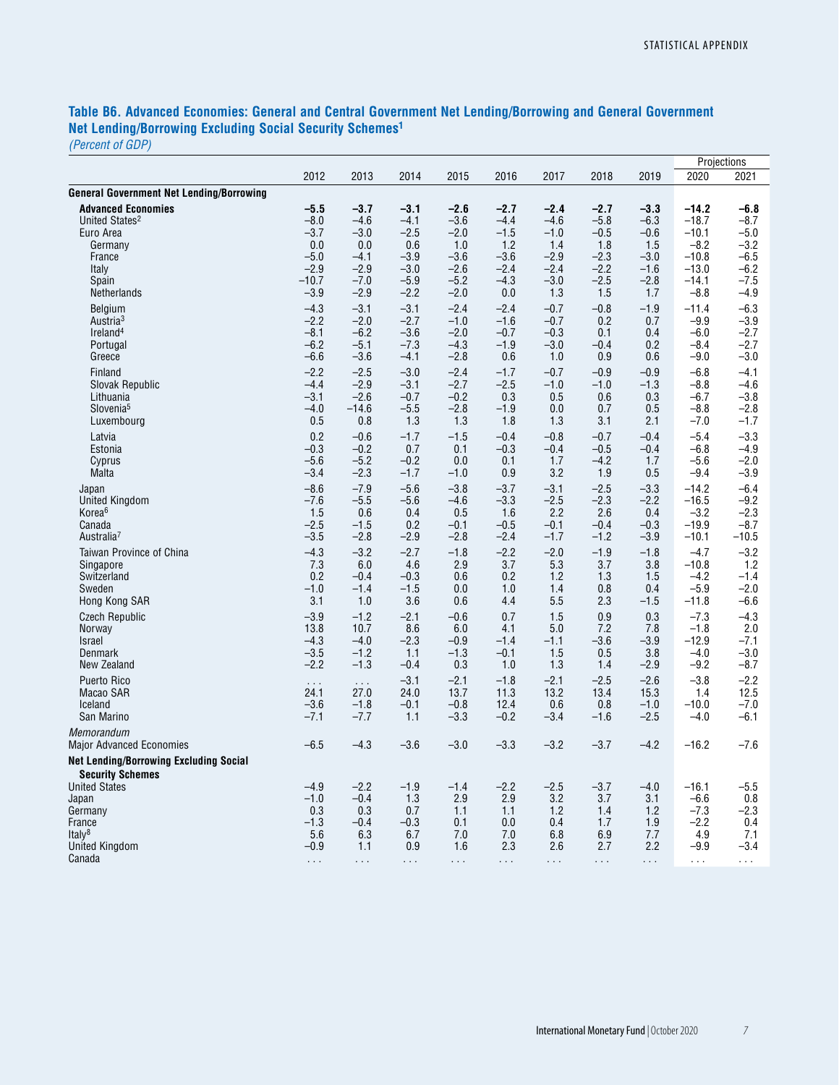# **Table B6. Advanced Economies: General and Central Government Net Lending/Borrowing and General Government Net Lending/Borrowing Excluding Social Security Schemes1**

*(Percent of GDP)*

|                                                                                                             |                                                                  |                                                                 |                                                                 |                                                                 |                                                                 |                                                                 |                                                                 |                                                                 |                                                                          | Projections                                                        |
|-------------------------------------------------------------------------------------------------------------|------------------------------------------------------------------|-----------------------------------------------------------------|-----------------------------------------------------------------|-----------------------------------------------------------------|-----------------------------------------------------------------|-----------------------------------------------------------------|-----------------------------------------------------------------|-----------------------------------------------------------------|--------------------------------------------------------------------------|--------------------------------------------------------------------|
|                                                                                                             | 2012                                                             | 2013                                                            | 2014                                                            | 2015                                                            | 2016                                                            | 2017                                                            | 2018                                                            | 2019                                                            | 2020                                                                     | 2021                                                               |
| <b>General Government Net Lending/Borrowing</b>                                                             |                                                                  |                                                                 |                                                                 |                                                                 |                                                                 |                                                                 |                                                                 |                                                                 |                                                                          |                                                                    |
| <b>Advanced Economies</b><br>United States <sup>2</sup><br>Euro Area<br>Germany<br>France<br>Italy<br>Spain | $-5.5$<br>$-8.0$<br>$-3.7$<br>0.0<br>$-5.0$<br>$-2.9$<br>$-10.7$ | $-3.7$<br>$-4.6$<br>$-3.0$<br>0.0<br>$-4.1$<br>$-2.9$<br>$-7.0$ | $-3.1$<br>$-4.1$<br>$-2.5$<br>0.6<br>$-3.9$<br>$-3.0$<br>$-5.9$ | $-2.6$<br>$-3.6$<br>$-2.0$<br>1.0<br>$-3.6$<br>$-2.6$<br>$-5.2$ | $-2.7$<br>$-4.4$<br>$-1.5$<br>1.2<br>$-3.6$<br>$-2.4$<br>$-4.3$ | $-2.4$<br>$-4.6$<br>$-1.0$<br>1.4<br>$-2.9$<br>$-2.4$<br>$-3.0$ | $-2.7$<br>$-5.8$<br>$-0.5$<br>1.8<br>$-2.3$<br>$-2.2$<br>$-2.5$ | $-3.3$<br>$-6.3$<br>$-0.6$<br>1.5<br>$-3.0$<br>$-1.6$<br>$-2.8$ | $-14.2$<br>$-18.7$<br>$-10.1$<br>$-8.2$<br>$-10.8$<br>$-13.0$<br>$-14.1$ | $-6.8$<br>$-8.7$<br>$-5.0$<br>$-3.2$<br>$-6.5$<br>$-6.2$<br>$-7.5$ |
| Netherlands                                                                                                 | $-3.9$                                                           | $-2.9$                                                          | $-2.2$                                                          | $-2.0$                                                          | 0.0                                                             | 1.3                                                             | 1.5                                                             | 1.7                                                             | $-8.8$                                                                   | $-4.9$                                                             |
| Belgium<br>Austria <sup>3</sup><br>Ireland <sup>4</sup><br>Portugal<br>Greece                               | $-4.3$<br>$-2.2$<br>$-8.1$<br>$-6.2$<br>$-6.6$                   | $-3.1$<br>$-2.0$<br>$-6.2$<br>$-5.1$<br>$-3.6$                  | $-3.1$<br>$-2.7$<br>$-3.6$<br>$-7.3$<br>$-4.1$                  | $-2.4$<br>$-1.0$<br>$-2.0$<br>$-4.3$<br>$-2.8$                  | $-2.4$<br>$-1.6$<br>$-0.7$<br>$-1.9$<br>0.6                     | $-0.7$<br>$-0.7$<br>$-0.3$<br>$-3.0$<br>1.0                     | $-0.8$<br>0.2<br>0.1<br>$-0.4$<br>0.9                           | $-1.9$<br>0.7<br>0.4<br>0.2<br>0.6                              | $-11.4$<br>$-9.9$<br>$-6.0$<br>$-8.4$<br>$-9.0$                          | $-6.3$<br>$-3.9$<br>$-2.7$<br>$-2.7$<br>$-3.0$                     |
| Finland<br>Slovak Republic<br>Lithuania<br>Slovenia <sup>5</sup><br>Luxembourg                              | $-2.2$<br>$-4.4$<br>$-3.1$<br>$-4.0$<br>0.5                      | $-2.5$<br>$-2.9$<br>$-2.6$<br>$-14.6$<br>0.8                    | $-3.0$<br>$-3.1$<br>$-0.7$<br>$-5.5$<br>1.3                     | $-2.4$<br>$-2.7$<br>$-0.2$<br>$-2.8$<br>1.3                     | $-1.7$<br>$-2.5$<br>0.3<br>$-1.9$<br>1.8                        | $-0.7$<br>$-1.0$<br>0.5<br>0.0<br>1.3                           | $-0.9$<br>$-1.0$<br>0.6<br>0.7<br>3.1                           | $-0.9$<br>$-1.3$<br>0.3<br>0.5<br>2.1                           | $-6.8$<br>$-8.8$<br>$-6.7$<br>$-8.8$<br>$-7.0$                           | $-4.1$<br>$-4.6$<br>$-3.8$<br>$-2.8$<br>$-1.7$                     |
| Latvia<br>Estonia<br>Cyprus<br>Malta                                                                        | 0.2<br>$-0.3$<br>$-5.6$<br>$-3.4$                                | $-0.6$<br>$-0.2$<br>$-5.2$<br>$-2.3$                            | $-1.7$<br>0.7<br>$-0.2$<br>$-1.7$                               | $-1.5$<br>0.1<br>0.0<br>$-1.0$                                  | $-0.4$<br>$-0.3$<br>0.1<br>0.9                                  | $-0.8$<br>$-0.4$<br>1.7<br>3.2                                  | $-0.7$<br>$-0.5$<br>$-4.2$<br>1.9                               | $-0.4$<br>$-0.4$<br>1.7<br>0.5                                  | $-5.4$<br>$-6.8$<br>$-5.6$<br>$-9.4$                                     | $-3.3$<br>$-4.9$<br>$-2.0$<br>$-3.9$                               |
| Japan<br><b>United Kingdom</b><br>Korea <sup>6</sup><br>Canada<br>Australia <sup>7</sup>                    | $-8.6$<br>$-7.6$<br>1.5<br>$-2.5$<br>$-3.5$                      | $-7.9$<br>$-5.5$<br>0.6<br>$-1.5$<br>$-2.8$                     | $-5.6$<br>$-5.6$<br>0.4<br>0.2<br>$-2.9$                        | $-3.8$<br>$-4.6$<br>0.5<br>$-0.1$<br>$-2.8$                     | $-3.7$<br>$-3.3$<br>1.6<br>$-0.5$<br>$-2.4$                     | $-3.1$<br>$-2.5$<br>2.2<br>$-0.1$<br>$-1.7$                     | $-2.5$<br>$-2.3$<br>2.6<br>$-0.4$<br>$-1.2$                     | $-3.3$<br>$-2.2$<br>0.4<br>$-0.3$<br>$-3.9$                     | $-14.2$<br>$-16.5$<br>$-3.2$<br>$-19.9$<br>$-10.1$                       | $-6.4$<br>$-9.2$<br>$-2.3$<br>$-8.7$<br>$-10.5$                    |
| Taiwan Province of China<br>Singapore<br>Switzerland<br>Sweden<br>Hong Kong SAR                             | $-4.3$<br>7.3<br>0.2<br>$-1.0$<br>3.1                            | $-3.2$<br>6.0<br>$-0.4$<br>$-1.4$<br>1.0                        | $-2.7$<br>4.6<br>$-0.3$<br>$-1.5$<br>3.6                        | $-1.8$<br>2.9<br>0.6<br>0.0<br>0.6                              | $-2.2$<br>3.7<br>0.2<br>1.0<br>4.4                              | $-2.0$<br>5.3<br>1.2<br>1.4<br>5.5                              | $-1.9$<br>3.7<br>1.3<br>0.8<br>2.3                              | $-1.8$<br>3.8<br>1.5<br>0.4<br>$-1.5$                           | $-4.7$<br>$-10.8$<br>$-4.2$<br>$-5.9$<br>$-11.8$                         | $-3.2$<br>1.2<br>$-1.4$<br>$-2.0$<br>$-6.6$                        |
| <b>Czech Republic</b><br>Norway<br><b>Israel</b><br>Denmark<br>New Zealand                                  | $-3.9$<br>13.8<br>$-4.3$<br>$-3.5$<br>$-2.2$                     | $-1.2$<br>10.7<br>$-4.0$<br>$-1.2$<br>$-1.3$                    | $-2.1$<br>8.6<br>$-2.3$<br>1.1<br>$-0.4$                        | $-0.6$<br>6.0<br>$-0.9$<br>$-1.3$<br>0.3                        | 0.7<br>4.1<br>-1.4<br>$-0.1$<br>1.0                             | 1.5<br>5.0<br>$-1.1$<br>1.5<br>1.3                              | 0.9<br>7.2<br>$-3.6$<br>0.5<br>1.4                              | 0.3<br>7.8<br>$-3.9$<br>3.8<br>$-2.9$                           | $-7.3$<br>$-1.8$<br>$-12.9$<br>$-4.0$<br>$-9.2$                          | $-4.3$<br>2.0<br>$-7.1$<br>$-3.0$<br>$-8.7$                        |
| Puerto Rico<br>Macao SAR<br>Iceland<br>San Marino                                                           | 24.1<br>$-3.6$<br>$-7.1$                                         | $\sim$ $\sim$ $\sim$<br>27.0<br>$-1.8$<br>$-7.7$                | $-3.1$<br>24.0<br>$-0.1$<br>1.1                                 | $-2.1$<br>13.7<br>$-0.8$<br>$-3.3$                              | $-1.8$<br>11.3<br>12.4<br>$-0.2$                                | $-2.1$<br>13.2<br>0.6<br>$-3.4$                                 | $-2.5$<br>13.4<br>0.8<br>$-1.6$                                 | $-2.6$<br>15.3<br>$-1.0$<br>$-2.5$                              | $-3.8$<br>1.4<br>$-10.0$<br>$-4.0$                                       | $-2.2$<br>12.5<br>$-7.0$<br>$-6.1$                                 |
| Memorandum<br><b>Major Advanced Economies</b>                                                               | $-6.5$                                                           | $-4.3$                                                          | $-3.6$                                                          | $-3.0$                                                          | $-3.3$                                                          | $-3.2$                                                          | $-3.7$                                                          | $-4.2$                                                          | $-16.2$                                                                  | $-7.6$                                                             |
| <b>Net Lending/Borrowing Excluding Social</b>                                                               |                                                                  |                                                                 |                                                                 |                                                                 |                                                                 |                                                                 |                                                                 |                                                                 |                                                                          |                                                                    |
| <b>Security Schemes</b><br><b>United States</b><br>Japan                                                    | $-4.9$<br>$-1.0$                                                 | $-2.2$<br>$-0.4$                                                | $-1.9$<br>1.3                                                   | $-1.4$<br>2.9                                                   | $-2.2$<br>2.9                                                   | $-2.5$<br>3.2                                                   | $-3.7$<br>3.7                                                   | $-4.0$<br>3.1                                                   | $-16.1$<br>$-6.6$                                                        | $-5.5$<br>0.8                                                      |
| Germany<br>France<br>Italy $8$<br>United Kingdom                                                            | 0.3<br>$-1.3$<br>5.6<br>$-0.9$                                   | 0.3<br>$-0.4$<br>6.3<br>1.1                                     | 0.7<br>$-0.3$<br>6.7<br>0.9                                     | 1.1<br>0.1<br>7.0<br>1.6                                        | 1.1<br>0.0<br>7.0<br>2.3                                        | 1.2<br>0.4<br>6.8<br>2.6                                        | 1.4<br>1.7<br>6.9<br>2.7                                        | 1.2<br>1.9<br>7.7<br>2.2                                        | $-7.3$<br>$-2.2$<br>4.9<br>$-9.9$                                        | $-2.3$<br>0.4<br>7.1<br>$-3.4$                                     |
| Canada                                                                                                      | $\sim 100$                                                       | $\sim$ $\sim$ $\sim$                                            | $\sim$ $\sim$ $\sim$                                            | $\sim 100$                                                      | $\sim 100$                                                      | $\sim$ $\sim$ $\sim$                                            | $\sim$ $\sim$                                                   | $\sim 100$                                                      | $\cdots$                                                                 | $\sim$ $\sim$ $\sim$                                               |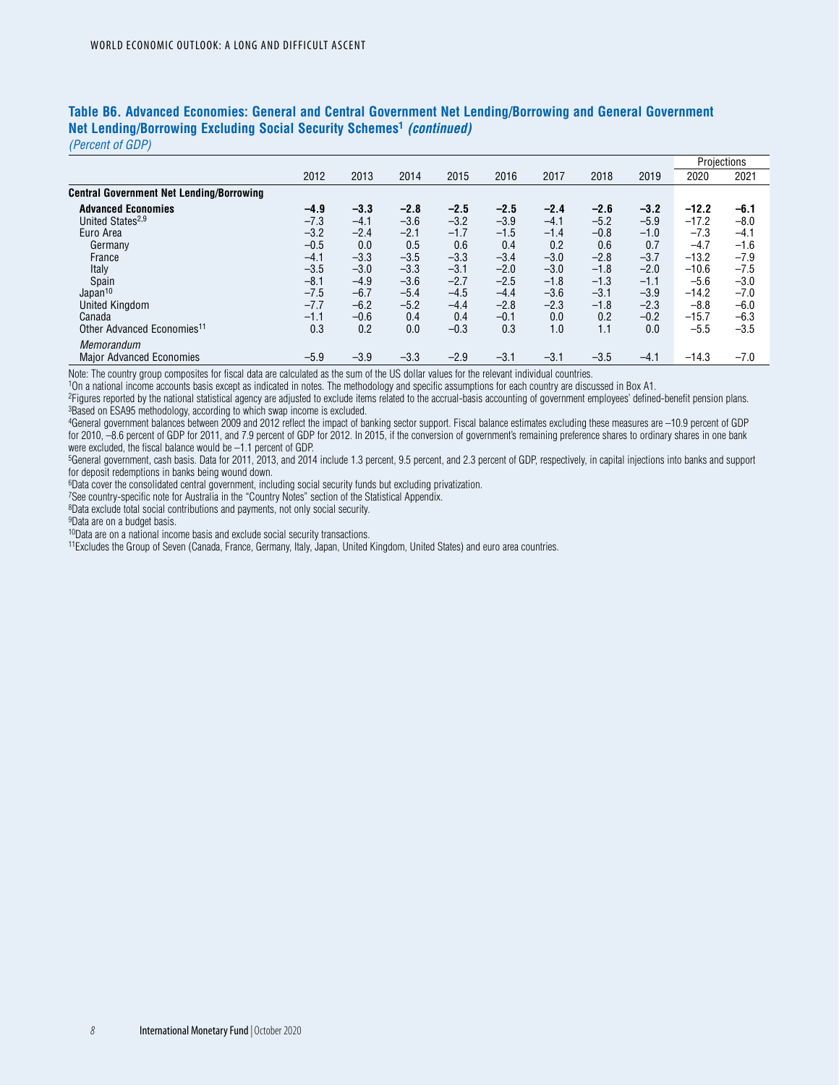|                                                 |        |        |        |        |        |        |        |        | Projections |        |
|-------------------------------------------------|--------|--------|--------|--------|--------|--------|--------|--------|-------------|--------|
|                                                 | 2012   | 2013   | 2014   | 2015   | 2016   | 2017   | 2018   | 2019   | 2020        | 2021   |
| <b>Central Government Net Lending/Borrowing</b> |        |        |        |        |        |        |        |        |             |        |
| <b>Advanced Economies</b>                       | $-4.9$ | $-3.3$ | $-2.8$ | $-2.5$ | $-2.5$ | $-2.4$ | $-2.6$ | $-3.2$ | $-12.2$     | $-6.1$ |
| United States <sup>2,9</sup>                    | $-7.3$ | $-4.1$ | $-3.6$ | $-3.2$ | $-3.9$ | $-4.1$ | $-5.2$ | $-5.9$ | $-17.2$     | $-8.0$ |
| Euro Area                                       | $-3.2$ | $-2.4$ | $-2.1$ | $-1.7$ | $-1.5$ | $-1.4$ | $-0.8$ | $-1.0$ | $-7.3$      | $-4.1$ |
| Germany                                         | $-0.5$ | 0.0    | 0.5    | 0.6    | 0.4    | 0.2    | 0.6    | 0.7    | $-4.7$      | $-1.6$ |
| France                                          | $-4.1$ | $-3.3$ | $-3.5$ | $-3.3$ | $-3.4$ | $-3.0$ | $-2.8$ | $-3.7$ | $-13.2$     | $-7.9$ |
| Italy                                           | $-3.5$ | $-3.0$ | $-3.3$ | $-3.1$ | $-2.0$ | $-3.0$ | $-1.8$ | $-2.0$ | $-10.6$     | $-7.5$ |
| Spain                                           | $-8.1$ | $-4.9$ | $-3.6$ | $-2.7$ | $-2.5$ | $-1.8$ | $-1.3$ | $-1.1$ | $-5.6$      | $-3.0$ |
| Japan <sup>10</sup>                             | $-7.5$ | $-6.7$ | $-5.4$ | $-4.5$ | $-4.4$ | $-3.6$ | $-3.1$ | $-3.9$ | $-14.2$     | $-7.0$ |
| <b>United Kingdom</b>                           | $-7.7$ | $-6.2$ | $-5.2$ | $-4.4$ | $-2.8$ | $-2.3$ | $-1.8$ | $-2.3$ | $-8.8$      | $-6.0$ |
| Canada                                          | $-1.1$ | $-0.6$ | 0.4    | 0.4    | -0.1   | 0.0    | 0.2    | $-0.2$ | $-15.7$     | $-6.3$ |
| Other Advanced Economies <sup>11</sup>          | 0.3    | 0.2    | 0.0    | $-0.3$ | 0.3    | 1.0    | 1.1    | 0.0    | $-5.5$      | $-3.5$ |
| <b>Memorandum</b>                               |        |        |        |        |        |        |        |        |             |        |
| <b>Major Advanced Economies</b>                 | $-5.9$ | $-3.9$ | $-3.3$ | $-2.9$ | $-3.1$ | $-3.1$ | $-3.5$ | $-4.1$ | $-14.3$     | $-7.0$ |

### **Table B6. Advanced Economies: General and Central Government Net Lending/Borrowing and General Government Net Lending/Borrowing Excluding Social Security Schemes1** *(continued)*

*(Percent of GDP)*

Note: The country group composites for fiscal data are calculated as the sum of the US dollar values for the relevant individual countries.

1On a national income accounts basis except as indicated in notes. The methodology and specific assumptions for each country are discussed in Box A1.

2Figures reported by the national statistical agency are adjusted to exclude items related to the accrual-basis accounting of government employees' defined-benefit pension plans. 3Based on ESA95 methodology, according to which swap income is excluded.

4General government balances between 2009 and 2012 reflect the impact of banking sector support. Fiscal balance estimates excluding these measures are –10.9 percent of GDP for 2010, -8.6 percent of GDP for 2011, and 7.9 percent of GDP for 2012. In 2015, if the conversion of government's remaining preference shares to ordinary shares in one bank were excluded, the fiscal balance would be –1.1 percent of GDP.

<sup>5</sup>General government, cash basis. Data for 2011, 2013, and 2014 include 1.3 percent, 9.5 percent, and 2.3 percent of GDP, respectively, in capital injections into banks and support for deposit redemptions in banks being w

<sup>6</sup>Data cover the consolidated central government, including social security funds but excluding privatization.

7See country-specific note for Australia in the "Country Notes" section of the Statistical Appendix.

8Data exclude total social contributions and payments, not only social security.

<sup>9</sup>Data are on a budget basis.

10Data are on a national income basis and exclude social security transactions.

11Excludes the Group of Seven (Canada, France, Germany, Italy, Japan, United Kingdom, United States) and euro area countries.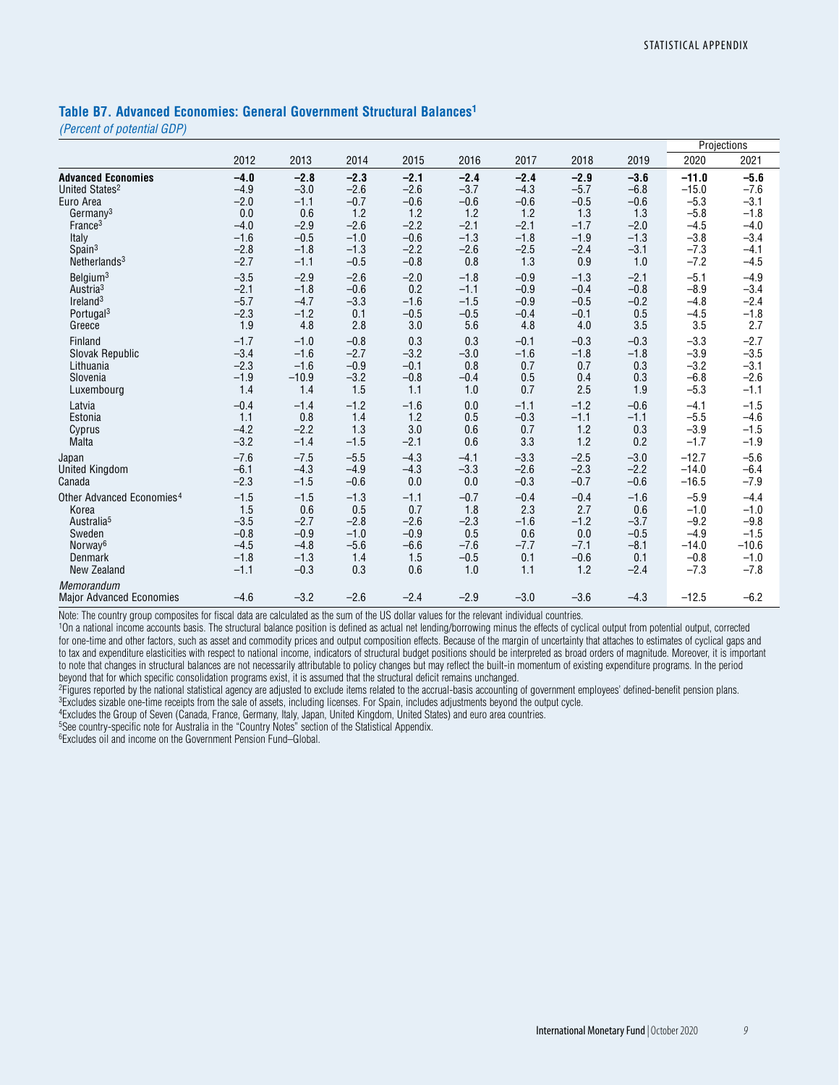#### **Table B7. Advanced Economies: General Government Structural Balances1**

*(Percent of potential GDP)*

|                                               |        |         |        |        |        |        |        |        | Projections |         |
|-----------------------------------------------|--------|---------|--------|--------|--------|--------|--------|--------|-------------|---------|
|                                               | 2012   | 2013    | 2014   | 2015   | 2016   | 2017   | 2018   | 2019   | 2020        | 2021    |
| <b>Advanced Economies</b>                     | $-4.0$ | $-2.8$  | $-2.3$ | $-2.1$ | $-2.4$ | $-2.4$ | $-2.9$ | $-3.6$ | $-11.0$     | $-5.6$  |
| United States <sup>2</sup>                    | $-4.9$ | $-3.0$  | $-2.6$ | $-2.6$ | $-3.7$ | $-4.3$ | $-5.7$ | $-6.8$ | $-15.0$     | $-7.6$  |
| Euro Area                                     | $-2.0$ | $-1.1$  | $-0.7$ | $-0.6$ | $-0.6$ | $-0.6$ | $-0.5$ | $-0.6$ | $-5.3$      | $-3.1$  |
| Germany <sup>3</sup>                          | 0.0    | 0.6     | 1.2    | 1.2    | 1.2    | 1.2    | 1.3    | 1.3    | $-5.8$      | $-1.8$  |
| France <sup>3</sup>                           | $-4.0$ | $-2.9$  | $-2.6$ | $-2.2$ | $-2.1$ | $-2.1$ | $-1.7$ | $-2.0$ | $-4.5$      | $-4.0$  |
| Italy                                         | $-1.6$ | $-0.5$  | $-1.0$ | $-0.6$ | $-1.3$ | $-1.8$ | $-1.9$ | $-1.3$ | $-3.8$      | $-3.4$  |
| Span <sup>3</sup>                             | $-2.8$ | $-1.8$  | $-1.3$ | $-2.2$ | $-2.6$ | $-2.5$ | $-2.4$ | $-3.1$ | $-7.3$      | $-4.1$  |
| Netherlands $3$                               | $-2.7$ | $-1.1$  | $-0.5$ | $-0.8$ | 0.8    | 1.3    | 0.9    | 1.0    | $-7.2$      | $-4.5$  |
| Belgium <sup>3</sup>                          | $-3.5$ | $-2.9$  | $-2.6$ | $-2.0$ | $-1.8$ | $-0.9$ | $-1.3$ | $-2.1$ | $-5.1$      | $-4.9$  |
| Austria <sup>3</sup>                          | $-2.1$ | $-1.8$  | $-0.6$ | 0.2    | $-1.1$ | $-0.9$ | $-0.4$ | $-0.8$ | $-8.9$      | $-3.4$  |
| Ireland <sup>3</sup>                          | $-5.7$ | $-4.7$  | $-3.3$ | $-1.6$ | $-1.5$ | $-0.9$ | $-0.5$ | $-0.2$ | $-4.8$      | $-2.4$  |
| Portugal <sup>3</sup>                         | $-2.3$ | $-1.2$  | 0.1    | $-0.5$ | $-0.5$ | $-0.4$ | $-0.1$ | 0.5    | $-4.5$      | $-1.8$  |
| Greece                                        | 1.9    | 4.8     | 2.8    | 3.0    | 5.6    | 4.8    | 4.0    | 3.5    | 3.5         | 2.7     |
| Finland                                       | $-1.7$ | $-1.0$  | $-0.8$ | 0.3    | 0.3    | $-0.1$ | $-0.3$ | $-0.3$ | $-3.3$      | $-2.7$  |
| Slovak Republic                               | $-3.4$ | $-1.6$  | $-2.7$ | $-3.2$ | $-3.0$ | $-1.6$ | $-1.8$ | $-1.8$ | $-3.9$      | $-3.5$  |
| Lithuania                                     | $-2.3$ | $-1.6$  | $-0.9$ | $-0.1$ | 0.8    | 0.7    | 0.7    | 0.3    | $-3.2$      | $-3.1$  |
| Slovenia                                      | $-1.9$ | $-10.9$ | $-3.2$ | $-0.8$ | $-0.4$ | 0.5    | 0.4    | 0.3    | $-6.8$      | $-2.6$  |
| Luxembourg                                    | 1.4    | 1.4     | 1.5    | 1.1    | 1.0    | 0.7    | 2.5    | 1.9    | $-5.3$      | $-1.1$  |
| Latvia                                        | $-0.4$ | $-1.4$  | $-1.2$ | $-1.6$ | 0.0    | $-1.1$ | $-1.2$ | $-0.6$ | $-4.1$      | $-1.5$  |
| Estonia                                       | 1.1    | 0.8     | 1.4    | 1.2    | 0.5    | $-0.3$ | $-1.1$ | $-1.1$ | $-5.5$      | $-4.6$  |
| Cyprus                                        | $-4.2$ | $-2.2$  | 1.3    | 3.0    | 0.6    | 0.7    | 1.2    | 0.3    | $-3.9$      | $-1.5$  |
| <b>Malta</b>                                  | $-3.2$ | $-1.4$  | $-1.5$ | $-2.1$ | 0.6    | 3.3    | 1.2    | 0.2    | $-1.7$      | $-1.9$  |
| Japan                                         | $-7.6$ | $-7.5$  | $-5.5$ | $-4.3$ | $-4.1$ | $-3.3$ | $-2.5$ | $-3.0$ | $-12.7$     | $-5.6$  |
| <b>United Kingdom</b>                         | $-6.1$ | $-4.3$  | $-4.9$ | $-4.3$ | $-3.3$ | $-2.6$ | $-2.3$ | $-2.2$ | $-14.0$     | $-6.4$  |
| Canada                                        | $-2.3$ | $-1.5$  | $-0.6$ | 0.0    | 0.0    | $-0.3$ | $-0.7$ | $-0.6$ | $-16.5$     | $-7.9$  |
| Other Advanced Economies <sup>4</sup>         | $-1.5$ | $-1.5$  | $-1.3$ | $-1.1$ | $-0.7$ | $-0.4$ | $-0.4$ | $-1.6$ | $-5.9$      | $-4.4$  |
| Korea                                         | 1.5    | 0.6     | 0.5    | 0.7    | 1.8    | 2.3    | 2.7    | 0.6    | $-1.0$      | $-1.0$  |
| Australia <sup>5</sup>                        | $-3.5$ | $-2.7$  | $-2.8$ | $-2.6$ | $-2.3$ | $-1.6$ | $-1.2$ | $-3.7$ | $-9.2$      | $-9.8$  |
| Sweden                                        | $-0.8$ | $-0.9$  | $-1.0$ | $-0.9$ | 0.5    | 0.6    | 0.0    | $-0.5$ | $-4.9$      | $-1.5$  |
| Norway <sup>6</sup>                           | $-4.5$ | $-4.8$  | $-5.6$ | $-6.6$ | $-7.6$ | $-7.7$ | $-7.1$ | $-8.1$ | $-14.0$     | $-10.6$ |
| <b>Denmark</b>                                | $-1.8$ | $-1.3$  | 1.4    | 1.5    | $-0.5$ | 0.1    | $-0.6$ | 0.1    | $-0.8$      | $-1.0$  |
| New Zealand                                   | $-1.1$ | $-0.3$  | 0.3    | 0.6    | 1.0    | 1.1    | 1.2    | $-2.4$ | $-7.3$      | $-7.8$  |
| Memorandum<br><b>Major Advanced Economies</b> | $-4.6$ | $-3.2$  | $-2.6$ | $-2.4$ | $-2.9$ | $-3.0$ | $-3.6$ | $-4.3$ | $-12.5$     | $-6.2$  |

Note: The country group composites for fiscal data are calculated as the sum of the US dollar values for the relevant individual countries.

1On a national income accounts basis. The structural balance position is defined as actual net lending/borrowing minus the effects of cyclical output from potential output, corrected for one-time and other factors, such as asset and commodity prices and output composition effects. Because of the margin of uncertainty that attaches to estimates of cyclical gaps and to tax and expenditure elasticities with respect to national income, indicators of structural budget positions should be interpreted as broad orders of magnitude. Moreover, it is important to note that changes in structural balances are not necessarily attributable to policy changes but may reflect the built-in momentum of existing expenditure programs. In the period beyond that for which specific consolidation programs exist, it is assumed that the structural deficit remains unchanged.

2Figures reported by the national statistical agency are adjusted to exclude items related to the accrual-basis accounting of government employees' defined-benefit pension plans.

3Excludes sizable one-time receipts from the sale of assets, including licenses. For Spain, includes adjustments beyond the output cycle.

4Excludes the Group of Seven (Canada, France, Germany, Italy, Japan, United Kingdom, United States) and euro area countries.

<sup>5</sup>See country-specific note for Australia in the "Country Notes" section of the Statistical Appendix.

6Excludes oil and income on the Government Pension Fund–Global.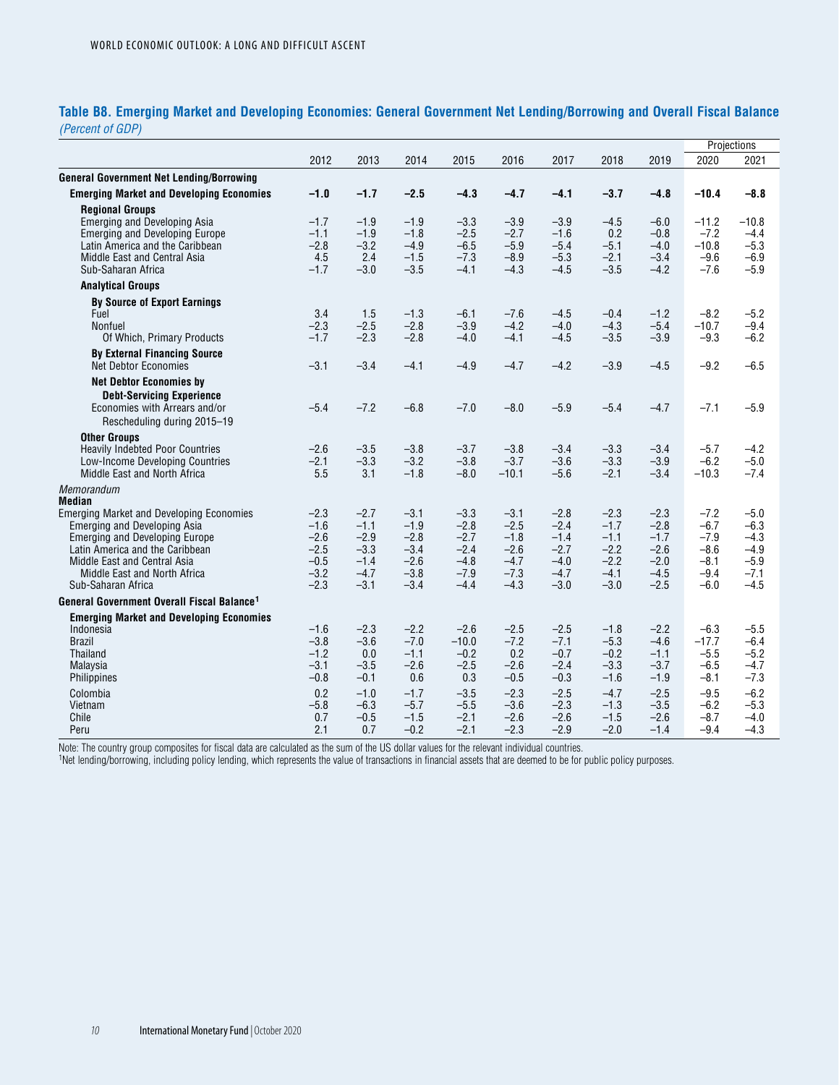#### **Table B8. Emerging Market and Developing Economies: General Government Net Lending/Borrowing and Overall Fiscal Balance** *(Percent of GDP)*

|                                                                                                                                                                                                                                                                    |                                                                    |                                                                    |                                                                    |                                                                    |                                                                    |                                                                    |                                                                    |                                                                    |                                                                    | Projections                                                        |
|--------------------------------------------------------------------------------------------------------------------------------------------------------------------------------------------------------------------------------------------------------------------|--------------------------------------------------------------------|--------------------------------------------------------------------|--------------------------------------------------------------------|--------------------------------------------------------------------|--------------------------------------------------------------------|--------------------------------------------------------------------|--------------------------------------------------------------------|--------------------------------------------------------------------|--------------------------------------------------------------------|--------------------------------------------------------------------|
|                                                                                                                                                                                                                                                                    | 2012                                                               | 2013                                                               | 2014                                                               | 2015                                                               | 2016                                                               | 2017                                                               | 2018                                                               | 2019                                                               | 2020                                                               | 2021                                                               |
| <b>General Government Net Lending/Borrowing</b>                                                                                                                                                                                                                    |                                                                    |                                                                    |                                                                    |                                                                    |                                                                    |                                                                    |                                                                    |                                                                    |                                                                    |                                                                    |
| <b>Emerging Market and Developing Economies</b>                                                                                                                                                                                                                    | $-1.0$                                                             | $-1.7$                                                             | $-2.5$                                                             | $-4.3$                                                             | $-4.7$                                                             | $-4.1$                                                             | $-3.7$                                                             | $-4.8$                                                             | $-10.4$                                                            | $-8.8$                                                             |
| <b>Regional Groups</b><br><b>Emerging and Developing Asia</b><br><b>Emerging and Developing Europe</b><br>Latin America and the Caribbean<br>Middle East and Central Asia<br>Sub-Saharan Africa                                                                    | $-1.7$<br>$-1.1$<br>$-2.8$<br>4.5<br>$-1.7$                        | $-1.9$<br>$-1.9$<br>$-3.2$<br>2.4<br>$-3.0$                        | $-1.9$<br>$-1.8$<br>$-4.9$<br>$-1.5$<br>$-3.5$                     | $-3.3$<br>$-2.5$<br>$-6.5$<br>$-7.3$<br>$-4.1$                     | $-3.9$<br>$-2.7$<br>$-5.9$<br>$-8.9$<br>$-4.3$                     | $-3.9$<br>$-1.6$<br>$-5.4$<br>$-5.3$<br>$-4.5$                     | $-4.5$<br>0.2<br>$-5.1$<br>$-2.1$<br>$-3.5$                        | $-6.0$<br>$-0.8$<br>$-4.0$<br>$-3.4$<br>$-4.2$                     | $-11.2$<br>$-7.2$<br>$-10.8$<br>$-9.6$<br>$-7.6$                   | $-10.8$<br>$-4.4$<br>$-5.3$<br>$-6.9$<br>$-5.9$                    |
| <b>Analytical Groups</b>                                                                                                                                                                                                                                           |                                                                    |                                                                    |                                                                    |                                                                    |                                                                    |                                                                    |                                                                    |                                                                    |                                                                    |                                                                    |
| <b>By Source of Export Earnings</b><br>Fuel<br>Nonfuel<br>Of Which, Primary Products                                                                                                                                                                               | 3.4<br>$-2.3$<br>$-1.7$                                            | 1.5<br>$-2.5$<br>$-2.3$                                            | $-1.3$<br>$-2.8$<br>$-2.8$                                         | $-6.1$<br>$-3.9$<br>$-4.0$                                         | $-7.6$<br>$-4.2$<br>$-4.1$                                         | $-4.5$<br>$-4.0$<br>$-4.5$                                         | $-0.4$<br>$-4.3$<br>$-3.5$                                         | $-1.2$<br>$-5.4$<br>$-3.9$                                         | $-8.2$<br>$-10.7$<br>$-9.3$                                        | $-5.2$<br>$-9.4$<br>$-6.2$                                         |
| <b>By External Financing Source</b><br>Net Debtor Economies                                                                                                                                                                                                        | $-3.1$                                                             | $-3.4$                                                             | $-4.1$                                                             | $-4.9$                                                             | $-4.7$                                                             | $-4.2$                                                             | $-3.9$                                                             | $-4.5$                                                             | $-9.2$                                                             | $-6.5$                                                             |
| <b>Net Debtor Economies by</b><br><b>Debt-Servicing Experience</b><br>Economies with Arrears and/or<br>Rescheduling during 2015-19                                                                                                                                 | $-5.4$                                                             | $-7.2$                                                             | $-6.8$                                                             | $-7.0$                                                             | $-8.0$                                                             | $-5.9$                                                             | $-5.4$                                                             | $-4.7$                                                             | $-7.1$                                                             | $-5.9$                                                             |
| <b>Other Groups</b><br><b>Heavily Indebted Poor Countries</b><br>Low-Income Developing Countries<br>Middle East and North Africa                                                                                                                                   | $-2.6$<br>$-2.1$<br>5.5                                            | $-3.5$<br>$-3.3$<br>3.1                                            | $-3.8$<br>$-3.2$<br>$-1.8$                                         | $-3.7$<br>$-3.8$<br>$-8.0$                                         | $-3.8$<br>$-3.7$<br>$-10.1$                                        | $-3.4$<br>$-3.6$<br>$-5.6$                                         | $-3.3$<br>$-3.3$<br>$-2.1$                                         | $-3.4$<br>$-3.9$<br>$-3.4$                                         | $-5.7$<br>$-6.2$<br>$-10.3$                                        | $-4.2$<br>$-5.0$<br>$-7.4$                                         |
| Memorandum                                                                                                                                                                                                                                                         |                                                                    |                                                                    |                                                                    |                                                                    |                                                                    |                                                                    |                                                                    |                                                                    |                                                                    |                                                                    |
| <b>Median</b><br><b>Emerging Market and Developing Economies</b><br>Emerging and Developing Asia<br><b>Emerging and Developing Europe</b><br>Latin America and the Caribbean<br>Middle East and Central Asia<br>Middle East and North Africa<br>Sub-Saharan Africa | $-2.3$<br>$-1.6$<br>$-2.6$<br>$-2.5$<br>$-0.5$<br>$-3.2$<br>$-2.3$ | $-2.7$<br>$-1.1$<br>$-2.9$<br>$-3.3$<br>$-1.4$<br>$-4.7$<br>$-3.1$ | $-3.1$<br>$-1.9$<br>$-2.8$<br>$-3.4$<br>$-2.6$<br>$-3.8$<br>$-3.4$ | $-3.3$<br>$-2.8$<br>$-2.7$<br>$-2.4$<br>$-4.8$<br>$-7.9$<br>$-4.4$ | $-3.1$<br>$-2.5$<br>$-1.8$<br>$-2.6$<br>$-4.7$<br>$-7.3$<br>$-4.3$ | $-2.8$<br>$-2.4$<br>$-1.4$<br>$-2.7$<br>$-4.0$<br>$-4.7$<br>$-3.0$ | $-2.3$<br>$-1.7$<br>$-1.1$<br>$-2.2$<br>$-2.2$<br>$-4.1$<br>$-3.0$ | $-2.3$<br>$-2.8$<br>$-1.7$<br>$-2.6$<br>$-2.0$<br>$-4.5$<br>$-2.5$ | $-7.2$<br>$-6.7$<br>$-7.9$<br>$-8.6$<br>$-8.1$<br>$-9.4$<br>$-6.0$ | $-5.0$<br>$-6.3$<br>$-4.3$<br>$-4.9$<br>$-5.9$<br>$-7.1$<br>$-4.5$ |
| General Government Overall Fiscal Balance <sup>1</sup>                                                                                                                                                                                                             |                                                                    |                                                                    |                                                                    |                                                                    |                                                                    |                                                                    |                                                                    |                                                                    |                                                                    |                                                                    |
| <b>Emerging Market and Developing Economies</b><br>Indonesia<br><b>Brazil</b><br><b>Thailand</b><br>Malaysia<br>Philippines<br>Colombia                                                                                                                            | $-1.6$<br>$-3.8$<br>$-1.2$<br>$-3.1$<br>$-0.8$<br>0.2              | $-2.3$<br>$-3.6$<br>0.0<br>$-3.5$<br>$-0.1$<br>$-1.0$              | $-2.2$<br>$-7.0$<br>$-1.1$<br>$-2.6$<br>0.6<br>$-1.7$              | $-2.6$<br>$-10.0$<br>$-0.2$<br>$-2.5$<br>0.3<br>$-3.5$             | $-2.5$<br>$-7.2$<br>0.2<br>$-2.6$<br>$-0.5$<br>$-2.3$              | $-2.5$<br>$-7.1$<br>$-0.7$<br>$-2.4$<br>$-0.3$<br>$-2.5$           | $-1.8$<br>$-5.3$<br>$-0.2$<br>$-3.3$<br>$-1.6$<br>$-4.7$           | $-2.2$<br>$-4.6$<br>$-1.1$<br>$-3.7$<br>$-1.9$<br>$-2.5$           | $-6.3$<br>$-17.7$<br>$-5.5$<br>$-6.5$<br>$-8.1$<br>$-9.5$          | $-5.5$<br>$-6.4$<br>$-5.2$<br>$-4.7$<br>$-7.3$<br>$-6.2$           |
| Vietnam<br>Chile<br>Peru                                                                                                                                                                                                                                           | $-5.8$<br>0.7<br>2.1                                               | $-6.3$<br>$-0.5$<br>0.7                                            | $-5.7$<br>$-1.5$<br>$-0.2$                                         | $-5.5$<br>$-2.1$<br>$-2.1$                                         | $-3.6$<br>$-2.6$<br>$-2.3$                                         | $-2.3$<br>$-2.6$<br>$-2.9$                                         | $-1.3$<br>$-1.5$<br>$-2.0$                                         | $-3.5$<br>$-2.6$<br>$-1.4$                                         | $-6.2$<br>$-8.7$<br>$-9.4$                                         | $-5.3$<br>$-4.0$<br>$-4.3$                                         |

Note: The country group composites for fiscal data are calculated as the sum of the US dollar values for the relevant individual countries.

1Net lending/borrowing, including policy lending, which represents the value of transactions in financial assets that are deemed to be for public policy purposes.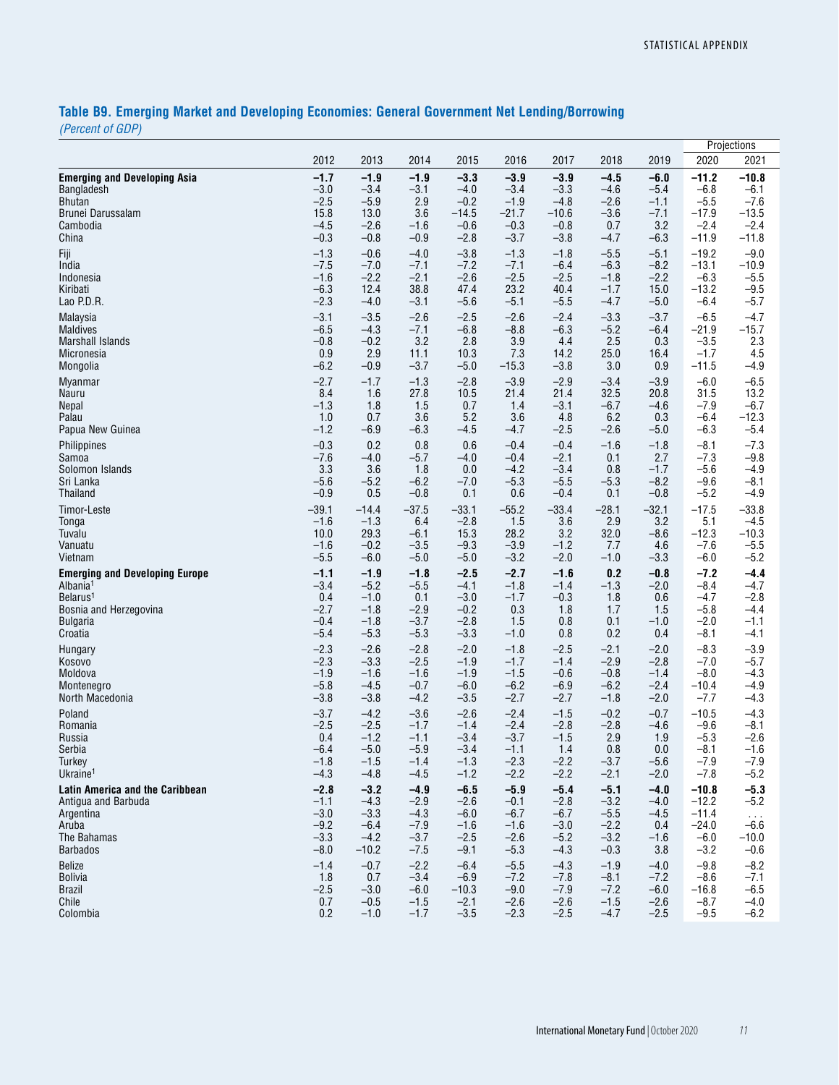# **Table B9. Emerging Market and Developing Economies: General Government Net Lending/Borrowing**

*(Percent of GDP)*

|                                        |         |         |         |         |         |         |         |         |         | Projections          |
|----------------------------------------|---------|---------|---------|---------|---------|---------|---------|---------|---------|----------------------|
|                                        | 2012    | 2013    | 2014    | 2015    | 2016    | 2017    | 2018    | 2019    | 2020    | 2021                 |
| <b>Emerging and Developing Asia</b>    | $-1.7$  | $-1.9$  | $-1.9$  | $-3.3$  | $-3.9$  | $-3.9$  | $-4.5$  | $-6.0$  | $-11.2$ | $-10.8$              |
| <b>Bangladesh</b>                      | $-3.0$  | $-3.4$  | $-3.1$  | $-4.0$  | $-3.4$  | $-3.3$  | $-4.6$  | $-5.4$  | $-6.8$  | $-6.1$               |
| <b>Bhutan</b>                          | $-2.5$  | $-5.9$  | 2.9     | $-0.2$  | $-1.9$  | $-4.8$  | $-2.6$  | $-1.1$  | $-5.5$  | $-7.6$               |
| Brunei Darussalam                      | 15.8    | 13.0    | 3.6     | $-14.5$ | $-21.7$ | $-10.6$ | $-3.6$  | $-7.1$  | $-17.9$ | $-13.5$              |
| Cambodia                               | $-4.5$  | $-2.6$  | $-1.6$  | $-0.6$  | $-0.3$  | $-0.8$  | 0.7     | 3.2     | $-2.4$  | $-2.4$               |
| China                                  | $-0.3$  | $-0.8$  | $-0.9$  | $-2.8$  | $-3.7$  | $-3.8$  | $-4.7$  | $-6.3$  | $-11.9$ | $-11.8$              |
| Fiji                                   | $-1.3$  | $-0.6$  | $-4.0$  | $-3.8$  | $-1.3$  | $-1.8$  | $-5.5$  | $-5.1$  | $-19.2$ | $-9.0$               |
| India                                  | $-7.5$  | $-7.0$  | $-7.1$  | $-7.2$  | $-7.1$  | $-6.4$  | $-6.3$  | $-8.2$  | $-13.1$ | $-10.9$              |
| Indonesia                              | $-1.6$  | $-2.2$  | $-2.1$  | $-2.6$  | $-2.5$  | $-2.5$  | $-1.8$  | $-2.2$  | $-6.3$  | $-5.5$               |
| Kiribati                               | $-6.3$  | 12.4    | 38.8    | 47.4    | 23.2    | 40.4    | $-1.7$  | 15.0    | $-13.2$ | $-9.5$               |
| Lao P.D.R.                             | $-2.3$  | $-4.0$  | $-3.1$  | $-5.6$  | $-5.1$  | $-5.5$  | $-4.7$  | $-5.0$  | $-6.4$  | $-5.7$               |
| Malaysia                               | $-3.1$  | $-3.5$  | $-2.6$  | $-2.5$  | $-2.6$  | $-2.4$  | $-3.3$  | $-3.7$  | $-6.5$  | $-4.7$               |
| <b>Maldives</b>                        | $-6.5$  | $-4.3$  | $-7.1$  | $-6.8$  | $-8.8$  | $-6.3$  | $-5.2$  | $-6.4$  | $-21.9$ | $-15.7$              |
| <b>Marshall Islands</b>                | $-0.8$  | $-0.2$  | 3.2     | 2.8     | 3.9     | 4.4     | 2.5     | 0.3     | $-3.5$  | 2.3                  |
| Micronesia                             | 0.9     | 2.9     | 11.1    | 10.3    | 7.3     | 14.2    | 25.0    | 16.4    | $-1.7$  | 4.5                  |
| Mongolia                               | $-6.2$  | $-0.9$  | $-3.7$  | $-5.0$  | $-15.3$ | $-3.8$  | 3.0     | 0.9     | $-11.5$ | $-4.9$               |
| Myanmar                                | $-2.7$  | $-1.7$  | $-1.3$  | $-2.8$  | $-3.9$  | $-2.9$  | $-3.4$  | $-3.9$  | $-6.0$  | $-6.5$               |
| Nauru                                  | 8.4     | 1.6     | 27.8    | 10.5    | 21.4    | 21.4    | 32.5    | 20.8    | 31.5    | 13.2                 |
| Nepal                                  | $-1.3$  | 1.8     | 1.5     | 0.7     | 1.4     | $-3.1$  | $-6.7$  | $-4.6$  | $-7.9$  | $-6.7$               |
| Palau                                  | 1.0     | 0.7     | 3.6     | 5.2     | 3.6     | 4.8     | 6.2     | 0.3     | $-6.4$  | $-12.3$              |
| Papua New Guinea                       | $-1.2$  | $-6.9$  | $-6.3$  | $-4.5$  | $-4.7$  | $-2.5$  | $-2.6$  | $-5.0$  | $-6.3$  | $-5.4$               |
| Philippines                            | $-0.3$  | 0.2     | 0.8     | 0.6     | $-0.4$  | $-0.4$  | $-1.6$  | $-1.8$  | $-8.1$  | $-7.3$               |
| Samoa                                  | $-7.6$  | $-4.0$  | $-5.7$  | $-4.0$  | $-0.4$  | $-2.1$  | 0.1     | 2.7     | $-7.3$  | $-9.8$               |
| Solomon Islands                        | 3.3     | 3.6     | 1.8     | 0.0     | $-4.2$  | $-3.4$  | 0.8     | $-1.7$  | $-5.6$  | $-4.9$               |
| Sri Lanka                              | $-5.6$  | $-5.2$  | $-6.2$  | $-7.0$  | $-5.3$  | $-5.5$  | $-5.3$  | $-8.2$  | $-9.6$  | $-8.1$               |
| <b>Thailand</b>                        | $-0.9$  | 0.5     | $-0.8$  | 0.1     | 0.6     | $-0.4$  | 0.1     | $-0.8$  | $-5.2$  | $-4.9$               |
| Timor-Leste                            | $-39.1$ | $-14.4$ | $-37.5$ | $-33.1$ | $-55.2$ | $-33.4$ | $-28.1$ | $-32.1$ | $-17.5$ | $-33.8$              |
| Tonga                                  | $-1.6$  | $-1.3$  | 6.4     | $-2.8$  | 1.5     | 3.6     | 2.9     | 3.2     | 5.1     | $-4.5$               |
| Tuvalu                                 | 10.0    | 29.3    | $-6.1$  | 15.3    | 28.2    | 3.2     | 32.0    | $-8.6$  | $-12.3$ | $-10.3$              |
| Vanuatu                                | $-1.6$  | $-0.2$  | $-3.5$  | $-9.3$  | $-3.9$  | $-1.2$  | 7.7     | 4.6     | $-7.6$  | $-5.5$               |
| Vietnam                                | $-5.5$  | $-6.0$  | $-5.0$  | $-5.0$  | $-3.2$  | $-2.0$  | $-1.0$  | $-3.3$  | $-6.0$  | $-5.2$               |
| <b>Emerging and Developing Europe</b>  | $-1.1$  | $-1.9$  | $-1.8$  | $-2.5$  | $-2.7$  | $-1.6$  | 0.2     | $-0.8$  | $-7.2$  | $-4.4$               |
| Albania <sup>1</sup>                   | $-3.4$  | $-5.2$  | $-5.5$  | $-4.1$  | $-1.8$  | $-1.4$  | $-1.3$  | $-2.0$  | $-8.4$  | $-4.7$               |
| Belarus <sup>1</sup>                   | 0.4     | $-1.0$  | 0.1     | $-3.0$  | $-1.7$  | $-0.3$  | 1.8     | 0.6     | $-4.7$  | $-2.8$               |
| Bosnia and Herzegovina                 | $-2.7$  | $-1.8$  | $-2.9$  | $-0.2$  | 0.3     | 1.8     | 1.7     | 1.5     | $-5.8$  | $-4.4$               |
| <b>Bulgaria</b>                        | $-0.4$  | $-1.8$  | $-3.7$  | $-2.8$  | 1.5     | 0.8     | 0.1     | $-1.0$  | $-2.0$  | $-1.1$               |
| Croatia                                | $-5.4$  | $-5.3$  | $-5.3$  | $-3.3$  | $-1.0$  | 0.8     | 0.2     | 0.4     | $-8.1$  | $-4.1$               |
| Hungary                                | $-2.3$  | $-2.6$  | $-2.8$  | $-2.0$  | $-1.8$  | $-2.5$  | $-2.1$  | $-2.0$  | $-8.3$  | $-3.9$               |
| Kosovo                                 | $-2.3$  | $-3.3$  | $-2.5$  | $-1.9$  | $-1.7$  | $-1.4$  | $-2.9$  | $-2.8$  | $-7.0$  | $-5.7$               |
| Moldova                                | $-1.9$  | $-1.6$  | $-1.6$  | $-1.9$  | $-1.5$  | $-0.6$  | $-0.8$  | $-1.4$  | $-8.0$  | $-4.3$               |
| Montenegro                             | $-5.8$  | $-4.5$  | $-0.7$  | $-6.0$  | $-6.2$  | $-6.9$  | $-6.2$  | $-2.4$  | $-10.4$ | $-4.9$               |
| North Macedonia                        | $-3.8$  | $-3.8$  | $-4.2$  | $-3.5$  | $-2.7$  | $-2.7$  | $-1.8$  | $-2.0$  | $-7.7$  | $-4.3$               |
| Poland                                 | $-3.7$  | $-4.2$  | $-3.6$  | $-2.6$  | $-2.4$  | $-1.5$  | $-0.2$  | $-0.7$  | $-10.5$ | $-4.3$               |
| Romania                                | $-2.5$  | $-2.5$  | $-1.7$  | $-1.4$  | $-2.4$  | $-2.8$  | $-2.8$  | $-4.6$  | $-9.6$  | $-8.1$               |
| Russia                                 | 0.4     | $-1.2$  | $-1.1$  | $-3.4$  | $-3.7$  | $-1.5$  | 2.9     | 1.9     | $-5.3$  | $-2.6$               |
| Serbia                                 | $-6.4$  | $-5.0$  | $-5.9$  | $-3.4$  | $-1.1$  | 1.4     | 0.8     | 0.0     | $-8.1$  | $-1.6$               |
| Turkey                                 | $-1.8$  | $-1.5$  | $-1.4$  | $-1.3$  | $-2.3$  | $-2.2$  | $-3.7$  | $-5.6$  | $-7.9$  | $-7.9$               |
| Ukraine <sup>1</sup>                   | $-4.3$  | $-4.8$  | $-4.5$  | $-1.2$  | $-2.2$  | $-2.2$  | $-2.1$  | $-2.0$  | $-7.8$  | $-5.2$               |
| <b>Latin America and the Caribbean</b> | $-2.8$  | $-3.2$  | $-4.9$  | $-6.5$  | $-5.9$  | $-5.4$  | $-5.1$  | $-4.0$  | $-10.8$ | $-5.3$               |
| Antigua and Barbuda                    | $-1.1$  | $-4.3$  | $-2.9$  | $-2.6$  | $-0.1$  | $-2.8$  | $-3.2$  | $-4.0$  | $-12.2$ | $-5.2$               |
| Argentina                              | $-3.0$  | $-3.3$  | $-4.3$  | $-6.0$  | $-6.7$  | $-6.7$  | $-5.5$  | $-4.5$  | $-11.4$ | $\sim$ $\sim$ $\sim$ |
| Aruba                                  | $-9.2$  | $-6.4$  | $-7.9$  | $-1.6$  | $-1.6$  | $-3.0$  | $-2.2$  | 0.4     | $-24.0$ | $-6.6$               |
| The Bahamas                            | $-3.3$  | $-4.2$  | $-3.7$  | $-2.5$  | $-2.6$  | $-5.2$  | $-3.2$  | $-1.6$  | $-6.0$  | $-10.0$              |
| <b>Barbados</b>                        | $-8.0$  | $-10.2$ | $-7.5$  | $-9.1$  | $-5.3$  | $-4.3$  | $-0.3$  | 3.8     | $-3.2$  | $-0.6$               |
| <b>Belize</b>                          | $-1.4$  | $-0.7$  | $-2.2$  | $-6.4$  | $-5.5$  | $-4.3$  | $-1.9$  | $-4.0$  | $-9.8$  | $-8.2$               |
| <b>Bolivia</b>                         | 1.8     | 0.7     | $-3.4$  | $-6.9$  | $-7.2$  | $-7.8$  | $-8.1$  | $-7.2$  | $-8.6$  | $-7.1$               |
| <b>Brazil</b>                          | $-2.5$  | $-3.0$  | $-6.0$  | $-10.3$ | $-9.0$  | $-7.9$  | $-7.2$  | $-6.0$  | $-16.8$ | $-6.5$               |
| Chile                                  | 0.7     | $-0.5$  | $-1.5$  | $-2.1$  | $-2.6$  | $-2.6$  | $-1.5$  | $-2.6$  | $-8.7$  | $-4.0$               |
| Colombia                               | 0.2     | $-1.0$  | $-1.7$  | $-3.5$  | $-2.3$  | $-2.5$  | $-4.7$  | $-2.5$  | $-9.5$  | $-6.2$               |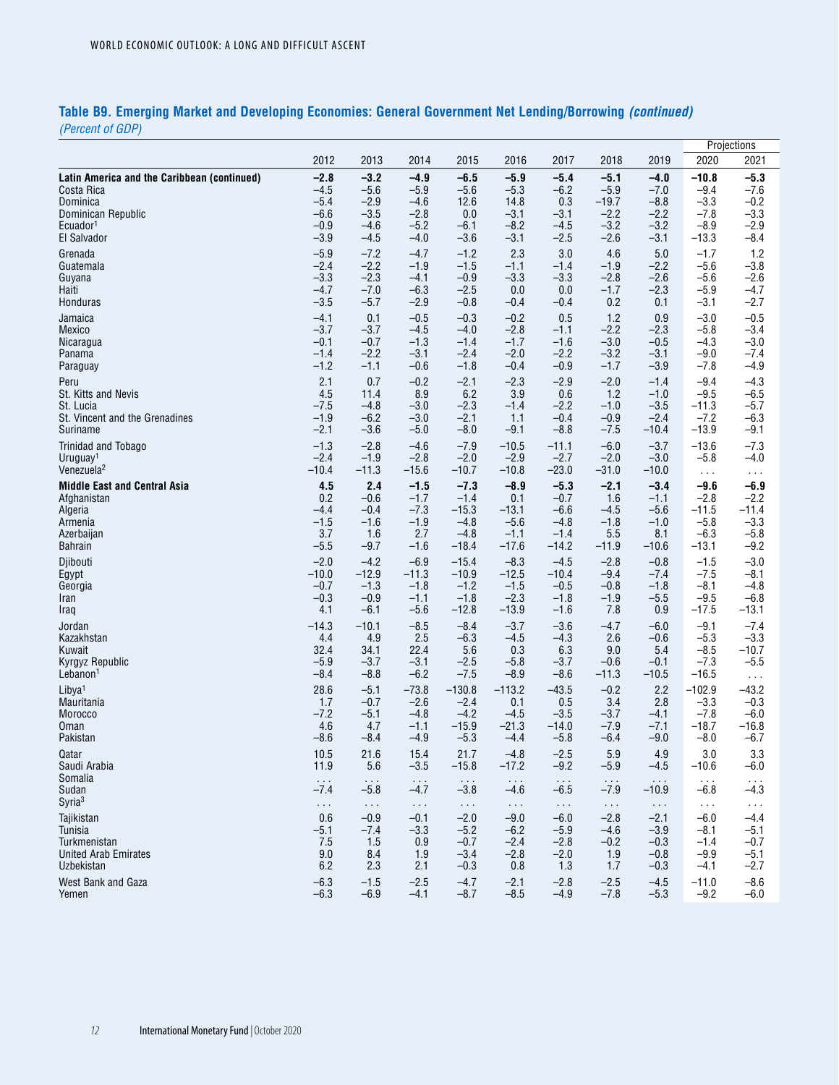### **Table B9. Emerging Market and Developing Economies: General Government Net Lending/Borrowing** *(continued) (Percent of GDP)*

|                                                           |                         |                      |                                |                                |                      |                                | Projections             |                                 |                         |                         |
|-----------------------------------------------------------|-------------------------|----------------------|--------------------------------|--------------------------------|----------------------|--------------------------------|-------------------------|---------------------------------|-------------------------|-------------------------|
|                                                           | 2012                    | 2013                 | 2014                           | 2015                           | 2016                 | 2017                           | 2018                    | 2019                            | 2020                    | 2021                    |
| Latin America and the Caribbean (continued)<br>Costa Rica | $-2.8$<br>$-4.5$        | $-3.2$<br>$-5.6$     | $-4.9$<br>$-5.9$               | $-6.5$<br>$-5.6$               | $-5.9$<br>$-5.3$     | $-5.4$<br>$-6.2$               | $-5.1$<br>$-5.9$        | $-4.0$<br>$-7.0$                | $-10.8$<br>$-9.4$       | $-5.3$<br>$-7.6$        |
| Dominica<br>Dominican Republic                            | $-5.4$<br>$-6.6$        | $-2.9$<br>$-3.5$     | $-4.6$<br>$-2.8$               | 12.6<br>0.0                    | 14.8<br>$-3.1$       | 0.3<br>$-3.1$                  | $-19.7$<br>$-2.2$       | $-8.8$<br>$-2.2$                | $-3.3$<br>$-7.8$        | $-0.2$<br>$-3.3$        |
| Ecuador <sup>1</sup>                                      | $-0.9$                  | $-4.6$               | $-5.2$                         | $-6.1$                         | $-8.2$               | $-4.5$                         | $-3.2$                  | $-3.2$                          | $-8.9$                  | $-2.9$                  |
| El Salvador                                               | $-3.9$                  | $-4.5$               | $-4.0$                         | $-3.6$                         | $-3.1$               | $-2.5$                         | $-2.6$                  | $-3.1$                          | $-13.3$                 | $-8.4$                  |
| Grenada<br>Guatemala                                      | $-5.9$<br>$-2.4$        | $-7.2$<br>$-2.2$     | $-4.7$<br>$-1.9$               | $-1.2$<br>$-1.5$               | 2.3<br>$-1.1$        | 3.0<br>$-1.4$                  | 4.6<br>$-1.9$           | 5.0<br>$-2.2$                   | $-1.7$<br>$-5.6$        | 1.2<br>$-3.8$           |
| Guyana                                                    | $-3.3$                  | $-2.3$               | $-4.1$                         | $-0.9$                         | $-3.3$               | $-3.3$                         | $-2.8$                  | $-2.6$                          | $-5.6$                  | $-2.6$                  |
| Haiti                                                     | $-4.7$                  | $-7.0$               | $-6.3$                         | $-2.5$                         | 0.0                  | 0.0                            | $-1.7$                  | $-2.3$                          | $-5.9$                  | $-4.7$                  |
| Honduras<br>Jamaica                                       | $-3.5$<br>$-4.1$        | $-5.7$<br>0.1        | $-2.9$<br>$-0.5$               | $-0.8$<br>$-0.3$               | $-0.4$<br>$-0.2$     | $-0.4$<br>0.5                  | 0.2<br>1.2              | 0.1<br>0.9                      | $-3.1$<br>$-3.0$        | $-2.7$<br>$-0.5$        |
| Mexico                                                    | $-3.7$                  | $-3.7$               | $-4.5$                         | $-4.0$                         | $-2.8$               | $-1.1$                         | $-2.2$                  | $-2.3$                          | $-5.8$                  | $-3.4$                  |
| Nicaragua                                                 | $-0.1$                  | $-0.7$               | $-1.3$                         | $-1.4$                         | $-1.7$               | $-1.6$                         | $-3.0$                  | $-0.5$                          | $-4.3$                  | $-3.0$                  |
| Panama<br>Paraguay                                        | $-1.4$<br>$-1.2$        | $-2.2$<br>$-1.1$     | $-3.1$<br>$-0.6$               | $-2.4$<br>$-1.8$               | $-2.0$<br>$-0.4$     | $-2.2$<br>$-0.9$               | $-3.2$<br>$-1.7$        | $-3.1$<br>$-3.9$                | $-9.0$<br>$-7.8$        | $-7.4$<br>$-4.9$        |
| Peru                                                      | 2.1                     | 0.7                  | $-0.2$                         | $-2.1$                         | $-2.3$               | $-2.9$                         | $-2.0$                  | $-1.4$                          | $-9.4$                  | $-4.3$                  |
| St. Kitts and Nevis                                       | 4.5                     | 11.4                 | 8.9                            | 6.2                            | 3.9                  | 0.6                            | 1.2                     | $-1.0$                          | $-9.5$                  | $-6.5$                  |
| St. Lucia<br>St. Vincent and the Grenadines               | $-7.5$<br>$-1.9$        | $-4.8$<br>$-6.2$     | $-3.0$<br>$-3.0$               | $-2.3$<br>$-2.1$               | $-1.4$<br>1.1        | $-2.2$<br>$-0.4$               | $-1.0$<br>$-0.9$        | $-3.5$<br>$-2.4$                | $-11.3$<br>$-7.2$       | $-5.7$<br>$-6.3$        |
| Suriname                                                  | $-2.1$                  | $-3.6$               | $-5.0$                         | $-8.0$                         | $-9.1$               | $-8.8$                         | $-7.5$                  | $-10.4$                         | $-13.9$                 | $-9.1$                  |
| Trinidad and Tobago                                       | $-1.3$<br>$-2.4$        | $-2.8$<br>$-1.9$     | $-4.6$<br>$-2.8$               | $-7.9$<br>$-2.0$               | $-10.5$<br>$-2.9$    | $-11.1$<br>$-2.7$              | $-6.0$<br>$-2.0$        | $-3.7$<br>$-3.0$                | $-13.6$                 | $-7.3$                  |
| Uruguay <sup>1</sup><br>Venezuela <sup>2</sup>            | $-10.4$                 | $-11.3$              | $-15.6$                        | $-10.7$                        | $-10.8$              | $-23.0$                        | $-31.0$                 | $-10.0$                         | $-5.8$<br>$\sim$        | $-4.0$<br>$\sim$ $\sim$ |
| <b>Middle East and Central Asia</b>                       | 4.5                     | 2.4                  | $-1.5$                         | $-7.3$                         | $-8.9$               | $-5.3$                         | $-2.1$                  | $-3.4$                          | $-9.6$                  | $-6.9$                  |
| Afghanistan                                               | 0.2<br>$-4.4$           | $-0.6$<br>$-0.4$     | $-1.7$<br>$-7.3$               | $-1.4$<br>$-15.3$              | 0.1<br>$-13.1$       | $-0.7$<br>$-6.6$               | 1.6<br>$-4.5$           | $-1.1$<br>$-5.6$                | $-2.8$<br>$-11.5$       | $-2.2$<br>$-11.4$       |
| Algeria<br>Armenia                                        | $-1.5$                  | $-1.6$               | $-1.9$                         | $-4.8$                         | $-5.6$               | $-4.8$                         | $-1.8$                  | $-1.0$                          | $-5.8$                  | $-3.3$                  |
| Azerbaijan                                                | 3.7                     | 1.6                  | 2.7                            | $-4.8$                         | $-1.1$               | $-1.4$                         | 5.5                     | 8.1                             | $-6.3$                  | $-5.8$                  |
| <b>Bahrain</b><br>Djibouti                                | $-5.5$<br>$-2.0$        | $-9.7$<br>$-4.2$     | $-1.6$<br>$-6.9$               | $-18.4$<br>$-15.4$             | $-17.6$<br>$-8.3$    | $-14.2$<br>$-4.5$              | $-11.9$<br>$-2.8$       | $-10.6$<br>$-0.8$               | $-13.1$<br>$-1.5$       | $-9.2$<br>$-3.0$        |
| Egypt                                                     | $-10.0$                 | $-12.9$              | $-11.3$                        | $-10.9$                        | $-12.5$              | $-10.4$                        | $-9.4$                  | $-7.4$                          | $-7.5$                  | $-8.1$                  |
| Georgia                                                   | $-0.7$                  | $-1.3$               | $-1.8$                         | $-1.2$                         | $-1.5$               | $-0.5$                         | $-0.8$                  | $-1.8$                          | $-8.1$                  | $-4.8$                  |
| Iran<br>Iraq                                              | $-0.3$<br>4.1           | $-0.9$<br>$-6.1$     | $-1.1$<br>$-5.6$               | $-1.8$<br>$-12.8$              | $-2.3$<br>$-13.9$    | $-1.8$<br>$-1.6$               | $-1.9$<br>7.8           | $-5.5$<br>0.9                   | $-9.5$<br>$-17.5$       | $-6.8$<br>$-13.1$       |
| Jordan                                                    | $-14.3$                 | $-10.1$              | $-8.5$                         | $-8.4$                         | $-3.7$               | $-3.6$                         | $-4.7$                  | $-6.0$                          | $-9.1$                  | $-7.4$                  |
| Kazakhstan                                                | 4.4                     | 4.9                  | 2.5                            | $-6.3$                         | $-4.5$               | $-4.3$                         | 2.6                     | $-0.6$                          | $-5.3$                  | $-3.3$                  |
| Kuwait<br>Kyrgyz Republic                                 | 32.4<br>$-5.9$          | 34.1<br>$-3.7$       | 22.4<br>$-3.1$                 | 5.6<br>$-2.5$                  | 0.3<br>$-5.8$        | 6.3<br>$-3.7$                  | 9.0<br>$-0.6$           | 5.4<br>$-0.1$                   | $-8.5$<br>$-7.3$        | $-10.7$<br>$-5.5$       |
| Lebanon <sup>1</sup>                                      | $-8.4$                  | $-8.8$               | $-6.2$                         | $-7.5$                         | $-8.9$               | $-8.6$                         | $-11.3$                 | $-10.5$                         | $-16.5$                 | $\ddotsc$               |
| Libya <sup>1</sup>                                        | 28.6                    | $-5.1$               | $-73.8$<br>$-2.6$              | $-130.8$                       | $-113.2$             | $-43.5$                        | $-0.2$                  | 2.2                             | $-102.9$                | $-43.2$                 |
| Mauritania<br>Morocco                                     | 1.7<br>$-7.2$           | $-0.7$<br>$-5.1$     | $-4.8$                         | $-2.4$<br>$-4.2$               | 0.1<br>$-4.5$        | 0.5<br>$-3.5$                  | 3.4<br>$-3.7$           | 2.8<br>$-4.1$                   | $-3.3$<br>$-7.8$        | $-0.3$<br>$-6.0$        |
| Oman                                                      | 4.6                     | 4.7                  | $-1.1$                         | $-15.9$                        | $-21.3$              | $-14.0$                        | $-7.9$                  | $-7.1$                          | $-18.7$                 | $-16.8$                 |
| Pakistan<br>Qatar                                         | $-8.6$<br>$10.5$        | $-8.4$<br>21.6       | $-4.9$<br>15.4                 | $-5.3$<br>21.7                 | $-4.4$<br>$-4.8$     | $-5.8$<br>$-2.5$               | $-6.4$<br>5.9           | $-9.0$<br>4.9                   | $-8.0$<br>$3.0\,$       | $-6.7$<br>3.3           |
| Saudi Arabia                                              | 11.9                    | 5.6                  | $-3.5$                         | $-15.8$                        | $-17.2$              | $-9.2$                         | $-5.9$                  | $-4.5$                          | $-10.6$                 | $-6.0$                  |
| Somalia                                                   | $\sim$ $\sim$           | $\sim$ $\sim$        | $\sim$ $\sim$                  | $\sim$ $\sim$                  | $\sim$ $\sim$        | $\sim$ $\sim$                  | $\sim$ $\sim$           | $\sim$                          | $\sim$ $\sim$           | $\sim$ $\sim$           |
| Sudan<br>Syria <sup>3</sup>                               | $-7.4$<br>$\sim$ $\sim$ | $-5.8$<br>$\sim 100$ | $-4.7$<br>$\sim$ $\sim$ $\sim$ | $-3.8$<br>$\sim$ $\sim$ $\sim$ | $-4.6$<br>$\sim 100$ | $-6.5$<br>$\sim$ $\sim$ $\sim$ | $-7.9$<br>$\sim$ $\sim$ | $-10.9$<br>$\sim$ $\sim$ $\sim$ | $-6.8$<br>$\sim$ $\sim$ | $-4.3$<br>$\sim$ $\sim$ |
| Tajikistan                                                | 0.6                     | $-0.9$               | $-0.1$                         | $-2.0$                         | $-9.0$               | $-6.0$                         | $-2.8$                  | $-2.1$                          | $-6.0$                  | $-4.4$                  |
| Tunisia                                                   | $-5.1$                  | $-7.4$               | $-3.3$                         | $-5.2$                         | $-6.2$               | $-5.9$                         | $-4.6$                  | $-3.9$                          | $-8.1$                  | $-5.1$                  |
| Turkmenistan<br><b>United Arab Emirates</b>               | 7.5<br>9.0              | 1.5<br>8.4           | 0.9<br>1.9                     | $-0.7$<br>$-3.4$               | $-2.4$<br>$-2.8$     | $-2.8$<br>$-2.0$               | $-0.2$<br>1.9           | $-0.3$<br>$-0.8$                | $-1.4$<br>$-9.9$        | $-0.7$<br>$-5.1$        |
| Uzbekistan                                                | 6.2                     | 2.3                  | 2.1                            | $-0.3$                         | 0.8                  | 1.3                            | 1.7                     | $-0.3$                          | $-4.1$                  | $-2.7$                  |
| West Bank and Gaza                                        | $-6.3$                  | $-1.5$               | $-2.5$                         | $-4.7$                         | $-2.1$               | $-2.8$                         | $-2.5$                  | $-4.5$                          | $-11.0$                 | $-8.6$                  |
| Yemen                                                     | $-6.3$                  | $-6.9$               | $-4.1$                         | $-8.7$                         | $-8.5$               | $-4.9$                         | $-7.8$                  | $-5.3$                          | $-9.2$                  | $-6.0$                  |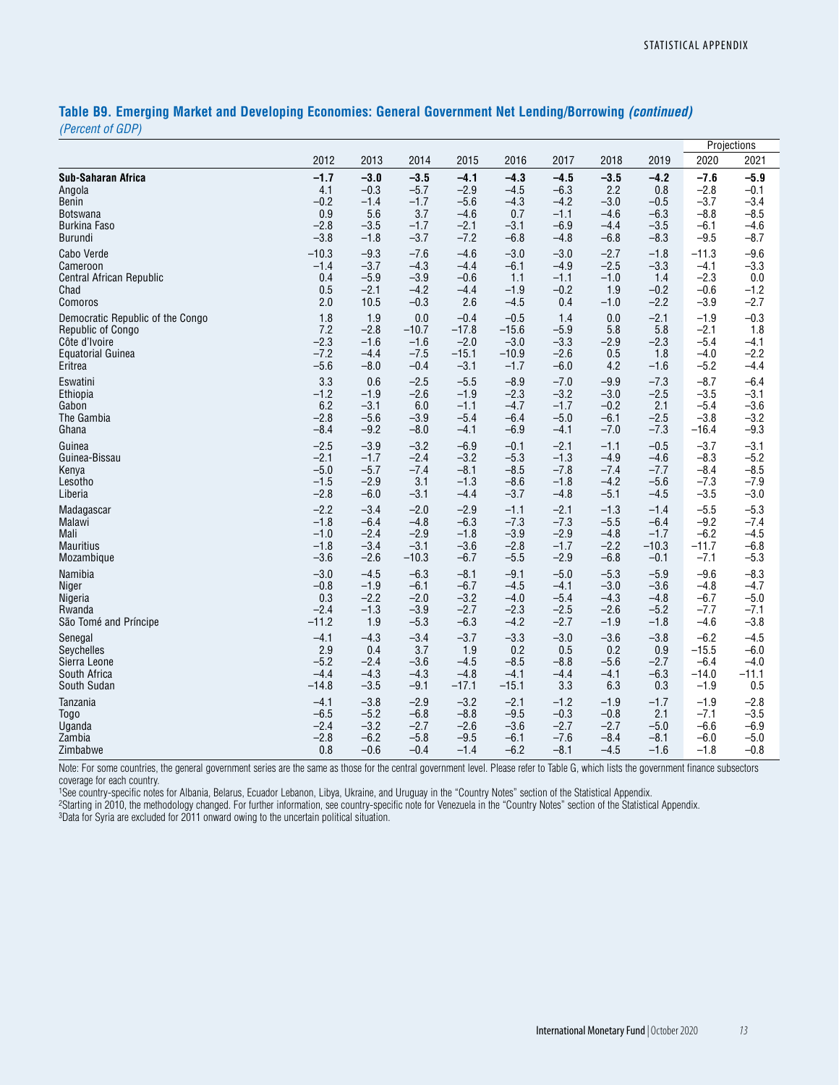#### **Table B9. Emerging Market and Developing Economies: General Government Net Lending/Borrowing** *(continued) (Percent of GDP)*

|                                  |         |        |         |         |         |        | Projections |         |         |         |
|----------------------------------|---------|--------|---------|---------|---------|--------|-------------|---------|---------|---------|
|                                  | 2012    | 2013   | 2014    | 2015    | 2016    | 2017   | 2018        | 2019    | 2020    | 2021    |
| <b>Sub-Saharan Africa</b>        | $-1.7$  | $-3.0$ | $-3.5$  | $-4.1$  | $-4.3$  | $-4.5$ | $-3.5$      | $-4.2$  | $-7.6$  | $-5.9$  |
| Angola                           | 4.1     | $-0.3$ | $-5.7$  | $-2.9$  | $-4.5$  | $-6.3$ | 2.2         | 0.8     | $-2.8$  | $-0.1$  |
| <b>Benin</b>                     | $-0.2$  | $-1.4$ | $-1.7$  | $-5.6$  | $-4.3$  | $-4.2$ | $-3.0$      | $-0.5$  | $-3.7$  | $-3.4$  |
| <b>Botswana</b>                  | 0.9     | 5.6    | 3.7     | $-4.6$  | 0.7     | $-1.1$ | $-4.6$      | $-6.3$  | $-8.8$  | $-8.5$  |
| <b>Burkina Faso</b>              | $-2.8$  | $-3.5$ | $-1.7$  | $-2.1$  | $-3.1$  | $-6.9$ | $-4.4$      | $-3.5$  | $-6.1$  | $-4.6$  |
| Burundi                          | $-3.8$  | $-1.8$ | $-3.7$  | $-7.2$  | $-6.8$  | $-4.8$ | $-6.8$      | $-8.3$  | $-9.5$  | $-8.7$  |
| Cabo Verde                       | $-10.3$ | $-9.3$ | $-7.6$  | $-4.6$  | $-3.0$  | $-3.0$ | $-2.7$      | $-1.8$  | $-11.3$ | $-9.6$  |
| Cameroon                         | $-1.4$  | $-3.7$ | $-4.3$  | $-4.4$  | $-6.1$  | $-4.9$ | $-2.5$      | $-3.3$  | $-4.1$  | $-3.3$  |
| Central African Republic         | 0.4     | $-5.9$ | $-3.9$  | $-0.6$  | 1.1     | $-1.1$ | $-1.0$      | 1.4     | $-2.3$  | 0.0     |
| Chad                             | 0.5     | $-2.1$ | $-4.2$  | $-4.4$  | $-1.9$  | $-0.2$ | 1.9         | $-0.2$  | $-0.6$  | $-1.2$  |
| Comoros                          | 2.0     | 10.5   | $-0.3$  | 2.6     | $-4.5$  | 0.4    | $-1.0$      | $-2.2$  | $-3.9$  | $-2.7$  |
| Democratic Republic of the Congo | 1.8     | 1.9    | 0.0     | $-0.4$  | $-0.5$  | 1.4    | 0.0         | $-2.1$  | $-1.9$  | $-0.3$  |
| Republic of Congo                | 7.2     | $-2.8$ | $-10.7$ | $-17.8$ | $-15.6$ | $-5.9$ | 5.8         | 5.8     | $-2.1$  | 1.8     |
| Côte d'Ivoire                    | $-2.3$  | $-1.6$ | $-1.6$  | $-2.0$  | $-3.0$  | $-3.3$ | $-2.9$      | $-2.3$  | $-5.4$  | $-4.1$  |
| <b>Equatorial Guinea</b>         | $-7.2$  | $-4.4$ | $-7.5$  | $-15.1$ | $-10.9$ | $-2.6$ | 0.5         | 1.8     | $-4.0$  | $-2.2$  |
| Eritrea                          | $-5.6$  | $-8.0$ | $-0.4$  | $-3.1$  | $-1.7$  | $-6.0$ | 4.2         | $-1.6$  | $-5.2$  | $-4.4$  |
| Eswatini                         | 3.3     | 0.6    | $-2.5$  | $-5.5$  | $-8.9$  | $-7.0$ | $-9.9$      | $-7.3$  | $-8.7$  | $-6.4$  |
| Ethiopia                         | $-1.2$  | $-1.9$ | $-2.6$  | $-1.9$  | $-2.3$  | $-3.2$ | $-3.0$      | $-2.5$  | $-3.5$  | $-3.1$  |
| Gabon                            | 6.2     | $-3.1$ | 6.0     | $-1.1$  | $-4.7$  | $-1.7$ | $-0.2$      | 2.1     | $-5.4$  | $-3.6$  |
| The Gambia                       | $-2.8$  | $-5.6$ | $-3.9$  | $-5.4$  | $-6.4$  | $-5.0$ | $-6.1$      | $-2.5$  | $-3.8$  | $-3.2$  |
| Ghana                            | $-8.4$  | $-9.2$ | $-8.0$  | $-4.1$  | $-6.9$  | $-4.1$ | $-7.0$      | $-7.3$  | $-16.4$ | $-9.3$  |
| Guinea                           | $-2.5$  | $-3.9$ | $-3.2$  | $-6.9$  | $-0.1$  | $-2.1$ | $-1.1$      | $-0.5$  | $-3.7$  | $-3.1$  |
| Guinea-Bissau                    | $-2.1$  | $-1.7$ | $-2.4$  | $-3.2$  | $-5.3$  | $-1.3$ | $-4.9$      | $-4.6$  | $-8.3$  | $-5.2$  |
| Kenya                            | $-5.0$  | $-5.7$ | $-7.4$  | $-8.1$  | $-8.5$  | $-7.8$ | $-7.4$      | $-7.7$  | $-8.4$  | $-8.5$  |
| Lesotho                          | $-1.5$  | $-2.9$ | 3.1     | $-1.3$  | $-8.6$  | $-1.8$ | $-4.2$      | $-5.6$  | $-7.3$  | $-7.9$  |
| Liberia                          | $-2.8$  | $-6.0$ | $-3.1$  | $-4.4$  | $-3.7$  | $-4.8$ | $-5.1$      | $-4.5$  | $-3.5$  | $-3.0$  |
| Madagascar                       | $-2.2$  | $-3.4$ | $-2.0$  | $-2.9$  | $-1.1$  | $-2.1$ | $-1.3$      | $-1.4$  | $-5.5$  | $-5.3$  |
| Malawi                           | $-1.8$  | $-6.4$ | $-4.8$  | $-6.3$  | $-7.3$  | $-7.3$ | $-5.5$      | $-6.4$  | $-9.2$  | $-7.4$  |
| Mali                             | $-1.0$  | $-2.4$ | $-2.9$  | $-1.8$  | $-3.9$  | $-2.9$ | $-4.8$      | $-1.7$  | $-6.2$  | $-4.5$  |
| <b>Mauritius</b>                 | $-1.8$  | $-3.4$ | $-3.1$  | $-3.6$  | $-2.8$  | $-1.7$ | $-2.2$      | $-10.3$ | $-11.7$ | $-6.8$  |
| Mozambique                       | $-3.6$  | $-2.6$ | $-10.3$ | $-6.7$  | $-5.5$  | $-2.9$ | $-6.8$      | $-0.1$  | $-7.1$  | $-5.3$  |
| Namibia                          | $-3.0$  | $-4.5$ | $-6.3$  | $-8.1$  | $-9.1$  | $-5.0$ | $-5.3$      | $-5.9$  | $-9.6$  | $-8.3$  |
| Niger                            | $-0.8$  | $-1.9$ | $-6.1$  | $-6.7$  | $-4.5$  | $-4.1$ | $-3.0$      | $-3.6$  | $-4.8$  | $-4.7$  |
| Nigeria                          | 0.3     | $-2.2$ | $-2.0$  | $-3.2$  | $-4.0$  | $-5.4$ | $-4.3$      | $-4.8$  | $-6.7$  | $-5.0$  |
| Rwanda                           | $-2.4$  | $-1.3$ | $-3.9$  | $-2.7$  | $-2.3$  | $-2.5$ | $-2.6$      | $-5.2$  | $-7.7$  | $-7.1$  |
| São Tomé and Príncipe            | $-11.2$ | 1.9    | $-5.3$  | $-6.3$  | $-4.2$  | $-2.7$ | $-1.9$      | $-1.8$  | $-4.6$  | $-3.8$  |
| Senegal                          | $-4.1$  | $-4.3$ | $-3.4$  | $-3.7$  | $-3.3$  | $-3.0$ | $-3.6$      | $-3.8$  | $-6.2$  | $-4.5$  |
| Seychelles                       | 2.9     | 0.4    | 3.7     | 1.9     | 0.2     | 0.5    | 0.2         | 0.9     | $-15.5$ | $-6.0$  |
| Sierra Leone                     | $-5.2$  | $-2.4$ | $-3.6$  | $-4.5$  | $-8.5$  | $-8.8$ | $-5.6$      | $-2.7$  | $-6.4$  | $-4.0$  |
| South Africa                     | $-4.4$  | $-4.3$ | $-4.3$  | $-4.8$  | $-4.1$  | $-4.4$ | $-4.1$      | $-6.3$  | $-14.0$ | $-11.1$ |
| South Sudan                      | $-14.8$ | $-3.5$ | $-9.1$  | $-17.1$ | $-15.1$ | 3.3    | 6.3         | 0.3     | $-1.9$  | 0.5     |
| Tanzania                         | $-4.1$  | $-3.8$ | $-2.9$  | $-3.2$  | $-2.1$  | $-1.2$ | $-1.9$      | $-1.7$  | $-1.9$  | $-2.8$  |
| <b>Togo</b>                      | $-6.5$  | $-5.2$ | $-6.8$  | $-8.8$  | $-9.5$  | $-0.3$ | $-0.8$      | 2.1     | $-7.1$  | $-3.5$  |
| Uganda                           | $-2.4$  | $-3.2$ | $-2.7$  | $-2.6$  | $-3.6$  | $-2.7$ | $-2.7$      | $-5.0$  | $-6.6$  | $-6.9$  |
| Zambia                           | $-2.8$  | $-6.2$ | $-5.8$  | $-9.5$  | $-6.1$  | $-7.6$ | $-8.4$      | $-8.1$  | $-6.0$  | $-5.0$  |
| Zimbabwe                         | 0.8     | $-0.6$ | $-0.4$  | $-1.4$  | $-6.2$  | $-8.1$ | $-4.5$      | $-1.6$  | $-1.8$  | $-0.8$  |

Note: For some countries, the general government series are the same as those for the central government level. Please refer to Table G, which lists the government finance subsectors coverage for each country.

1See country-specific notes for Albania, Belarus, Ecuador Lebanon, Libya, Ukraine, and Uruguay in the "Country Notes" section of the Statistical Appendix.

2Starting in 2010, the methodology changed. For further information, see country-specific note for Venezuela in the "Country Notes" section of the Statistical Appendix.

3Data for Syria are excluded for 2011 onward owing to the uncertain political situation.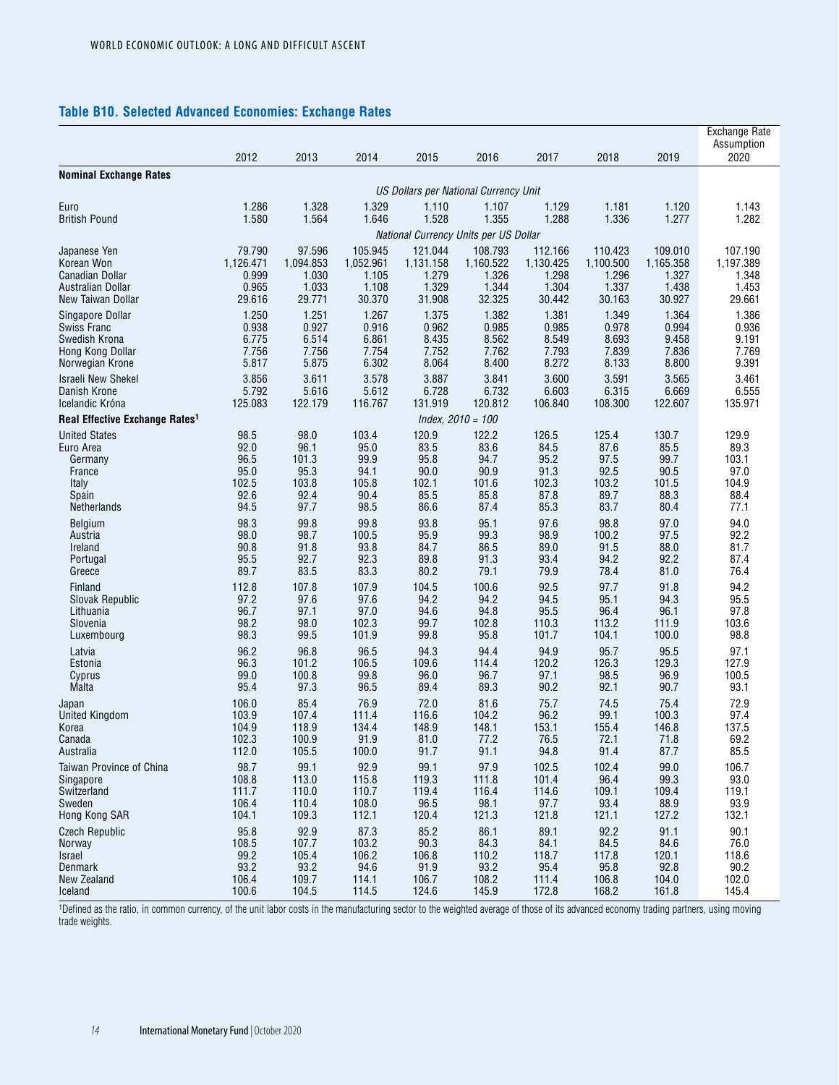### **Table B10. Selected Advanced Economies: Exchange Rates**

|                                            |           |           |           |                                       |                     |           |           |           | <b>Exchange Rate</b><br>Assumption |
|--------------------------------------------|-----------|-----------|-----------|---------------------------------------|---------------------|-----------|-----------|-----------|------------------------------------|
|                                            | 2012      | 2013      | 2014      | 2015                                  | 2016                | 2017      | 2018      | 2019      | 2020                               |
| <b>Nominal Exchange Rates</b>              |           |           |           | US Dollars per National Currency Unit |                     |           |           |           |                                    |
| Euro                                       | 1.286     | 1.328     | 1.329     | 1.110                                 | 1.107               | 1.129     | 1.181     | 1.120     | 1.143                              |
| <b>British Pound</b>                       | 1.580     | 1.564     | 1.646     | 1.528                                 | 1.355               | 1.288     | 1.336     | 1.277     | 1.282                              |
|                                            |           |           |           | National Currency Units per US Dollar |                     |           |           |           |                                    |
| Japanese Yen                               | 79.790    | 97.596    | 105.945   | 121.044                               | 108.793             | 112.166   | 110.423   | 109.010   | 107.190                            |
| Korean Won                                 | 1,126.471 | 1,094.853 | 1,052.961 | 1,131.158                             | 1,160.522           | 1,130.425 | 1,100.500 | 1,165.358 | 1,197.389                          |
| <b>Canadian Dollar</b>                     | 0.999     | 1.030     | 1.105     | 1.279                                 | 1.326               | 1.298     | 1.296     | 1.327     | 1.348                              |
| Australian Dollar                          | 0.965     | 1.033     | 1.108     | 1.329                                 | 1.344               | 1.304     | 1.337     | 1.438     | 1.453                              |
| New Taiwan Dollar                          | 29.616    | 29.771    | 30.370    | 31.908                                | 32.325              | 30.442    | 30.163    | 30.927    | 29.661                             |
| Singapore Dollar                           | 1.250     | 1.251     | 1.267     | 1.375                                 | 1.382               | 1.381     | 1.349     | 1.364     | 1.386                              |
| Swiss Franc                                | 0.938     | 0.927     | 0.916     | 0.962                                 | 0.985               | 0.985     | 0.978     | 0.994     | 0.936                              |
| Swedish Krona                              | 6.775     | 6.514     | 6.861     | 8.435                                 | 8.562               | 8.549     | 8.693     | 9.458     | 9.191                              |
| Hong Kong Dollar                           | 7.756     | 7.756     | 7.754     | 7.752                                 | 7.762               | 7.793     | 7.839     | 7.836     | 7.769                              |
| Norwegian Krone                            | 5.817     | 5.875     | 6.302     | 8.064                                 | 8.400               | 8.272     | 8.133     | 8.800     | 9.391                              |
| <b>Israeli New Shekel</b>                  | 3.856     | 3.611     | 3.578     | 3.887                                 | 3.841               | 3.600     | 3.591     | 3.565     | 3.461                              |
| Danish Krone                               | 5.792     | 5.616     | 5.612     | 6.728                                 | 6.732               | 6.603     | 6.315     | 6.669     | 6.555                              |
| Icelandic Króna                            | 125.083   | 122.179   | 116.767   | 131.919                               | 120.812             | 106.840   | 108.300   | 122.607   | 135.971                            |
| Real Effective Exchange Rates <sup>1</sup> |           |           |           |                                       | $Index, 2010 = 100$ |           |           |           |                                    |
| <b>United States</b>                       | 98.5      | 98.0      | 103.4     | 120.9                                 | 122.2               | 126.5     | 125.4     | 130.7     | 129.9                              |
| Euro Area                                  | 92.0      | 96.1      | 95.0      | 83.5                                  | 83.6                | 84.5      | 87.6      | 85.5      | 89.3                               |
| Germany                                    | 96.5      | 101.3     | 99.9      | 95.8                                  | 94.7                | 95.2      | 97.5      | 99.7      | 103.1                              |
| France                                     | 95.0      | 95.3      | 94.1      | 90.0                                  | 90.9                | 91.3      | 92.5      | 90.5      | 97.0                               |
| Italy                                      | 102.5     | 103.8     | 105.8     | 102.1                                 | 101.6               | 102.3     | 103.2     | 101.5     | 104.9                              |
| Spain                                      | 92.6      | 92.4      | 90.4      | 85.5                                  | 85.8                | 87.8      | 89.7      | 88.3      | 88.4                               |
| Netherlands                                | 94.5      | 97.7      | 98.5      | 86.6                                  | 87.4                | 85.3      | 83.7      | 80.4      | 77.1                               |
| <b>Belgium</b>                             | 98.3      | 99.8      | 99.8      | 93.8                                  | 95.1                | 97.6      | 98.8      | 97.0      | 94.0                               |
| Austria                                    | 98.0      | 98.7      | 100.5     | 95.9                                  | 99.3                | 98.9      | 100.2     | 97.5      | 92.2                               |
| Ireland                                    | 90.8      | 91.8      | 93.8      | 84.7                                  | 86.5                | 89.0      | 91.5      | 88.0      | 81.7                               |
| Portugal                                   | 95.5      | 92.7      | 92.3      | 89.8                                  | 91.3                | 93.4      | 94.2      | 92.2      | 87.4                               |
| Greece                                     | 89.7      | 83.5      | 83.3      | 80.2                                  | 79.1                | 79.9      | 78.4      | 81.0      | 76.4                               |
| Finland                                    | 112.8     | 107.8     | 107.9     | 104.5                                 | 100.6               | 92.5      | 97.7      | 91.8      | 94.2                               |
| Slovak Republic                            | 97.2      | 97.6      | 97.6      | 94.2                                  | 94.2                | 94.5      | 95.1      | 94.3      | 95.5                               |
| Lithuania                                  | 96.7      | 97.1      | 97.0      | 94.6                                  | 94.8                | 95.5      | 96.4      | 96.1      | 97.8                               |
| Slovenia                                   | 98.2      | 98.0      | 102.3     | 99.7                                  | 102.8               | 110.3     | 113.2     | 111.9     | 103.6                              |
| Luxembourg                                 | 98.3      | 99.5      | 101.9     | 99.8                                  | 95.8                | 101.7     | 104.1     | 100.0     | 98.8                               |
| Latvia                                     | 96.2      | 96.8      | 96.5      | 94.3                                  | 94.4                | 94.9      | 95.7      | 95.5      | 97.1                               |
| Estonia                                    | 96.3      | 101.2     | 106.5     | 109.6                                 | 114.4               | 120.2     | 126.3     | 129.3     | 127.9                              |
| Cyprus                                     | 99.0      | 100.8     | 99.8      | 96.0                                  | 96.7                | 97.1      | 98.5      | 96.9      | 100.5                              |
| Malta                                      | 95.4      | 97.3      | 96.5      | 89.4                                  | 89.3                | 90.2      | 92.1      | 90.7      | 93.1                               |
| Japan                                      | 106.0     | 85.4      | 76.9      | 72.0                                  | 81.6                | 75.7      | 74.5      | 75.4      | 72.9                               |
| <b>United Kingdom</b>                      | 103.9     | 107.4     | 111.4     | 116.6                                 | 104.2               | 96.2      | 99.1      | 100.3     | 97.4                               |
| Korea                                      | 104.9     | 118.9     | 134.4     | 148.9                                 | 148.1               | 153.1     | 155.4     | 146.8     | 137.5                              |
| Canada                                     | 102.3     | 100.9     | 91.9      | 81.0                                  | 77.2                | 76.5      | 72.1      | 71.8      | 69.2                               |
| Australia                                  | 112.0     | 105.5     | 100.0     | 91.7                                  | 91.1                | 94.8      | 91.4      | 87.7      | 85.5                               |
| Taiwan Province of China                   | 98.7      | 99.1      | 92.9      | 99.1                                  | 97.9                | 102.5     | 102.4     | 99.0      | 106.7                              |
| Singapore                                  | 108.8     | 113.0     | 115.8     | 119.3                                 | 111.8               | 101.4     | 96.4      | 99.3      | 93.0                               |
| Switzerland                                | 111.7     | 110.0     | 110.7     | 119.4                                 | 116.4               | 114.6     | 109.1     | 109.4     | 119.1                              |
| Sweden                                     | 106.4     | 110.4     | 108.0     | 96.5                                  | 98.1                | 97.7      | 93.4      | 88.9      | 93.9                               |
| Hong Kong SAR                              | 104.1     | 109.3     | 112.1     | 120.4                                 | 121.3               | 121.8     | 121.1     | 127.2     | 132.1                              |
| <b>Czech Republic</b>                      | 95.8      | 92.9      | 87.3      | 85.2                                  | 86.1                | 89.1      | 92.2      | 91.1      | 90.1                               |
| Norway                                     | 108.5     | 107.7     | 103.2     | 90.3                                  | 84.3                | 84.1      | 84.5      | 84.6      | 76.0                               |
| <b>Israel</b>                              | 99.2      | 105.4     | 106.2     | 106.8                                 | 110.2               | 118.7     | 117.8     | 120.1     | 118.6                              |
| Denmark                                    | 93.2      | 93.2      | 94.6      | 91.9                                  | 93.2                | 95.4      | 95.8      | 92.8      | 90.2                               |
| New Zealand                                | 106.4     | 109.7     | 114.1     | 106.7                                 | 108.2               | 111.4     | 106.8     | 104.0     | 102.0                              |
| Iceland                                    | 100.6     | 104.5     | 114.5     | 124.6                                 | 145.9               | 172.8     | 168.2     | 161.8     | 145.4                              |

1Defined as the ratio, in common currency, of the unit labor costs in the manufacturing sector to the weighted average of those of its advanced economy trading partners, using moving trade weights.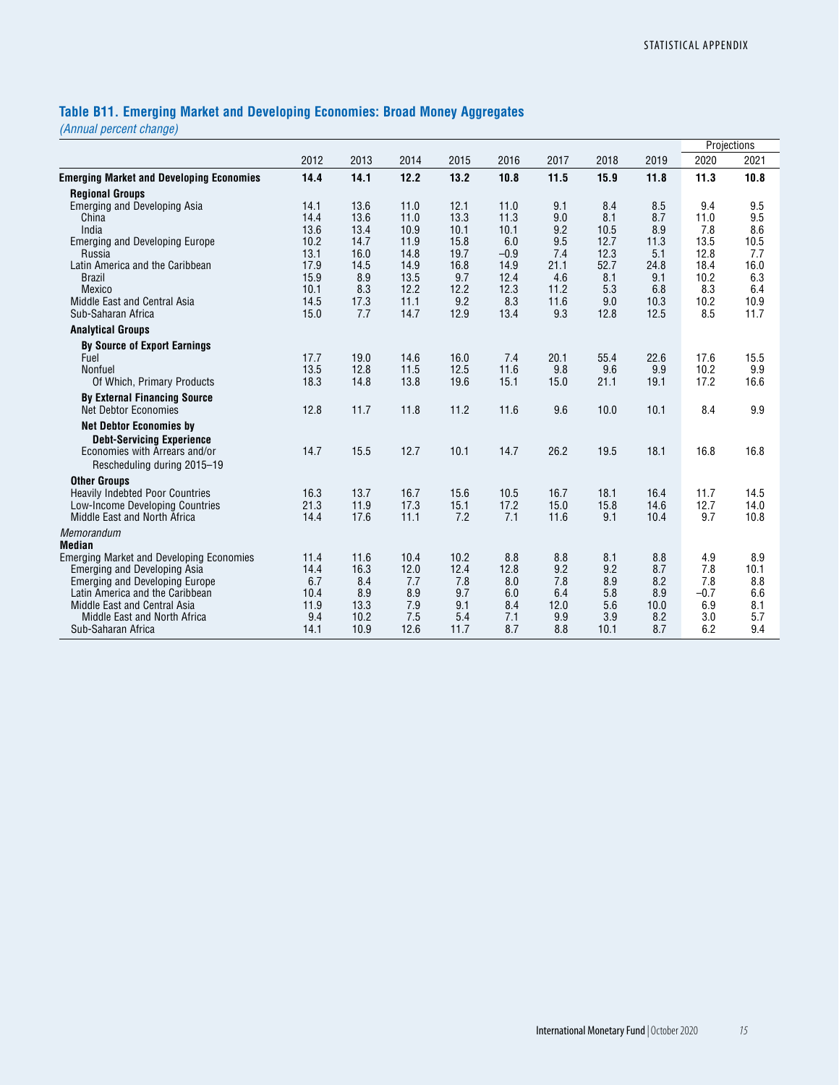## **Table B11. Emerging Market and Developing Economies: Broad Money Aggregates**

*(Annual percent change)*

|                                                 |      |      |      |      |        |      |      |      | Projections |      |
|-------------------------------------------------|------|------|------|------|--------|------|------|------|-------------|------|
|                                                 | 2012 | 2013 | 2014 | 2015 | 2016   | 2017 | 2018 | 2019 | 2020        | 2021 |
| <b>Emerging Market and Developing Economies</b> | 14.4 | 14.1 | 12.2 | 13.2 | 10.8   | 11.5 | 15.9 | 11.8 | 11.3        | 10.8 |
| <b>Regional Groups</b>                          |      |      |      |      |        |      |      |      |             |      |
| <b>Emerging and Developing Asia</b>             | 14.1 | 13.6 | 11.0 | 12.1 | 11.0   | 9.1  | 8.4  | 8.5  | 9.4         | 9.5  |
| China                                           | 14.4 | 13.6 | 11.0 | 13.3 | 11.3   | 9.0  | 8.1  | 8.7  | 11.0        | 9.5  |
| India                                           | 13.6 | 13.4 | 10.9 | 10.1 | 10.1   | 9.2  | 10.5 | 8.9  | 7.8         | 8.6  |
| Emerging and Developing Europe                  | 10.2 | 14.7 | 11.9 | 15.8 | 6.0    | 9.5  | 12.7 | 11.3 | 13.5        | 10.5 |
| Russia                                          | 13.1 | 16.0 | 14.8 | 19.7 | $-0.9$ | 7.4  | 12.3 | 5.1  | 12.8        | 7.7  |
| Latin America and the Caribbean                 | 17.9 | 14.5 | 14.9 | 16.8 | 14.9   | 21.1 | 52.7 | 24.8 | 18.4        | 16.0 |
| <b>Brazil</b>                                   | 15.9 | 8.9  | 13.5 | 9.7  | 12.4   | 4.6  | 8.1  | 9.1  | 10.2        | 6.3  |
| <b>Mexico</b>                                   | 10.1 | 8.3  | 12.2 | 12.2 | 12.3   | 11.2 | 5.3  | 6.8  | 8.3         | 6.4  |
| Middle East and Central Asia                    | 14.5 | 17.3 | 11.1 | 9.2  | 8.3    | 11.6 | 9.0  | 10.3 | 10.2        | 10.9 |
| Sub-Saharan Africa                              | 15.0 | 7.7  | 14.7 | 12.9 | 13.4   | 9.3  | 12.8 | 12.5 | 8.5         | 11.7 |
| <b>Analytical Groups</b>                        |      |      |      |      |        |      |      |      |             |      |
| <b>By Source of Export Earnings</b>             |      |      |      |      |        |      |      |      |             |      |
| Fuel                                            | 17.7 | 19.0 | 14.6 | 16.0 | 7.4    | 20.1 | 55.4 | 22.6 | 17.6        | 15.5 |
| Nonfuel                                         | 13.5 | 12.8 | 11.5 | 12.5 | 11.6   | 9.8  | 9.6  | 9.9  | 10.2        | 9.9  |
| Of Which, Primary Products                      | 18.3 | 14.8 | 13.8 | 19.6 | 15.1   | 15.0 | 21.1 | 19.1 | 17.2        | 16.6 |
| <b>By External Financing Source</b>             |      |      |      |      |        |      |      |      |             |      |
| Net Debtor Economies                            | 12.8 | 11.7 | 11.8 | 11.2 | 11.6   | 9.6  | 10.0 | 10.1 | 8.4         | 9.9  |
| <b>Net Debtor Economies by</b>                  |      |      |      |      |        |      |      |      |             |      |
| <b>Debt-Servicing Experience</b>                |      |      |      |      |        |      |      |      |             |      |
| Economies with Arrears and/or                   | 14.7 | 15.5 | 12.7 | 10.1 | 14.7   | 26.2 | 19.5 | 18.1 | 16.8        | 16.8 |
| Rescheduling during 2015-19                     |      |      |      |      |        |      |      |      |             |      |
| <b>Other Groups</b>                             |      |      |      |      |        |      |      |      |             |      |
| <b>Heavily Indebted Poor Countries</b>          | 16.3 | 13.7 | 16.7 | 15.6 | 10.5   | 16.7 | 18.1 | 16.4 | 11.7        | 14.5 |
| Low-Income Developing Countries                 | 21.3 | 11.9 | 17.3 | 15.1 | 17.2   | 15.0 | 15.8 | 14.6 | 12.7        | 14.0 |
| Middle East and North Africa                    | 14.4 | 17.6 | 11.1 | 7.2  | 7.1    | 11.6 | 9.1  | 10.4 | 9.7         | 10.8 |
| Memorandum                                      |      |      |      |      |        |      |      |      |             |      |
| <b>Median</b>                                   |      |      |      |      |        |      |      |      |             |      |
| <b>Emerging Market and Developing Economies</b> | 11.4 | 11.6 | 10.4 | 10.2 | 8.8    | 8.8  | 8.1  | 8.8  | 4.9         | 8.9  |
| Emerging and Developing Asia                    | 14.4 | 16.3 | 12.0 | 12.4 | 12.8   | 9.2  | 9.2  | 8.7  | 7.8         | 10.1 |
| <b>Emerging and Developing Europe</b>           | 6.7  | 8.4  | 7.7  | 7.8  | 8.0    | 7.8  | 8.9  | 8.2  | 7.8         | 8.8  |
| Latin America and the Caribbean                 | 10.4 | 8.9  | 8.9  | 9.7  | 6.0    | 6.4  | 5.8  | 8.9  | $-0.7$      | 6.6  |
| Middle East and Central Asia                    | 11.9 | 13.3 | 7.9  | 9.1  | 8.4    | 12.0 | 5.6  | 10.0 | 6.9         | 8.1  |
| Middle East and North Africa                    | 9.4  | 10.2 | 7.5  | 5.4  | 7.1    | 9.9  | 3.9  | 8.2  | 3.0         | 5.7  |
| Sub-Saharan Africa                              | 14.1 | 10.9 | 12.6 | 11.7 | 8.7    | 8.8  | 10.1 | 8.7  | 6.2         | 9.4  |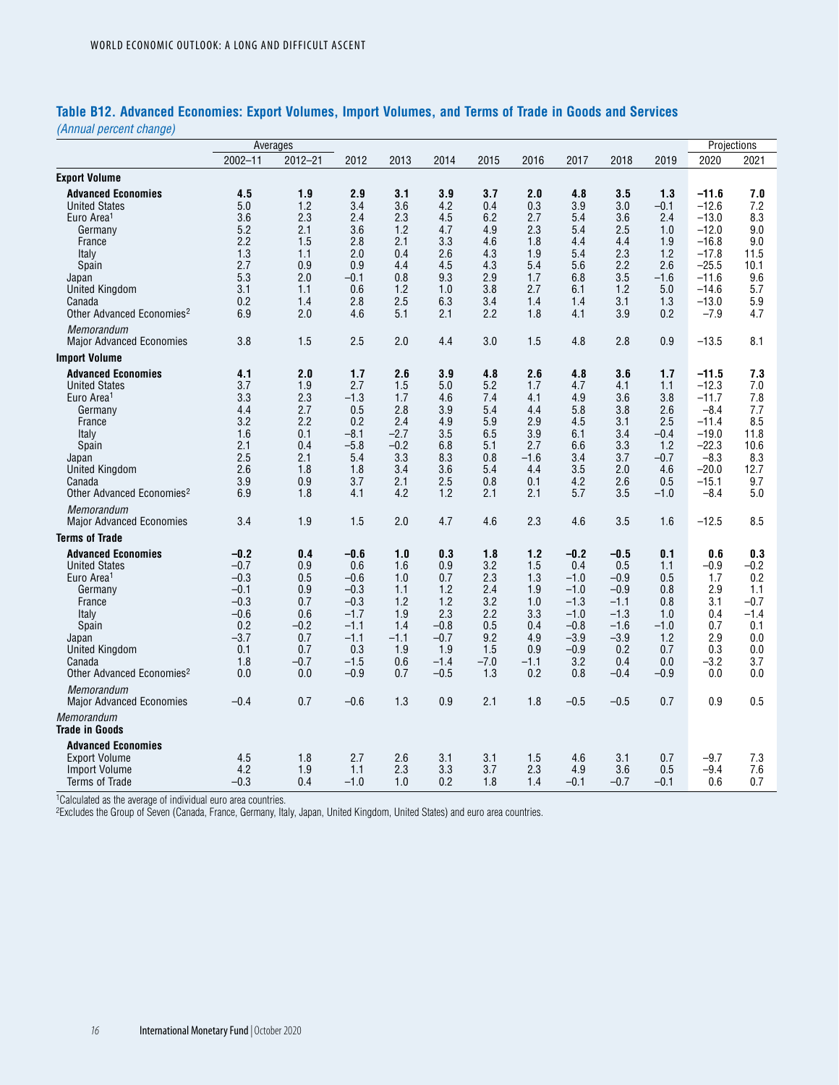|                                                   |               | Averages      |               |               |               |            |            |                  |               |               |                    | Projections |
|---------------------------------------------------|---------------|---------------|---------------|---------------|---------------|------------|------------|------------------|---------------|---------------|--------------------|-------------|
|                                                   | 2002-11       | $2012 - 21$   | 2012          | 2013          | 2014          | 2015       | 2016       | 2017             | 2018          | 2019          | 2020               | 2021        |
| <b>Export Volume</b>                              |               |               |               |               |               |            |            |                  |               |               |                    |             |
| <b>Advanced Economies</b><br><b>United States</b> | 4.5<br>5.0    | 1.9<br>1.2    | 2.9<br>3.4    | 3.1<br>3.6    | 3.9<br>4.2    | 3.7<br>0.4 | 2.0<br>0.3 | 4.8<br>3.9       | 3.5<br>3.0    | 1.3<br>$-0.1$ | $-11.6$<br>$-12.6$ | 7.0<br>7.2  |
| Euro Area <sup>1</sup>                            | 3.6           | 2.3           | 2.4           | 2.3           | 4.5           | 6.2        | 2.7        | 5.4              | 3.6           | 2.4           | $-13.0$            | 8.3         |
| Germany                                           | 5.2           | 2.1           | 3.6           | 1.2           | 4.7           | 4.9        | 2.3        | 5.4              | 2.5           | 1.0           | $-12.0$            | 9.0         |
| France                                            | 2.2           | 1.5           | 2.8           | 2.1           | 3.3           | 4.6        | 1.8        | 4.4              | 4.4           | 1.9           | $-16.8$            | 9.0         |
| Italy                                             | 1.3           | 1.1           | 2.0           | 0.4           | 2.6           | 4.3        | 1.9        | 5.4              | 2.3           | 1.2           | $-17.8$            | 11.5        |
| Spain                                             | 2.7           | 0.9           | 0.9           | 4.4           | 4.5           | 4.3        | 5.4        | 5.6              | 2.2           | 2.6           | $-25.5$            | 10.1        |
| Japan                                             | 5.3           | 2.0           | $-0.1$        | 0.8           | 9.3           | 2.9        | 1.7        | 6.8              | 3.5           | $-1.6$        | $-11.6$            | 9.6         |
| <b>United Kingdom</b>                             | 3.1           | 1.1           | 0.6           | 1.2           | 1.0           | 3.8        | 2.7        | 6.1              | 1.2           | 5.0           | $-14.6$            | 5.7         |
| Canada                                            | 0.2           | 1.4           | 2.8           | 2.5           | 6.3           | 3.4        | 1.4        | 1.4              | 3.1           | 1.3           | $-13.0$            | 5.9         |
| Other Advanced Economies <sup>2</sup>             | 6.9           | 2.0           | 4.6           | 5.1           | 2.1           | 2.2        | 1.8        | 4.1              | 3.9           | 0.2           | $-7.9$             | 4.7         |
| Memorandum<br><b>Major Advanced Economies</b>     | 3.8           | 1.5           | 2.5           | 2.0           | 4.4           | 3.0        | 1.5        | 4.8              | 2.8           | 0.9           | $-13.5$            | 8.1         |
| <b>Import Volume</b>                              |               |               |               |               |               |            |            |                  |               |               |                    |             |
| <b>Advanced Economies</b>                         | 4.1           | 2.0           | 1.7           | 2.6           | 3.9           | 4.8        | 2.6        | 4.8              | 3.6           | 1.7           | $-11.5$            | 7.3         |
| <b>United States</b>                              | 3.7           | 1.9           | 2.7           | 1.5           | 5.0           | 5.2        | 1.7        | 4.7              | 4.1           | 1.1           | $-12.3$            | 7.0         |
| Euro Area <sup>1</sup>                            | 3.3           | 2.3           | $-1.3$        | 1.7           | 4.6           | 7.4        | 4.1        | 4.9              | 3.6           | 3.8           | $-11.7$            | 7.8         |
| Germany                                           | 4.4           | 2.7           | 0.5           | 2.8           | 3.9           | 5.4        | 4.4        | 5.8              | 3.8           | 2.6           | $-8.4$             | 7.7         |
| France                                            | 3.2           | 2.2           | 0.2           | 2.4           | 4.9           | 5.9        | 2.9        | 4.5              | 3.1           | 2.5           | $-11.4$            | 8.5         |
| Italy                                             | 1.6           | 0.1           | $-8.1$        | $-2.7$        | 3.5           | 6.5        | 3.9        | 6.1              | 3.4           | $-0.4$        | $-19.0$            | 11.8        |
| Spain                                             | 2.1           | 0.4           | $-5.8$        | $-0.2$        | 6.8           | 5.1        | 2.7        | 6.6              | 3.3           | 1.2           | $-22.3$            | 10.6        |
| Japan                                             | 2.5           | 2.1           | 5.4           | 3.3           | 8.3           | 0.8        | $-1.6$     | 3.4              | 3.7           | $-0.7$        | $-8.3$             | 8.3         |
| <b>United Kingdom</b>                             | 2.6           | 1.8           | 1.8           | 3.4           | 3.6           | 5.4        | 4.4        | 3.5              | 2.0           | 4.6           | $-20.0$            | 12.7        |
| Canada                                            | 3.9           | 0.9           | 3.7           | 2.1           | 2.5           | 0.8        | 0.1        | 4.2              | 2.6           | 0.5           | $-15.1$            | 9.7         |
| Other Advanced Economies <sup>2</sup>             | 6.9           | 1.8           | 4.1           | 4.2           | 1.2           | 2.1        | 2.1        | 5.7              | 3.5           | $-1.0$        | $-8.4$             | 5.0         |
| Memorandum<br><b>Major Advanced Economies</b>     | 3.4           | 1.9           | 1.5           | 2.0           | 4.7           | 4.6        | 2.3        | 4.6              | 3.5           | 1.6           | $-12.5$            | 8.5         |
| <b>Terms of Trade</b>                             |               |               |               |               |               |            |            |                  |               |               |                    |             |
| <b>Advanced Economies</b>                         | $-0.2$        | 0.4           | $-0.6$        | 1.0           | 0.3           | 1.8        | 1.2        | $-0.2$           | $-0.5$        | 0.1           | 0.6                | 0.3         |
| <b>United States</b>                              | $-0.7$        | 0.9           | 0.6           | 1.6           | 0.9           | 3.2        | 1.5        | 0.4              | 0.5           | 1.1           | $-0.9$             | $-0.2$      |
| Euro Area <sup>1</sup>                            | $-0.3$        | 0.5           | $-0.6$        | 1.0           | 0.7           | 2.3        | 1.3        | $-1.0$           | $-0.9$        | 0.5           | 1.7                | 0.2         |
| Germany                                           | $-0.1$        | 0.9           | $-0.3$        | 1.1           | 1.2           | 2.4        | 1.9        | $-1.0$           | $-0.9$        | 0.8           | 2.9                | 1.1         |
| France                                            | $-0.3$        | 0.7           | $-0.3$        | 1.2           | 1.2           | 3.2        | 1.0        | $-1.3$           | $-1.1$        | 0.8           | 3.1                | $-0.7$      |
| Italy                                             | $-0.6$        | 0.6           | $-1.7$        | 1.9           | 2.3           | 2.2        | 3.3        | $-1.0$           | $-1.3$        | 1.0           | 0.4                | $-1.4$      |
| Spain                                             | 0.2           | $-0.2$        | $-1.1$        | 1.4           | $-0.8$        | 0.5        | 0.4        | $-0.8$           | $-1.6$        | $-1.0$        | 0.7                | 0.1         |
| Japan                                             | $-3.7$<br>0.1 | 0.7           | $-1.1$<br>0.3 | $-1.1$<br>1.9 | $-0.7$        | 9.2<br>1.5 | 4.9<br>0.9 | $-3.9$<br>$-0.9$ | $-3.9$<br>0.2 | 1.2<br>0.7    | 2.9<br>0.3         | 0.0<br>0.0  |
| <b>United Kingdom</b>                             | 1.8           | 0.7<br>$-0.7$ | $-1.5$        | 0.6           | 1.9<br>$-1.4$ | $-7.0$     | $-1.1$     | 3.2              | 0.4           | 0.0           | $-3.2$             | 3.7         |
| Canada<br>Other Advanced Economies <sup>2</sup>   | 0.0           | 0.0           | $-0.9$        | 0.7           | $-0.5$        | 1.3        | 0.2        | 0.8              | $-0.4$        | $-0.9$        | 0.0                | 0.0         |
|                                                   |               |               |               |               |               |            |            |                  |               |               |                    |             |
| Memorandum                                        |               |               | $-0.6$        |               | 0.9           | 2.1        | 1.8        | $-0.5$           |               |               | 0.9                | 0.5         |
| <b>Major Advanced Economies</b>                   | $-0.4$        | 0.7           |               | 1.3           |               |            |            |                  | $-0.5$        | 0.7           |                    |             |
| Memorandum<br><b>Trade in Goods</b>               |               |               |               |               |               |            |            |                  |               |               |                    |             |
| <b>Advanced Economies</b>                         |               |               |               |               |               |            |            |                  |               |               |                    |             |
| <b>Export Volume</b>                              | 4.5           | 1.8           | 2.7           | 2.6           | 3.1           | 3.1        | 1.5        | 4.6              | 3.1           | 0.7           | $-9.7$             | 7.3         |
| Import Volume                                     | 4.2           | 1.9           | 1.1           | 2.3           | 3.3           | 3.7        | 2.3        | 4.9              | 3.6           | 0.5           | $-9.4$             | 7.6         |
| Terms of Trade                                    | $-0.3$        | 0.4           | $-1.0$        | 1.0           | 0.2           | 1.8        | 1.4        | $-0.1$           | $-0.7$        | $-0.1$        | 0.6                | 0.7         |

#### **Table B12. Advanced Economies: Export Volumes, Import Volumes, and Terms of Trade in Goods and Services** *(Annual percent change)*

<sup>1</sup>Calculated as the average of individual euro area countries.

2Excludes the Group of Seven (Canada, France, Germany, Italy, Japan, United Kingdom, United States) and euro area countries.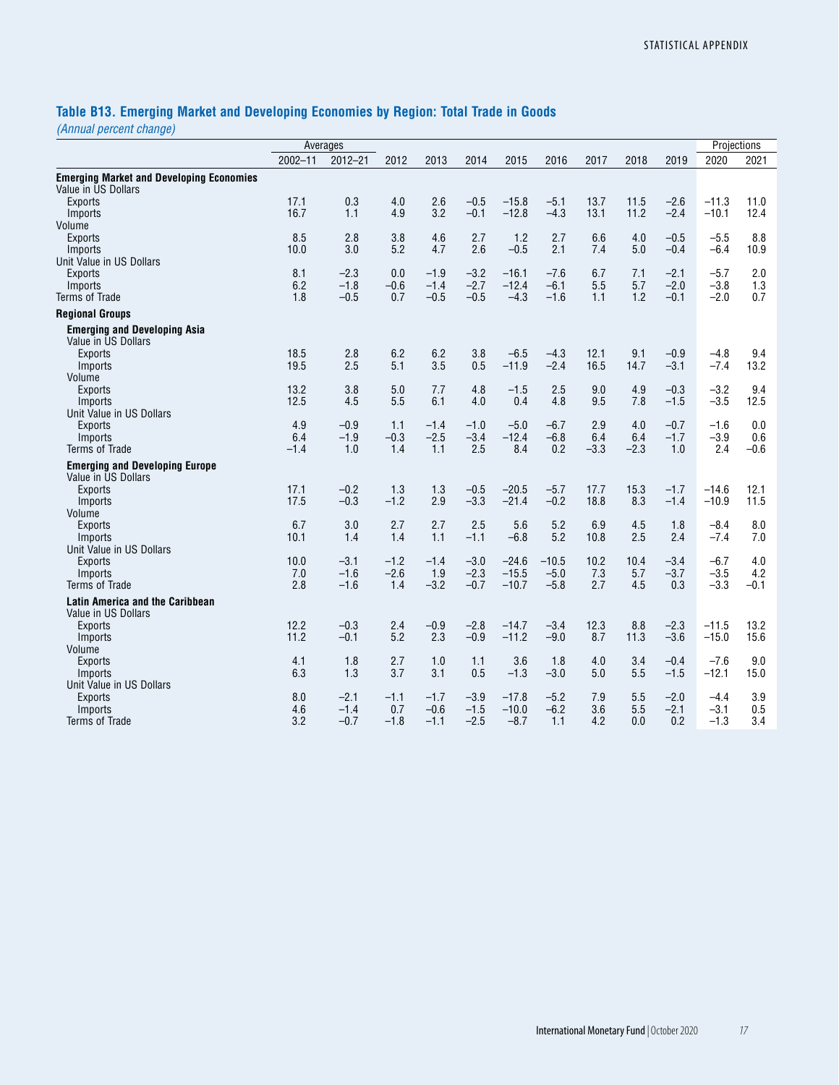# **Table B13. Emerging Market and Developing Economies by Region: Total Trade in Goods**

*(Annual percent change)*

|                                                               |             | Averages    |        |                  |        |                    |         |        |        |        | Projections |        |
|---------------------------------------------------------------|-------------|-------------|--------|------------------|--------|--------------------|---------|--------|--------|--------|-------------|--------|
|                                                               | $2002 - 11$ | $2012 - 21$ | 2012   | 2013             | 2014   | 2015               | 2016    | 2017   | 2018   | 2019   | 2020        | 2021   |
| <b>Emerging Market and Developing Economies</b>               |             |             |        |                  |        |                    |         |        |        |        |             |        |
| Value in US Dollars                                           |             |             |        |                  |        |                    |         |        |        |        |             |        |
| Exports                                                       | 17.1        | 0.3         | 4.0    | 2.6              | $-0.5$ | $-15.8$            | $-5.1$  | 13.7   | 11.5   | $-2.6$ | $-11.3$     | 11.0   |
| Imports                                                       | 16.7        | 1.1         | 4.9    | 3.2              | $-0.1$ | $-12.8$            | $-4.3$  | 13.1   | 11.2   | $-2.4$ | $-10.1$     | 12.4   |
| Volume                                                        |             |             |        |                  |        |                    |         |        |        |        |             |        |
| <b>Exports</b>                                                | 8.5         | 2.8         | 3.8    | 4.6              | 2.7    | 1.2                | 2.7     | 6.6    | 4.0    | $-0.5$ | $-5.5$      | 8.8    |
| <b>Imports</b>                                                | 10.0        | 3.0         | 5.2    | 4.7              | 2.6    | $-0.5$             | 2.1     | 7.4    | 5.0    | $-0.4$ | $-6.4$      | 10.9   |
| Unit Value in US Dollars                                      |             |             |        |                  |        |                    |         |        |        |        |             |        |
| Exports                                                       | 8.1         | $-2.3$      | 0.0    | $-1.9$           | $-3.2$ | $-16.1$            | $-7.6$  | 6.7    | 7.1    | $-2.1$ | $-5.7$      | 2.0    |
| <b>Imports</b>                                                | 6.2         | $-1.8$      | $-0.6$ | $-1.4$           | $-2.7$ | $-12.4$            | $-6.1$  | 5.5    | 5.7    | $-2.0$ | $-3.8$      | 1.3    |
| <b>Terms of Trade</b>                                         | 1.8         | $-0.5$      | 0.7    | $-0.5$           | $-0.5$ | $-4.3$             | $-1.6$  | 1.1    | 1.2    | $-0.1$ | $-2.0$      | 0.7    |
| <b>Regional Groups</b>                                        |             |             |        |                  |        |                    |         |        |        |        |             |        |
| <b>Emerging and Developing Asia</b><br>Value in US Dollars    |             |             |        |                  |        |                    |         |        |        |        |             |        |
| <b>Exports</b>                                                | 18.5        | 2.8         | 6.2    | 6.2              | 3.8    | $-6.5$             | $-4.3$  | 12.1   | 9.1    | $-0.9$ | $-4.8$      | 9.4    |
| Imports                                                       | 19.5        | 2.5         | 5.1    | 3.5              | 0.5    | $-11.9$            | $-2.4$  | 16.5   | 14.7   | $-3.1$ | $-7.4$      | 13.2   |
| Volume                                                        |             |             |        |                  |        |                    |         |        |        |        |             |        |
| <b>Exports</b>                                                | 13.2        | 3.8         | 5.0    | 7.7              | 4.8    | $-1.5$             | 2.5     | 9.0    | 4.9    | $-0.3$ | $-3.2$      | 9.4    |
| <b>Imports</b>                                                | 12.5        | 4.5         | 5.5    | 6.1              | 4.0    | 0.4                | 4.8     | 9.5    | 7.8    | $-1.5$ | $-3.5$      | 12.5   |
| Unit Value in US Dollars                                      |             |             |        |                  |        |                    |         |        |        |        |             |        |
| <b>Exports</b>                                                | 4.9         | $-0.9$      | 1.1    | $-1.4$           | $-1.0$ | $-5.0$             | $-6.7$  | 2.9    | 4.0    | $-0.7$ | $-1.6$      | 0.0    |
| Imports                                                       | 6.4         | $-1.9$      | $-0.3$ | $-2.5$           | $-3.4$ | $-12.4$            | $-6.8$  | 6.4    | 6.4    | $-1.7$ | $-3.9$      | 0.6    |
| Terms of Trade                                                | $-1.4$      | 1.0         | 1.4    | 1.1              | 2.5    | 8.4                | 0.2     | $-3.3$ | $-2.3$ | 1.0    | 2.4         | $-0.6$ |
| <b>Emerging and Developing Europe</b><br>Value in US Dollars  |             |             |        |                  |        |                    |         |        |        |        |             |        |
| <b>Exports</b>                                                | 17.1        | $-0.2$      | 1.3    | 1.3              | $-0.5$ | $-20.5$            | $-5.7$  | 17.7   | 15.3   | $-1.7$ | $-14.6$     | 12.1   |
| Imports                                                       | 17.5        | $-0.3$      | $-1.2$ | 2.9              | $-3.3$ | $-21.4$            | $-0.2$  | 18.8   | 8.3    | $-1.4$ | $-10.9$     | 11.5   |
| Volume                                                        |             |             |        |                  |        |                    |         |        |        |        |             |        |
| <b>Exports</b>                                                | 6.7         | 3.0         | 2.7    | 2.7              | 2.5    | 5.6                | 5.2     | 6.9    | 4.5    | 1.8    | $-8.4$      | 8.0    |
| Imports<br>Unit Value in US Dollars                           | 10.1        | 1.4         | 1.4    | 1.1              | $-1.1$ | $-6.8$             | 5.2     | 10.8   | 2.5    | 2.4    | $-7.4$      | 7.0    |
|                                                               | 10.0        | $-3.1$      | $-1.2$ | $-1.4$           | $-3.0$ | $-24.6$            | $-10.5$ | 10.2   | 10.4   | $-3.4$ | $-6.7$      | 4.0    |
| Exports<br>Imports                                            | 7.0         | $-1.6$      | $-2.6$ | 1.9              | $-2.3$ | $-15.5$            | $-5.0$  | 7.3    | 5.7    | $-3.7$ | $-3.5$      | 4.2    |
| <b>Terms of Trade</b>                                         | 2.8         | $-1.6$      | 1.4    | $-3.2$           | $-0.7$ | $-10.7$            | $-5.8$  | 2.7    | 4.5    | 0.3    | $-3.3$      | $-0.1$ |
|                                                               |             |             |        |                  |        |                    |         |        |        |        |             |        |
| <b>Latin America and the Caribbean</b><br>Value in US Dollars |             |             |        |                  |        |                    |         |        |        |        |             |        |
| <b>Exports</b>                                                | 12.2        | $-0.3$      | 2.4    | $-0.9$           | $-2.8$ | $-14.7$            | $-3.4$  | 12.3   | 8.8    | $-2.3$ | $-11.5$     | 13.2   |
| Imports                                                       | 11.2        | $-0.1$      | 5.2    | 2.3              | $-0.9$ | $-11.2$            | $-9.0$  | 8.7    | 11.3   | $-3.6$ | $-15.0$     | 15.6   |
| Volume                                                        |             |             |        |                  |        |                    |         |        |        |        |             |        |
| Exports                                                       | 4.1         | 1.8         | 2.7    | 1.0              | 1.1    | 3.6                | 1.8     | 4.0    | 3.4    | $-0.4$ | $-7.6$      | 9.0    |
| Imports                                                       | 6.3         | 1.3         | 3.7    | 3.1              | 0.5    | $-1.3$             | $-3.0$  | 5.0    | 5.5    | $-1.5$ | $-12.1$     | 15.0   |
| Unit Value in US Dollars                                      | 8.0         | $-2.1$      | $-1.1$ |                  | $-3.9$ |                    | $-5.2$  | 7.9    | 5.5    | $-2.0$ | $-4.4$      | 3.9    |
| <b>Exports</b><br>Imports                                     | 4.6         | $-1.4$      | 0.7    | $-1.7$<br>$-0.6$ | $-1.5$ | $-17.8$<br>$-10.0$ | $-6.2$  | 3.6    | 5.5    | $-2.1$ | $-3.1$      | 0.5    |
| <b>Terms of Trade</b>                                         | 3.2         | $-0.7$      | $-1.8$ | $-1.1$           | $-2.5$ | $-8.7$             | 1.1     | 4.2    | 0.0    | 0.2    | $-1.3$      | 3.4    |
|                                                               |             |             |        |                  |        |                    |         |        |        |        |             |        |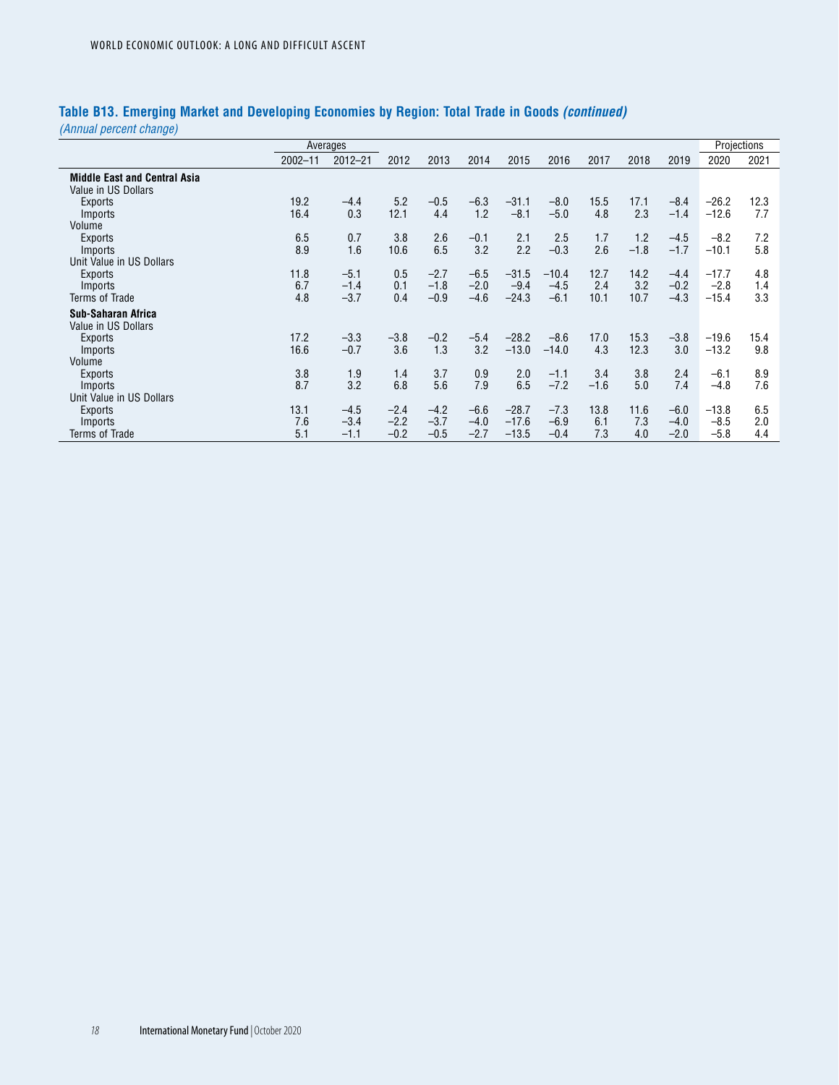## **Table B13. Emerging Market and Developing Economies by Region: Total Trade in Goods** *(continued)*

*(Annual percent change)*

| $\mathcal{O} \subset \mathcal{O}$   |             | Averages    |        |        |        |         |         |        |        |        | Projections |      |
|-------------------------------------|-------------|-------------|--------|--------|--------|---------|---------|--------|--------|--------|-------------|------|
|                                     | $2002 - 11$ | $2012 - 21$ | 2012   | 2013   | 2014   | 2015    | 2016    | 2017   | 2018   | 2019   | 2020        | 2021 |
| <b>Middle East and Central Asia</b> |             |             |        |        |        |         |         |        |        |        |             |      |
| Value in US Dollars                 |             |             |        |        |        |         |         |        |        |        |             |      |
| Exports                             | 19.2        | $-4.4$      | 5.2    | $-0.5$ | $-6.3$ | $-31.1$ | $-8.0$  | 15.5   | 17.1   | $-8.4$ | $-26.2$     | 12.3 |
| Imports                             | 16.4        | 0.3         | 12.1   | 4.4    | 1.2    | $-8.1$  | $-5.0$  | 4.8    | 2.3    | $-1.4$ | $-12.6$     | 7.7  |
| Volume                              |             |             |        |        |        |         |         |        |        |        |             |      |
| <b>Exports</b>                      | 6.5         | 0.7         | 3.8    | 2.6    | $-0.1$ | 2.1     | 2.5     | 1.7    | 1.2    | $-4.5$ | $-8.2$      | 7.2  |
| Imports                             | 8.9         | 1.6         | 10.6   | 6.5    | 3.2    | 2.2     | $-0.3$  | 2.6    | $-1.8$ | $-1.7$ | $-10.1$     | 5.8  |
| Unit Value in US Dollars            |             |             |        |        |        |         |         |        |        |        |             |      |
| <b>Exports</b>                      | 11.8        | $-5.1$      | 0.5    | $-2.7$ | $-6.5$ | $-31.5$ | $-10.4$ | 12.7   | 14.2   | $-4.4$ | $-17.7$     | 4.8  |
| Imports                             | 6.7         | $-1.4$      | 0.1    | $-1.8$ | $-2.0$ | $-9.4$  | $-4.5$  | 2.4    | 3.2    | $-0.2$ | $-2.8$      | 1.4  |
| <b>Terms of Trade</b>               | 4.8         | $-3.7$      | 0.4    | $-0.9$ | $-4.6$ | $-24.3$ | $-6.1$  | 10.1   | 10.7   | $-4.3$ | $-15.4$     | 3.3  |
| Sub-Saharan Africa                  |             |             |        |        |        |         |         |        |        |        |             |      |
| Value in US Dollars                 |             |             |        |        |        |         |         |        |        |        |             |      |
| Exports                             | 17.2        | $-3.3$      | $-3.8$ | $-0.2$ | $-5.4$ | $-28.2$ | $-8.6$  | 17.0   | 15.3   | $-3.8$ | $-19.6$     | 15.4 |
| Imports                             | 16.6        | $-0.7$      | 3.6    | 1.3    | 3.2    | $-13.0$ | $-14.0$ | 4.3    | 12.3   | 3.0    | $-13.2$     | 9.8  |
| Volume                              |             |             |        |        |        |         |         |        |        |        |             |      |
| <b>Exports</b>                      | 3.8         | 1.9         | 1.4    | 3.7    | 0.9    | 2.0     | $-1.1$  | 3.4    | 3.8    | 2.4    | $-6.1$      | 8.9  |
| Imports                             | 8.7         | 3.2         | 6.8    | 5.6    | 7.9    | 6.5     | $-7.2$  | $-1.6$ | 5.0    | 7.4    | $-4.8$      | 7.6  |
| Unit Value in US Dollars            |             |             |        |        |        |         |         |        |        |        |             |      |
| Exports                             | 13.1        | $-4.5$      | $-2.4$ | $-4.2$ | $-6.6$ | $-28.7$ | $-7.3$  | 13.8   | 11.6   | $-6.0$ | $-13.8$     | 6.5  |
| Imports                             | 7.6         | $-3.4$      | $-2.2$ | $-3.7$ | $-4.0$ | $-17.6$ | $-6.9$  | 6.1    | 7.3    | $-4.0$ | $-8.5$      | 2.0  |
| Terms of Trade                      | 5.1         | $-1.1$      | $-0.2$ | $-0.5$ | $-2.7$ | $-13.5$ | $-0.4$  | 7.3    | 4.0    | $-2.0$ | $-5.8$      | 4.4  |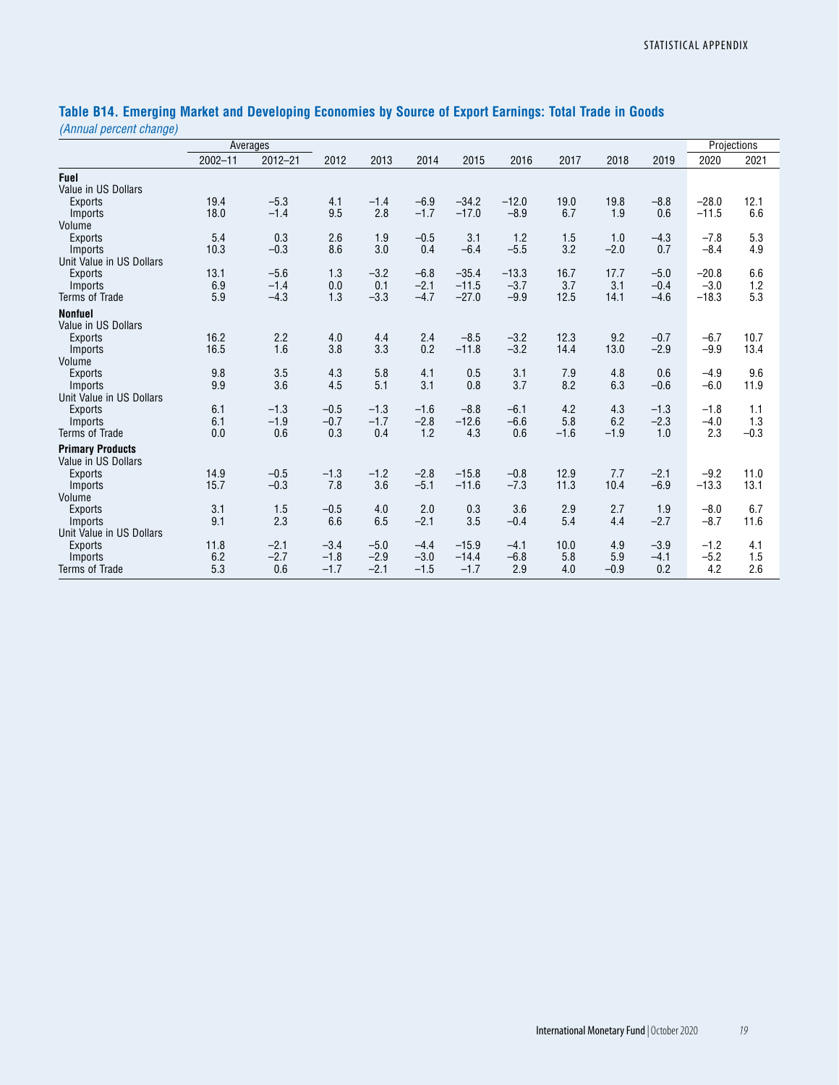### **Table B14. Emerging Market and Developing Economies by Source of Export Earnings: Total Trade in Goods** *(Annual percent change)*

|                           |             | Averages         |            |        |                  |                    |         |             |             |                  |         | Projections |
|---------------------------|-------------|------------------|------------|--------|------------------|--------------------|---------|-------------|-------------|------------------|---------|-------------|
|                           | $2002 - 11$ | $2012 - 21$      | 2012       | 2013   | 2014             | 2015               | 2016    | 2017        | 2018        | 2019             | 2020    | 2021        |
| Fuel                      |             |                  |            |        |                  |                    |         |             |             |                  |         |             |
| Value in US Dollars       |             |                  |            |        |                  |                    |         |             |             |                  |         |             |
| <b>Exports</b>            | 19.4        | $-5.3$           | 4.1        | $-1.4$ | $-6.9$           | $-34.2$            | $-12.0$ | 19.0        | 19.8        | $-8.8$           | $-28.0$ | 12.1        |
| Imports                   | 18.0        | $-1.4$           | 9.5        | 2.8    | $-1.7$           | $-17.0$            | $-8.9$  | 6.7         | 1.9         | 0.6              | $-11.5$ | 6.6         |
| Volume                    |             |                  |            |        |                  |                    |         |             |             |                  |         |             |
| <b>Exports</b>            | 5.4         | 0.3              | 2.6        | 1.9    | $-0.5$           | 3.1                | 1.2     | 1.5         | 1.0         | $-4.3$           | $-7.8$  | 5.3         |
| Imports                   | 10.3        | $-0.3$           | 8.6        | 3.0    | 0.4              | $-6.4$             | $-5.5$  | 3.2         | $-2.0$      | 0.7              | $-8.4$  | 4.9         |
| Unit Value in US Dollars  |             |                  |            |        |                  |                    |         |             |             |                  |         |             |
| Exports                   | 13.1        | $-5.6$           | 1.3        | $-3.2$ | $-6.8$           | $-35.4$            | $-13.3$ | 16.7        | 17.7        | $-5.0$           | $-20.8$ | 6.6         |
| Imports                   | 6.9         | $-1.4$<br>$-4.3$ | 0.0<br>1.3 | 0.1    | $-2.1$<br>$-4.7$ | $-11.5$<br>$-27.0$ | $-3.7$  | 3.7<br>12.5 | 3.1<br>14.1 | $-0.4$<br>$-4.6$ | $-3.0$  | 1.2         |
| <b>Terms of Trade</b>     | 5.9         |                  |            | $-3.3$ |                  |                    | $-9.9$  |             |             |                  | $-18.3$ | 5.3         |
| <b>Nonfuel</b>            |             |                  |            |        |                  |                    |         |             |             |                  |         |             |
| Value in US Dollars       |             |                  |            |        |                  |                    |         |             |             |                  |         |             |
| Exports                   | 16.2        | 2.2              | 4.0        | 4.4    | 2.4              | $-8.5$             | $-3.2$  | 12.3        | 9.2         | $-0.7$           | $-6.7$  | 10.7        |
| Imports                   | 16.5        | 1.6              | 3.8        | 3.3    | 0.2              | $-11.8$            | $-3.2$  | 14.4        | 13.0        | $-2.9$           | $-9.9$  | 13.4        |
| Volume                    | 9.8         | 3.5              | 4.3        | 5.8    | 4.1              | 0.5                | 3.1     | 7.9         | 4.8         | 0.6              | $-4.9$  | 9.6         |
| <b>Exports</b><br>Imports | 9.9         | 3.6              | 4.5        | 5.1    | 3.1              | 0.8                | 3.7     | 8.2         | 6.3         | $-0.6$           | $-6.0$  | 11.9        |
| Unit Value in US Dollars  |             |                  |            |        |                  |                    |         |             |             |                  |         |             |
| Exports                   | 6.1         | $-1.3$           | $-0.5$     | $-1.3$ | $-1.6$           | $-8.8$             | $-6.1$  | 4.2         | 4.3         | $-1.3$           | $-1.8$  | 1.1         |
| Imports                   | 6.1         | $-1.9$           | $-0.7$     | $-1.7$ | $-2.8$           | $-12.6$            | $-6.6$  | 5.8         | 6.2         | $-2.3$           | $-4.0$  | 1.3         |
| Terms of Trade            | 0.0         | 0.6              | 0.3        | 0.4    | 1.2              | 4.3                | 0.6     | $-1.6$      | $-1.9$      | 1.0              | 2.3     | $-0.3$      |
| <b>Primary Products</b>   |             |                  |            |        |                  |                    |         |             |             |                  |         |             |
| Value in US Dollars       |             |                  |            |        |                  |                    |         |             |             |                  |         |             |
| <b>Exports</b>            | 14.9        | $-0.5$           | $-1.3$     | $-1.2$ | $-2.8$           | $-15.8$            | $-0.8$  | 12.9        | 7.7         | $-2.1$           | $-9.2$  | 11.0        |
| Imports                   | 15.7        | $-0.3$           | 7.8        | 3.6    | $-5.1$           | $-11.6$            | $-7.3$  | 11.3        | 10.4        | $-6.9$           | $-13.3$ | 13.1        |
| Volume                    |             |                  |            |        |                  |                    |         |             |             |                  |         |             |
| <b>Exports</b>            | 3.1         | 1.5              | $-0.5$     | 4.0    | 2.0              | 0.3                | 3.6     | 2.9         | 2.7         | 1.9              | $-8.0$  | 6.7         |
| Imports                   | 9.1         | 2.3              | 6.6        | 6.5    | $-2.1$           | 3.5                | $-0.4$  | 5.4         | 4.4         | $-2.7$           | $-8.7$  | 11.6        |
| Unit Value in US Dollars  |             |                  |            |        |                  |                    |         |             |             |                  |         |             |
| <b>Exports</b>            | 11.8        | $-2.1$           | $-3.4$     | $-5.0$ | $-4.4$           | $-15.9$            | $-4.1$  | 10.0        | 4.9         | $-3.9$           | $-1.2$  | 4.1         |
| Imports                   | 6.2         | $-2.7$           | $-1.8$     | $-2.9$ | $-3.0$           | $-14.4$            | $-6.8$  | 5.8         | 5.9         | $-4.1$           | $-5.2$  | 1.5         |
| <b>Terms of Trade</b>     | 5.3         | 0.6              | $-1.7$     | $-2.1$ | $-1.5$           | $-1.7$             | 2.9     | 4.0         | $-0.9$      | 0.2              | 4.2     | 2.6         |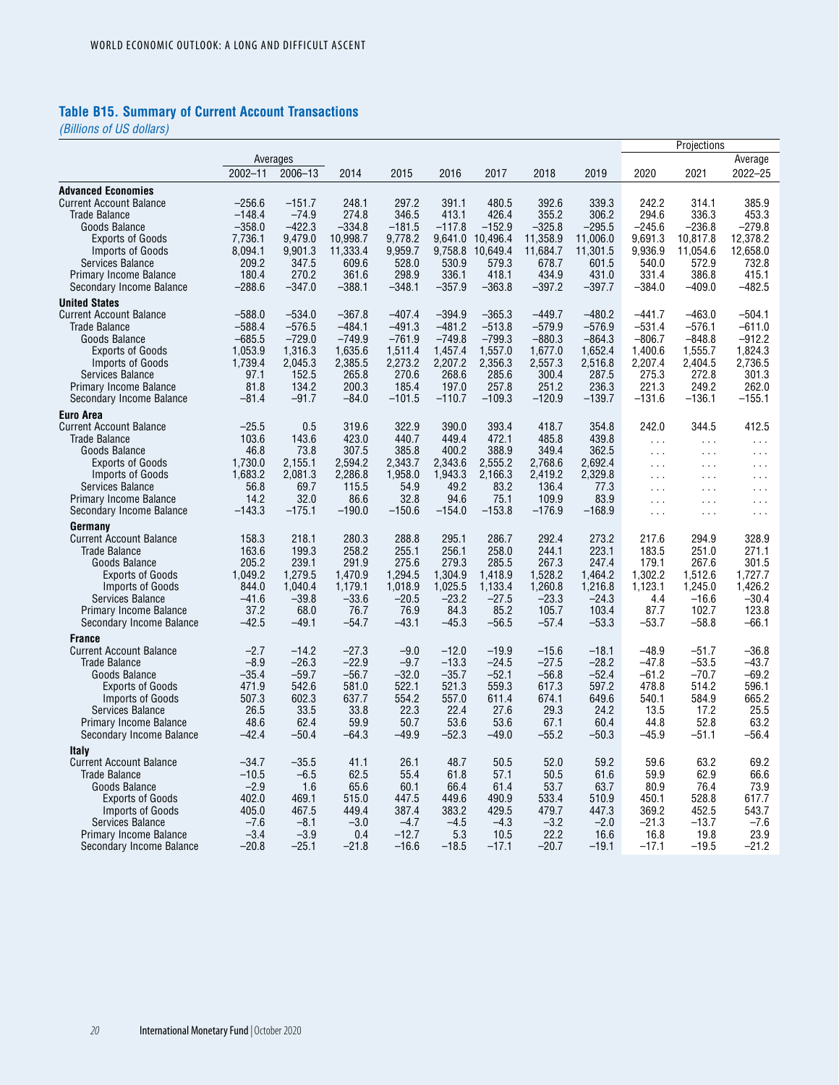### **Table B15. Summary of Current Account Transactions**

|                                         |                 |                 |                 |          |                 |                 |                 |                 |                                  | Projections                      |                      |
|-----------------------------------------|-----------------|-----------------|-----------------|----------|-----------------|-----------------|-----------------|-----------------|----------------------------------|----------------------------------|----------------------|
|                                         |                 | Averages        |                 |          |                 |                 |                 |                 |                                  |                                  | Average              |
|                                         | $2002 - 11$     | 2006-13         | 2014            | 2015     | 2016            | 2017            | 2018            | 2019            | 2020                             | 2021                             | 2022-25              |
| <b>Advanced Economies</b>               |                 |                 |                 |          |                 |                 |                 |                 |                                  |                                  |                      |
| <b>Current Account Balance</b>          | $-256.6$        | $-151.7$        | 248.1           | 297.2    | 391.1           | 480.5           | 392.6           | 339.3           | 242.2                            | 314.1                            | 385.9                |
| <b>Trade Balance</b>                    | $-148.4$        | $-74.9$         | 274.8           | 346.5    | 413.1           | 426.4           | 355.2           | 306.2           | 294.6                            | 336.3                            | 453.3                |
| Goods Balance                           | $-358.0$        | $-422.3$        | $-334.8$        | $-181.5$ | $-117.8$        | $-152.9$        | $-325.8$        | $-295.5$        | $-245.6$                         | $-236.8$                         | $-279.8$             |
| <b>Exports of Goods</b>                 | 7,736.1         | 9,479.0         | 10,998.7        | 9,778.2  | 9,641.0         | 10,496.4        | 11,358.9        | 11,006.0        | 9,691.3                          | 10,817.8                         | 12,378.2             |
| Imports of Goods                        | 8,094.1         | 9,901.3         | 11,333.4        | 9,959.7  | 9,758.8         | 10,649.4        | 11,684.7        | 11,301.5        | 9,936.9                          | 11,054.6                         | 12,658.0             |
| Services Balance                        | 209.2           | 347.5           | 609.6           | 528.0    | 530.9           | 579.3           | 678.7           | 601.5           | 540.0                            | 572.9                            | 732.8                |
| <b>Primary Income Balance</b>           | 180.4           | 270.2           | 361.6           | 298.9    | 336.1           | 418.1           | 434.9           | 431.0           | 331.4                            | 386.8                            | 415.1                |
| Secondary Income Balance                | $-288.6$        | $-347.0$        | $-388.1$        | $-348.1$ | $-357.9$        | $-363.8$        | $-397.2$        | $-397.7$        | $-384.0$                         | $-409.0$                         | $-482.5$             |
| <b>United States</b>                    |                 |                 |                 |          |                 |                 |                 |                 |                                  |                                  |                      |
| <b>Current Account Balance</b>          | $-588.0$        | $-534.0$        | $-367.8$        | $-407.4$ | $-394.9$        | $-365.3$        | $-449.7$        | $-480.2$        | $-441.7$                         | $-463.0$                         | $-504.1$             |
| <b>Trade Balance</b>                    | $-588.4$        | $-576.5$        | $-484.1$        | $-491.3$ | $-481.2$        | $-513.8$        | $-579.9$        | $-576.9$        | $-531.4$                         | $-576.1$                         | $-611.0$             |
| Goods Balance                           | $-685.5$        | $-729.0$        | $-749.9$        | $-761.9$ | $-749.8$        | $-799.3$        | $-880.3$        | $-864.3$        | $-806.7$                         | $-848.8$                         | $-912.2$             |
| <b>Exports of Goods</b>                 | 1,053.9         | 1,316.3         | 1,635.6         | 1,511.4  | 1,457.4         | 1,557.0         | 1,677.0         | 1,652.4         | 1,400.6                          | 1,555.7                          | 1.824.3              |
| Imports of Goods                        | 1,739.4         | 2,045.3         | 2,385.5         | 2,273.2  | 2,207.2         | 2,356.3         | 2,557.3         | 2,516.8         | 2,207.4                          | 2,404.5                          | 2,736.5              |
| Services Balance                        | 97.1            | 152.5           | 265.8           | 270.6    | 268.6           | 285.6           | 300.4           | 287.5           | 275.3                            | 272.8                            | 301.3                |
| Primary Income Balance                  | 81.8            | 134.2           | 200.3           | 185.4    | 197.0           | 257.8           | 251.2           | 236.3           | 221.3                            | 249.2                            | 262.0                |
| Secondary Income Balance                | $-81.4$         | $-91.7$         | $-84.0$         | $-101.5$ | $-110.7$        | $-109.3$        | $-120.9$        | $-139.7$        | $-131.6$                         | -136.1                           | $-155.1$             |
| Euro Area                               |                 |                 |                 |          |                 |                 |                 |                 |                                  |                                  |                      |
| <b>Current Account Balance</b>          | $-25.5$         | 0.5             | 319.6           | 322.9    | 390.0           | 393.4           | 418.7           | 354.8           | 242.0                            | 344.5                            | 412.5                |
| Trade Balance                           | 103.6           | 143.6           | 423.0           | 440.7    | 449.4           | 472.1           | 485.8           | 439.8           | $\cdots$                         | $\ldots$                         | $\cdots$             |
| Goods Balance                           | 46.8            | 73.8            | 307.5           | 385.8    | 400.2           | 388.9           | 349.4           | 362.5           | $\cdots$                         | $\cdots$                         | $\cdots$             |
| <b>Exports of Goods</b>                 | 1.730.0         | 2.155.1         | 2.594.2         | 2.343.7  | 2.343.6         | 2.555.2         | 2.768.6         | 2.692.4         | $\sim$ .                         |                                  | $\sim$               |
| Imports of Goods                        | 1,683.2         | 2.081.3         | 2.286.8         | 1.958.0  | 1.943.3         | 2.166.3         | 2.419.2         | 2.329.8         | $\cdots$                         | $\sim$ $\sim$<br>$\cdots$        | $\cdots$             |
| Services Balance                        | 56.8            | 69.7            | 115.5           | 54.9     | 49.2            | 83.2            | 136.4           | 77.3            | $\cdots$                         | $\sim$ .                         |                      |
| <b>Primary Income Balance</b>           | 14.2            | 32.0            | 86.6            | 32.8     | 94.6            | 75.1            | 109.9           | 83.9            |                                  |                                  | $\sim$               |
| Secondary Income Balance                | $-143.3$        | -175.1          | $-190.0$        | $-150.6$ | $-154.0$        | $-153.8$        | $-176.9$        | $-168.9$        | $\cdots$<br>$\sim$ $\sim$ $\sim$ | $\cdots$<br>$\sim$ $\sim$ $\sim$ | $\cdots$<br>$\ldots$ |
| Germany                                 |                 |                 |                 |          |                 |                 |                 |                 |                                  |                                  |                      |
| <b>Current Account Balance</b>          | 158.3           | 218.1           | 280.3           | 288.8    | 295.1           | 286.7           | 292.4           | 273.2           | 217.6                            | 294.9                            | 328.9                |
| <b>Trade Balance</b>                    | 163.6           | 199.3           | 258.2           | 255.1    | 256.1           | 258.0           | 244.1           | 223.1           | 183.5                            | 251.0                            | 271.1                |
| Goods Balance                           | 205.2           | 239.1           | 291.9           | 275.6    | 279.3           | 285.5           | 267.3           | 247.4           | 179.1                            | 267.6                            | 301.5                |
| <b>Exports of Goods</b>                 | 1,049.2         | 1,279.5         | 1,470.9         | 1,294.5  | 1,304.9         | 1,418.9         | 1,528.2         | 1,464.2         | 1,302.2                          | 1,512.6                          | 1,727.7              |
| Imports of Goods                        | 844.0           | 1,040.4         | 1,179.1         | 1,018.9  | 1,025.5         | 1,133.4         | 1,260.8         | 1,216.8         | 1,123.1                          | 1,245.0                          | 1,426.2              |
| Services Balance                        | $-41.6$         | $-39.8$         | -33.6           | $-20.5$  | $-23.2$         | $-27.5$         | $-23.3$         | $-24.3$         | 4.4                              | -16.6                            | $-30.4$              |
| <b>Primary Income Balance</b>           | 37.2            | 68.0            | 76.7            | 76.9     | 84.3            | 85.2            | 105.7           | 103.4           | 87.7                             | 102.7                            | 123.8                |
| Secondary Income Balance                | $-42.5$         | $-49.1$         | $-54.7$         | $-43.1$  | $-45.3$         | $-56.5$         | $-57.4$         | –53.3           | $-53.7$                          | $-58.8$                          | $-66.1$              |
| <b>France</b>                           |                 |                 |                 |          |                 |                 |                 |                 |                                  |                                  |                      |
| <b>Current Account Balance</b>          | $-2.7$          | $-14.2$         | $-27.3$         | $-9.0$   | $-12.0$         | $-19.9$         | $-15.6$         | $-18.1$         | $-48.9$                          | $-51.7$                          | $-36.8$              |
| <b>Trade Balance</b>                    | $-8.9$          | $-26.3$         | $-22.9$         | $-9.7$   | $-13.3$         | $-24.5$         | $-27.5$         | $-28.2$         | $-47.8$                          | $-53.5$                          | $-43.7$              |
| Goods Balance                           | $-35.4$         | $-59.7$         | $-56.7$         | $-32.0$  | $-35.7$         | $-52.1$         | $-56.8$         | $-52.4$         | $-61.2$                          | $-70.7$                          | $-69.2$              |
| <b>Exports of Goods</b>                 | 471.9           | 542.6           | 581.0           | 522.1    | 521.3           | 559.3           | 617.3           | 597.2           | 478.8                            | 514.2                            | 596.1                |
| Imports of Goods                        | 507.3           | 602.3           | 637.7           | 554.2    | 557.0           | 611.4           | 674.1           | 649.6           | 540.1                            | 584.9                            | 665.2                |
| Services Balance                        | 26.5            | 33.5            | 33.8            | 22.3     | 22.4            | 27.6            | 29.3            | 24.2            | 13.5                             | 17.2                             | 25.5                 |
| Primary Income Balance                  | 48.6            | 62.4            | 59.9            | 50.7     | 53.6            | 53.6            | 67.1            | 60.4            | 44.8                             | 52.8                             | 63.2                 |
| Secondary Income Balance                | $-42.4$         | $-50.4$         | $-64.3$         | $-49.9$  | $-52.3$         | $-49.0$         | $-55.2$         | $-50.3$         | $-45.9$                          | $-51.1$                          | $-56.4$              |
|                                         |                 |                 |                 |          |                 |                 |                 |                 |                                  |                                  |                      |
| Italy<br><b>Current Account Balance</b> | $-34.7$         | $-35.5$         | 41.1            | 26.1     | 48.7            | 50.5            | 52.0            | 59.2            | 59.6                             | 63.2                             | 69.2                 |
| Trade Balance                           | $-10.5$         | $-6.5$          | 62.5            | 55.4     | 61.8            | 57.1            | 50.5            | 61.6            | 59.9                             | 62.9                             | 66.6                 |
| Goods Balance                           | $-2.9$          | 1.6             | 65.6            | 60.1     | 66.4            | 61.4            | 53.7            | 63.7            | 80.9                             | 76.4                             | 73.9                 |
|                                         | 402.0           | 469.1           | 515.0           | 447.5    | 449.6           | 490.9           | 533.4           | 510.9           | 450.1                            | 528.8                            | 617.7                |
| <b>Exports of Goods</b>                 |                 |                 |                 | 387.4    |                 |                 |                 |                 |                                  |                                  |                      |
| Imports of Goods                        | 405.0<br>$-7.6$ | 467.5<br>$-8.1$ | 449.4<br>$-3.0$ | $-4.7$   | 383.2<br>$-4.5$ | 429.5<br>$-4.3$ | 479.7<br>$-3.2$ | 447.3<br>$-2.0$ | 369.2<br>$-21.3$                 | 452.5<br>$-13.7$                 | 543.7<br>$-7.6$      |
| Services Balance                        | $-3.4$          |                 | 0.4             | $-12.7$  | 5.3             |                 | 22.2            | 16.6            | 16.8                             | 19.8                             | 23.9                 |
| <b>Primary Income Balance</b>           |                 | $-3.9$          |                 |          |                 | 10.5            |                 |                 |                                  |                                  |                      |
| Secondary Income Balance                | $-20.8$         | $-25.1$         | $-21.8$         | $-16.6$  | $-18.5$         | $-17.1$         | $-20.7$         | $-19.1$         | $-17.1$                          | $-19.5$                          | $-21.2$              |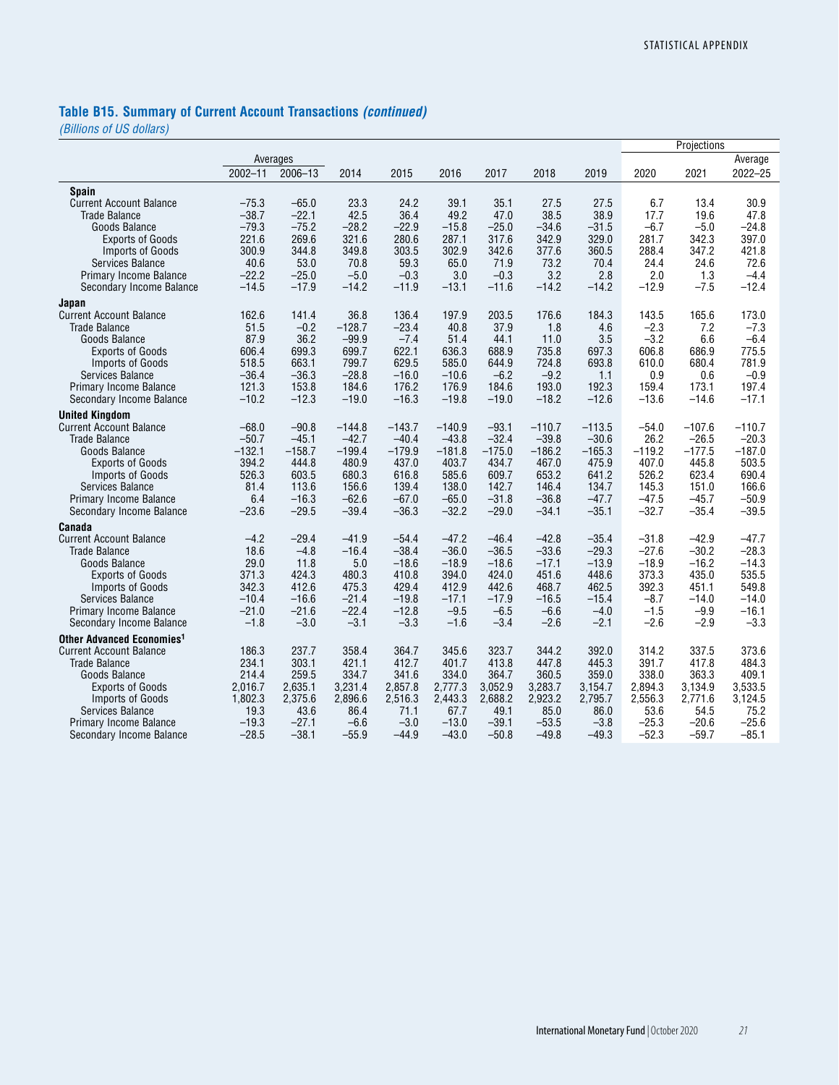# **Table B15. Summary of Current Account Transactions** *(continued)*

|                                       |             |          |          |          |          |          |          |          |          | Projections |          |
|---------------------------------------|-------------|----------|----------|----------|----------|----------|----------|----------|----------|-------------|----------|
|                                       |             | Averages |          |          |          |          |          |          |          |             | Average  |
|                                       | $2002 - 11$ | 2006-13  | 2014     | 2015     | 2016     | 2017     | 2018     | 2019     | 2020     | 2021        | 2022-25  |
| Spain                                 |             |          |          |          |          |          |          |          |          |             |          |
| <b>Current Account Balance</b>        | $-75.3$     | $-65.0$  | 23.3     | 24.2     | 39.1     | 35.1     | 27.5     | 27.5     | 6.7      | 13.4        | 30.9     |
| Trade Balance                         | $-38.7$     | $-22.1$  | 42.5     | 36.4     | 49.2     | 47.0     | 38.5     | 38.9     | 17.7     | 19.6        | 47.8     |
| Goods Balance                         | $-79.3$     | $-75.2$  | $-28.2$  | $-22.9$  | $-15.8$  | $-25.0$  | $-34.6$  | $-31.5$  | $-6.7$   | $-5.0$      | $-24.8$  |
| Exports of Goods                      | 221.6       | 269.6    | 321.6    | 280.6    | 287.1    | 317.6    | 342.9    | 329.0    | 281.7    | 342.3       | 397.0    |
| <b>Imports of Goods</b>               | 300.9       | 344.8    | 349.8    | 303.5    | 302.9    | 342.6    | 377.6    | 360.5    | 288.4    | 347.2       | 421.8    |
| Services Balance                      | 40.6        | 53.0     | 70.8     | 59.3     | 65.0     | 71.9     | 73.2     | 70.4     | 24.4     | 24.6        | 72.6     |
| <b>Primary Income Balance</b>         | $-22.2$     | $-25.0$  | $-5.0$   | $-0.3$   | 3.0      | $-0.3$   | 3.2      | 2.8      | 2.0      | 1.3         | $-4.4$   |
| Secondary Income Balance              | $-14.5$     | $-17.9$  | $-14.2$  | $-11.9$  | $-13.1$  | $-11.6$  | $-14.2$  | $-14.2$  | $-12.9$  | $-7.5$      | $-12.4$  |
| Japan                                 |             |          |          |          |          |          |          |          |          |             |          |
| <b>Current Account Balance</b>        | 162.6       | 141.4    | 36.8     | 136.4    | 197.9    | 203.5    | 176.6    | 184.3    | 143.5    | 165.6       | 173.0    |
| <b>Trade Balance</b>                  | 51.5        | $-0.2$   | –128.7   | $-23.4$  | 40.8     | 37.9     | 1.8      | 4.6      | $-2.3$   | 7.2         | $-7.3$   |
| Goods Balance                         | 87.9        | 36.2     | $-99.9$  | $-7.4$   | 51.4     | 44.1     | 11.0     | 3.5      | $-3.2$   | 6.6         | $-6.4$   |
| <b>Exports of Goods</b>               | 606.4       | 699.3    | 699.7    | 622.1    | 636.3    | 688.9    | 735.8    | 697.3    | 606.8    | 686.9       | 775.5    |
| Imports of Goods                      | 518.5       | 663.1    | 799.7    | 629.5    | 585.0    | 644.9    | 724.8    | 693.8    | 610.0    | 680.4       | 781.9    |
| Services Balance                      | $-36.4$     | $-36.3$  | $-28.8$  | $-16.0$  | $-10.6$  | $-6.2$   | $-9.2$   | 1.1      | 0.9      | 0.6         | $-0.9$   |
| <b>Primary Income Balance</b>         | 121.3       | 153.8    | 184.6    | 176.2    | 176.9    | 184.6    | 193.0    | 192.3    | 159.4    | 173.1       | 197.4    |
| Secondary Income Balance              | $-10.2$     | –12.3    | $-19.0$  | $-16.3$  | $-19.8$  | $-19.0$  | $-18.2$  | $-12.6$  | $-13.6$  | $-14.6$     | $-17.1$  |
| <b>United Kingdom</b>                 |             |          |          |          |          |          |          |          |          |             |          |
| <b>Current Account Balance</b>        | $-68.0$     | $-90.8$  | $-144.8$ | $-143.7$ | $-140.9$ | $-93.1$  | $-110.7$ | $-113.5$ | $-54.0$  | $-107.6$    | $-110.7$ |
| <b>Trade Balance</b>                  | $-50.7$     | $-45.1$  | $-42.7$  | $-40.4$  | $-43.8$  | $-32.4$  | $-39.8$  | $-30.6$  | 26.2     | $-26.5$     | $-20.3$  |
| Goods Balance                         | $-132.1$    | $-158.7$ | $-199.4$ | $-179.9$ | $-181.8$ | $-175.0$ | $-186.2$ | $-165.3$ | $-119.2$ | $-177.5$    | $-187.0$ |
| Exports of Goods                      | 394.2       | 444.8    | 480.9    | 437.0    | 403.7    | 434.7    | 467.0    | 475.9    | 407.0    | 445.8       | 503.5    |
| Imports of Goods                      | 526.3       | 603.5    | 680.3    | 616.8    | 585.6    | 609.7    | 653.2    | 641.2    | 526.2    | 623.4       | 690.4    |
| <b>Services Balance</b>               | 81.4        | 113.6    | 156.6    | 139.4    | 138.0    | 142.7    | 146.4    | 134.7    | 145.3    | 151.0       | 166.6    |
| Primary Income Balance                | 6.4         | $-16.3$  | $-62.6$  | $-67.0$  | $-65.0$  | $-31.8$  | $-36.8$  | $-47.7$  | $-47.5$  | -45.7       | $-50.9$  |
| Secondary Income Balance              | $-23.6$     | $-29.5$  | $-39.4$  | $-36.3$  | $-32.2$  | $-29.0$  | $-34.1$  | $-35.1$  | $-32.7$  | $-35.4$     | $-39.5$  |
| Canada                                |             |          |          |          |          |          |          |          |          |             |          |
| <b>Current Account Balance</b>        | $-4.2$      | $-29.4$  | $-41.9$  | $-54.4$  | $-47.2$  | $-46.4$  | $-42.8$  | $-35.4$  | $-31.8$  | $-42.9$     | $-47.7$  |
| <b>Trade Balance</b>                  | 18.6        | $-4.8$   | $-16.4$  | $-38.4$  | $-36.0$  | $-36.5$  | $-33.6$  | $-29.3$  | $-27.6$  | $-30.2$     | $-28.3$  |
| Goods Balance                         | 29.0        | 11.8     | 5.0      | $-18.6$  | $-18.9$  | $-18.6$  | $-17.1$  | $-13.9$  | $-18.9$  | $-16.2$     | $-14.3$  |
| Exports of Goods                      | 371.3       | 424.3    | 480.3    | 410.8    | 394.0    | 424.0    | 451.6    | 448.6    | 373.3    | 435.0       | 535.5    |
| Imports of Goods                      | 342.3       | 412.6    | 475.3    | 429.4    | 412.9    | 442.6    | 468.7    | 462.5    | 392.3    | 451.1       | 549.8    |
| Services Balance                      | $-10.4$     | $-16.6$  | $-21.4$  | $-19.8$  | $-17.1$  | $-17.9$  | $-16.5$  | $-15.4$  | $-8.7$   | $-14.0$     | $-14.0$  |
| <b>Primary Income Balance</b>         | $-21.0$     | $-21.6$  | $-22.4$  | $-12.8$  | $-9.5$   | $-6.5$   | $-6.6$   | $-4.0$   | $-1.5$   | $-9.9$      | $-16.1$  |
| Secondary Income Balance              | $-1.8$      | $-3.0$   | $-3.1$   | $-3.3$   | $-1.6$   | $-3.4$   | $-2.6$   | $-2.1$   | $-2.6$   | $-2.9$      | $-3.3$   |
| Other Advanced Economies <sup>1</sup> |             |          |          |          |          |          |          |          |          |             |          |
| <b>Current Account Balance</b>        | 186.3       | 237.7    | 358.4    | 364.7    | 345.6    | 323.7    | 344.2    | 392.0    | 314.2    | 337.5       | 373.6    |
| <b>Trade Balance</b>                  | 234.1       | 303.1    | 421.1    | 412.7    | 401.7    | 413.8    | 447.8    | 445.3    | 391.7    | 417.8       | 484.3    |
| Goods Balance                         | 214.4       | 259.5    | 334.7    | 341.6    | 334.0    | 364.7    | 360.5    | 359.0    | 338.0    | 363.3       | 409.1    |
| Exports of Goods                      | 2,016.7     | 2,635.1  | 3,231.4  | 2,857.8  | 2,777.3  | 3,052.9  | 3,283.7  | 3,154.7  | 2,894.3  | 3,134.9     | 3,533.5  |
| Imports of Goods                      | 1,802.3     | 2,375.6  | 2,896.6  | 2,516.3  | 2,443.3  | 2,688.2  | 2,923.2  | 2,795.7  | 2,556.3  | 2,771.6     | 3,124.5  |
| Services Balance                      | 19.3        | 43.6     | 86.4     | 71.1     | 67.7     | 49.1     | 85.0     | 86.0     | 53.6     | 54.5        | 75.2     |
| <b>Primary Income Balance</b>         | $-19.3$     | $-27.1$  | $-6.6$   | $-3.0$   | $-13.0$  | $-39.1$  | $-53.5$  | $-3.8$   | $-25.3$  | $-20.6$     | $-25.6$  |
| Secondary Income Balance              | $-28.5$     | $-38.1$  | $-55.9$  | $-44.9$  | $-43.0$  | $-50.8$  | $-49.8$  | $-49.3$  | $-52.3$  | $-59.7$     | $-85.1$  |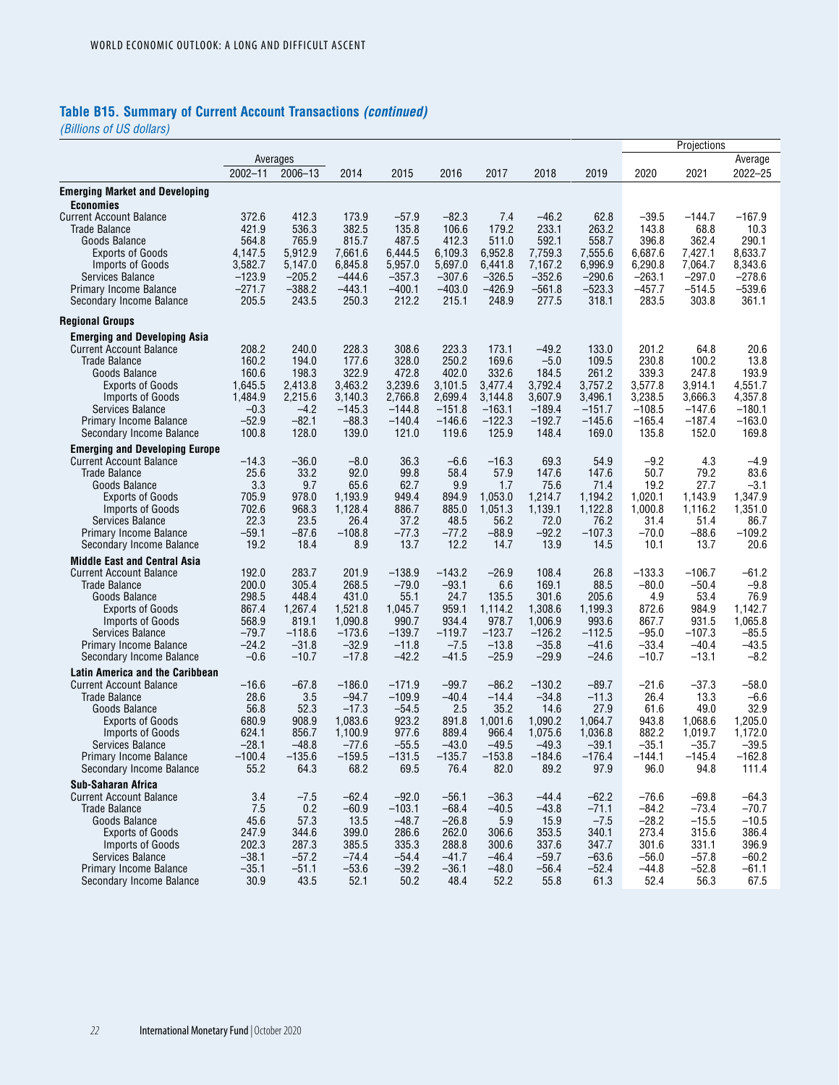### **Table B15. Summary of Current Account Transactions** *(continued)*

|                                                                         |                    |                    |                    |                      |                    |                    |                     |                    |                    | Projections        |                    |
|-------------------------------------------------------------------------|--------------------|--------------------|--------------------|----------------------|--------------------|--------------------|---------------------|--------------------|--------------------|--------------------|--------------------|
|                                                                         |                    | Averages           |                    |                      |                    |                    |                     |                    |                    |                    | Average            |
|                                                                         | 2002-11            | 2006-13            | 2014               | 2015                 | 2016               | 2017               | 2018                | 2019               | 2020               | 2021               | 2022-25            |
| <b>Emerging Market and Developing</b><br><b>Economies</b>               |                    |                    |                    |                      |                    |                    |                     |                    |                    |                    |                    |
| <b>Current Account Balance</b>                                          | 372.6              | 412.3              | 173.9              | $-57.9$              | $-82.3$            | 7.4                | $-46.2$             | 62.8               | $-39.5$            | $-144.7$           | $-167.9$           |
| <b>Trade Balance</b>                                                    | 421.9              | 536.3              | 382.5              | 135.8                | 106.6              | 179.2              | 233.1               | 263.2              | 143.8              | 68.8               | 10.3               |
| Goods Balance<br>Exports of Goods                                       | 564.8<br>4,147.5   | 765.9<br>5,912.9   | 815.7<br>7,661.6   | 487.5<br>6,444.5     | 412.3<br>6,109.3   | 511.0<br>6,952.8   | 592.1<br>7,759.3    | 558.7<br>7,555.6   | 396.8<br>6,687.6   | 362.4<br>7,427.1   | 290.1<br>8,633.7   |
| Imports of Goods                                                        | 3,582.7            | 5,147.0            | 6,845.8            | 5,957.0              | 5,697.0            | 6,441.8            | 7,167.2             | 6,996.9            | 6,290.8            | 7,064.7            | 8,343.6            |
| Services Balance                                                        | $-123.9$           | $-205.2$           | $-444.6$           | $-357.3$             | $-307.6$           | $-326.5$           | $-352.6$            | $-290.6$           | $-263.1$           | $-297.0$           | $-278.6$           |
| Primary Income Balance                                                  | $-271.7$           | $-388.2$           | $-443.1$           | $-400.1$             | $-403.0$           | $-426.9$           | $-561.8$            | $-523.3$           | $-457.7$           | $-514.5$           | $-539.6$           |
| Secondary Income Balance                                                | 205.5              | 243.5              | 250.3              | 212.2                | 215.1              | 248.9              | 277.5               | 318.1              | 283.5              | 303.8              | 361.1              |
| <b>Regional Groups</b>                                                  |                    |                    |                    |                      |                    |                    |                     |                    |                    |                    |                    |
| <b>Emerging and Developing Asia</b>                                     |                    |                    |                    |                      |                    |                    |                     |                    |                    |                    |                    |
| <b>Current Account Balance</b><br><b>Trade Balance</b>                  | 208.2<br>160.2     | 240.0<br>194.0     | 228.3<br>177.6     | 308.6<br>328.0       | 223.3<br>250.2     | 173.1<br>169.6     | $-49.2$<br>$-5.0$   | 133.0<br>109.5     | 201.2<br>230.8     | 64.8<br>100.2      | 20.6<br>13.8       |
| Goods Balance                                                           | 160.6              | 198.3              | 322.9              | 472.8                | 402.0              | 332.6              | 184.5               | 261.2              | 339.3              | 247.8              | 193.9              |
| <b>Exports of Goods</b>                                                 | 1,645.5            | 2,413.8            | 3,463.2            | 3,239.6              | 3,101.5            | 3,477.4            | 3,792.4             | 3,757.2            | 3,577.8            | 3,914.1            | 4,551.7            |
| Imports of Goods                                                        | 1,484.9            | 2,215.6            | 3,140.3            | 2,766.8              | 2,699.4            | 3,144.8            | 3,607.9             | 3,496.1            | 3,238.5            | 3,666.3            | 4,357.8            |
| Services Balance                                                        | $-0.3$             | $-4.2$             | $-145.3$           | $-144.8$             | $-151.8$           | $-163.1$           | $-189.4$            | $-151.7$           | $-108.5$           | $-147.6$           | $-180.1$           |
| <b>Primary Income Balance</b>                                           | $-52.9$            | $-82.1$            | $-88.3$            | $-140.4$             | $-146.6$           | $-122.3$           | $-192.7$            | $-145.6$           | -165.4             | $-187.4$           | $-163.0$           |
| Secondary Income Balance                                                | 100.8              | 128.0              | 139.0              | 121.0                | 119.6              | 125.9              | 148.4               | 169.0              | 135.8              | 152.0              | 169.8              |
| <b>Emerging and Developing Europe</b><br><b>Current Account Balance</b> | $-14.3$            | $-36.0$            | $-8.0$             | 36.3                 | $-6.6$             | $-16.3$            | 69.3                | 54.9               | $-9.2$             | 4.3                | $-4.9$             |
| <b>Trade Balance</b>                                                    | 25.6               | 33.2               | 92.0               | 99.8                 | 58.4               | 57.9               | 147.6               | 147.6              | 50.7               | 79.2               | 83.6               |
| Goods Balance                                                           | 3.3                | 9.7                | 65.6               | 62.7                 | 9.9                | 1.7                | 75.6                | 71.4               | 19.2               | 27.7               | -3.1               |
| Exports of Goods                                                        | 705.9              | 978.0              | 1,193.9            | 949.4                | 894.9              | 1,053.0            | 1,214.7             | 1,194.2            | 1.020.1            | 1,143.9            | 1,347.9            |
| Imports of Goods                                                        | 702.6              | 968.3              | 1,128.4            | 886.7                | 885.0              | 1,051.3            | 1,139.1             | 1,122.8            | 1,000.8            | 1,116.2            | 1,351.0            |
| Services Balance<br>Primary Income Balance                              | 22.3<br>$-59.1$    | 23.5<br>$-87.6$    | 26.4<br>$-108.8$   | 37.2<br>$-77.3$      | 48.5<br>$-77.2$    | 56.2<br>$-88.9$    | 72.0<br>$-92.2$     | 76.2<br>$-107.3$   | 31.4<br>$-70.0$    | 51.4<br>$-88.6$    | 86.7<br>-109.2     |
| Secondary Income Balance                                                | 19.2               | 18.4               | 8.9                | 13.7                 | 12.2               | 14.7               | 13.9                | 14.5               | 10.1               | 13.7               | 20.6               |
| <b>Middle East and Central Asia</b>                                     |                    |                    |                    |                      |                    |                    |                     |                    |                    |                    |                    |
| <b>Current Account Balance</b>                                          | 192.0              | 283.7              | 201.9              | $-138.9$             | $-143.2$           | $-26.9$            | 108.4               | 26.8               | $-133.3$           | $-106.7$           | $-61.2$            |
| <b>Trade Balance</b>                                                    | 200.0              | 305.4              | 268.5              | $-79.0$              | $-93.1$            | 6.6                | 169.1               | 88.5               | $-80.0$            | -50.4              | $-9.8$             |
| Goods Balance                                                           | 298.5              | 448.4              | 431.0              | 55.1                 | 24.7               | 135.5              | 301.6               | 205.6              | 4.9                | 53.4               | 76.9               |
| Exports of Goods                                                        | 867.4              | 1,267.4            | 1,521.8<br>1,090.8 | 1,045.7<br>990.7     | 959.1<br>934.4     | 1,114.2<br>978.7   | 1,308.6             | 1,199.3<br>993.6   | 872.6              | 984.9<br>931.5     | 1,142.7<br>1,065.8 |
| Imports of Goods<br>Services Balance                                    | 568.9<br>$-79.7$   | 819.1<br>$-118.6$  | $-173.6$           | $-139.7$             | $-119.7$           | $-123.7$           | 1,006.9<br>$-126.2$ | $-112.5$           | 867.7<br>$-95.0$   | -107.3             | $-85.5$            |
| <b>Primary Income Balance</b>                                           | $-24.2$            | $-31.8$            | $-32.9$            | $-11.8$              | $-7.5$             | $-13.8$            | $-35.8$             | $-41.6$            | $-33.4$            | -40.4              | $-43.5$            |
| Secondary Income Balance                                                | $-0.6$             | $-10.7$            | $-17.8$            | $-42.2$              | $-41.5$            | $-25.9$            | $-29.9$             | $-24.6$            | $-10.7$            | -13.1              | $-8.2$             |
| Latin America and the Caribbean                                         |                    |                    |                    |                      |                    |                    |                     |                    |                    |                    |                    |
| <b>Current Account Balance</b>                                          | $-16.6$            | $-67.8$<br>3.5     | $-186.0$           | $-171.9$<br>$-109.9$ | $-99.7$<br>$-40.4$ | $-86.2$            | –130.2<br>$-34.8$   | $-89.7$            | $-21.6$<br>26.4    | -37.3<br>13.3      | $-58.0$            |
| <b>Trade Balance</b><br>Goods Balance                                   | 28.6<br>56.8       | 52.3               | $-94.7$<br>$-17.3$ | $-54.5$              | 2.5                | $-14.4$<br>35.2    | 14.6                | -11.3<br>27.9      | 61.6               | 49.0               | $-6.6$<br>32.9     |
| <b>Exports of Goods</b>                                                 | 680.9              | 908.9              | 1,083.6            | 923.2                | 891.8              | 1,001.6            | 1,090.2             | 1,064.7            | 943.8              | 1,068.6            | 1,205.0            |
| Imports of Goods                                                        | 624.1              | 856.7              | 1,100.9            | 977.6                | 889.4              | 966.4              | 1,075.6             | 1,036.8            | 882.2              | 1,019.7            | 1,172.0            |
| Services Balance                                                        | $-28.1$            | $-48.8$            | $-77.6$            | $-55.5$              | $-43.0$            | -49.5              | $-49.3$             | $-39.1$            | $-35.1$            | $-35.7$            | $-39.5$            |
| Primary Income Balance                                                  | $-100.4$           | $-135.6$           | $-159.5$           | $-131.5$             | $-135.7$           | $-153.8$           | $-184.6$            | $-176.4$           | –144.1             | $-145.4$           | -162.8             |
| Secondary Income Balance                                                | 55.2               | 64.3               | 68.2               | 69.5                 | 76.4               | 82.0               | 89.2                | 97.9               | 96.0               | 94.8               | 111.4              |
| Sub-Saharan Africa<br><b>Current Account Balance</b>                    | 3.4                | $-7.5$             | $-62.4$            | $-92.0$              | $-56.1$            | $-36.3$            | $-44.4$             | $-62.2$            | $-76.6$            | $-69.8$            | $-64.3$            |
| <b>Trade Balance</b>                                                    | 7.5                | 0.2                | $-60.9$            | $-103.1$             | $-68.4$            | $-40.5$            | $-43.8$             | $-71.1$            | $-84.2$            | $-73.4$            | $-70.7$            |
| Goods Balance                                                           | 45.6               | 57.3               | 13.5               | $-48.7$              | $-26.8$            | 5.9                | 15.9                | $-7.5$             | $-28.2$            | $-15.5$            | $-10.5$            |
| <b>Exports of Goods</b>                                                 | 247.9              | 344.6              | 399.0              | 286.6                | 262.0              | 306.6              | 353.5               | 340.1              | 273.4              | 315.6              | 386.4              |
| Imports of Goods                                                        | 202.3              | 287.3              | 385.5              | 335.3                | 288.8              | 300.6              | 337.6               | 347.7              | 301.6              | 331.1              | 396.9              |
| Services Balance<br>Primary Income Balance                              | $-38.1$<br>$-35.1$ | $-57.2$<br>$-51.1$ | $-74.4$<br>$-53.6$ | $-54.4$<br>$-39.2$   | $-41.7$<br>$-36.1$ | $-46.4$<br>$-48.0$ | $-59.7$<br>$-56.4$  | $-63.6$<br>$-52.4$ | $-56.0$<br>$-44.8$ | $-57.8$<br>$-52.8$ | $-60.2$<br>$-61.1$ |
| Secondary Income Balance                                                | 30.9               | 43.5               | 52.1               | 50.2                 | 48.4               | 52.2               | 55.8                | 61.3               | 52.4               | 56.3               | 67.5               |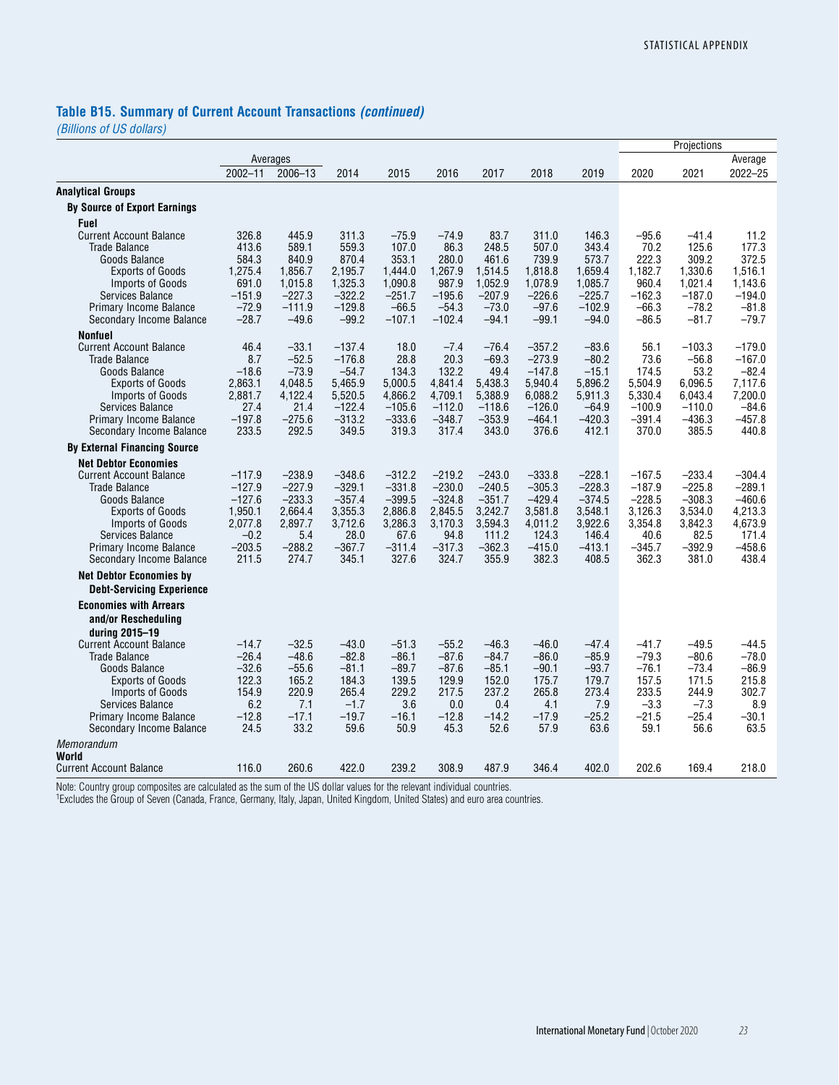# **Table B15. Summary of Current Account Transactions** *(continued)*

*(Billions of US dollars)*

|                                                           |                    |                    |                      |                      |                      |                      |                      |                     |                      | Projections          |                      |
|-----------------------------------------------------------|--------------------|--------------------|----------------------|----------------------|----------------------|----------------------|----------------------|---------------------|----------------------|----------------------|----------------------|
|                                                           |                    | Averages           |                      |                      |                      |                      |                      |                     |                      |                      | Average              |
|                                                           | $2002 - 11$        | 2006-13            | 2014                 | 2015                 | 2016                 | 2017                 | 2018                 | 2019                | 2020                 | 2021                 | 2022-25              |
| <b>Analytical Groups</b>                                  |                    |                    |                      |                      |                      |                      |                      |                     |                      |                      |                      |
| <b>By Source of Export Earnings</b>                       |                    |                    |                      |                      |                      |                      |                      |                     |                      |                      |                      |
| <b>Fuel</b>                                               |                    |                    |                      |                      |                      |                      |                      |                     |                      |                      |                      |
| <b>Current Account Balance</b>                            | 326.8              | 445.9              | 311.3                | $-75.9$              | $-74.9$              | 83.7                 | 311.0                | 146.3               | $-95.6$              | $-41.4$              | 11.2                 |
| <b>Trade Balance</b><br>Goods Balance                     | 413.6<br>584.3     | 589.1<br>840.9     | 559.3<br>870.4       | 107.0<br>353.1       | 86.3<br>280.0        | 248.5<br>461.6       | 507.0<br>739.9       | 343.4<br>573.7      | 70.2<br>222.3        | 125.6<br>309.2       | 177.3<br>372.5       |
| <b>Exports of Goods</b>                                   | 1,275.4            | 1.856.7            | 2,195.7              | 1,444.0              | 1,267.9              | 1,514.5              | 1,818.8              | 1,659.4             | 1.182.7              | 1,330.6              | 1.516.1              |
| Imports of Goods                                          | 691.0              | 1.015.8            | 1,325.3              | 1.090.8              | 987.9                | 1.052.9              | 1.078.9              | 1.085.7             | 960.4                | 1.021.4              | 1.143.6              |
| Services Balance                                          | $-151.9$           | $-227.3$           | $-322.2$             | $-251.7$             | $-195.6$             | $-207.9$             | $-226.6$             | $-225.7$            | $-162.3$             | $-187.0$             | $-194.0$             |
| Primary Income Balance                                    | $-72.9$            | $-111.9$           | $-129.8$             | $-66.5$              | $-54.3$              | $-73.0$              | $-97.6$              | $-102.9$            | $-66.3$              | $-78.2$              | $-81.8$              |
| Secondary Income Balance                                  | $-28.7$            | $-49.6$            | $-99.2$              | $-107.1$             | $-102.4$             | $-94.1$              | $-99.1$              | $-94.0$             | $-86.5$              | $-81.7$              | $-79.7$              |
| <b>Nonfuel</b>                                            |                    |                    |                      |                      |                      |                      |                      |                     |                      |                      |                      |
| <b>Current Account Balance</b><br><b>Trade Balance</b>    | 46.4<br>8.7        | $-33.1$<br>$-52.5$ | $-137.4$<br>$-176.8$ | 18.0<br>28.8         | $-7.4$<br>20.3       | $-76.4$<br>$-69.3$   | $-357.2$<br>$-273.9$ | $-83.6$<br>$-80.2$  | 56.1<br>73.6         | $-103.3$<br>$-56.8$  | $-179.0$<br>$-167.0$ |
| Goods Balance                                             | $-18.6$            | $-73.9$            | $-54.7$              | 134.3                | 132.2                | 49.4                 | $-147.8$             | $-15.1$             | 174.5                | 53.2                 | $-82.4$              |
| <b>Exports of Goods</b>                                   | 2.863.1            | 4.048.5            | 5.465.9              | 5.000.5              | 4.841.4              | 5.438.3              | 5.940.4              | 5.896.2             | 5.504.9              | 6.096.5              | 7.117.6              |
| Imports of Goods                                          | 2,881.7            | 4,122.4            | 5,520.5              | 4,866.2              | 4,709.1              | 5,388.9              | 6,088.2              | 5,911.3             | 5,330.4              | 6,043.4              | 7,200.0              |
| Services Balance                                          | 27.4<br>$-197.8$   | 21.4<br>$-275.6$   | $-122.4$<br>$-313.2$ | $-105.6$<br>$-333.6$ | $-112.0$<br>$-348.7$ | $-118.6$<br>$-353.9$ | $-126.0$<br>$-464.1$ | $-64.9$<br>$-420.3$ | $-100.9$<br>$-391.4$ | $-110.0$<br>$-436.3$ | $-84.6$<br>$-457.8$  |
| Primary Income Balance<br>Secondary Income Balance        | 233.5              | 292.5              | 349.5                | 319.3                | 317.4                | 343.0                | 376.6                | 412.1               | 370.0                | 385.5                | 440.8                |
| <b>By External Financing Source</b>                       |                    |                    |                      |                      |                      |                      |                      |                     |                      |                      |                      |
| <b>Net Debtor Economies</b>                               |                    |                    |                      |                      |                      |                      |                      |                     |                      |                      |                      |
| <b>Current Account Balance</b>                            | $-117.9$           | $-238.9$           | $-348.6$             | $-312.2$             | $-219.2$             | $-243.0$             | $-333.8$             | $-228.1$            | $-167.5$             | $-233.4$             | $-304.4$             |
| <b>Trade Balance</b>                                      | $-127.9$           | $-227.9$           | $-329.1$             | $-331.8$             | $-230.0$             | $-240.5$             | $-305.3$             | $-228.3$            | $-187.9$             | $-225.8$             | $-289.1$             |
| Goods Balance                                             | $-127.6$           | $-233.3$           | $-357.4$             | $-399.5$             | $-324.8$             | $-351.7$             | $-429.4$             | $-374.5$            | $-228.5$             | $-308.3$             | $-460.6$             |
| Exports of Goods<br>Imports of Goods                      | 1,950.1<br>2.077.8 | 2.664.4<br>2.897.7 | 3,355.3<br>3.712.6   | 2,886.8<br>3.286.3   | 2.845.5<br>3.170.3   | 3.242.7<br>3.594.3   | 3.581.8<br>4.011.2   | 3,548.1<br>3,922.6  | 3,126.3<br>3,354.8   | 3,534.0<br>3,842.3   | 4.213.3<br>4.673.9   |
| Services Balance                                          | $-0.2$             | 5.4                | 28.0                 | 67.6                 | 94.8                 | 111.2                | 124.3                | 146.4               | 40.6                 | 82.5                 | 171.4                |
| Primary Income Balance                                    | $-203.5$           | $-288.2$           | $-367.7$             | $-311.4$             | –317.3               | $-362.3$             | $-415.0$             | $-413.1$            | -345.7               | $-392.9$             | $-458.6$             |
| Secondary Income Balance                                  | 211.5              | 274.7              | 345.1                | 327.6                | 324.7                | 355.9                | 382.3                | 408.5               | 362.3                | 381.0                | 438.4                |
| <b>Net Debtor Economies by</b>                            |                    |                    |                      |                      |                      |                      |                      |                     |                      |                      |                      |
| <b>Debt-Servicing Experience</b>                          |                    |                    |                      |                      |                      |                      |                      |                     |                      |                      |                      |
| <b>Economies with Arrears</b>                             |                    |                    |                      |                      |                      |                      |                      |                     |                      |                      |                      |
| and/or Rescheduling                                       |                    |                    |                      |                      |                      |                      |                      |                     |                      |                      |                      |
| during 2015-19                                            |                    |                    |                      |                      |                      |                      |                      |                     |                      |                      |                      |
| <b>Current Account Balance</b><br><b>Trade Balance</b>    | $-14.7$<br>$-26.4$ | $-32.5$<br>$-48.6$ | $-43.0$<br>$-82.8$   | $-51.3$<br>$-86.1$   | $-55.2$<br>$-87.6$   | $-46.3$<br>$-84.7$   | $-46.0$<br>$-86.0$   | $-47.4$<br>$-85.9$  | $-41.7$<br>$-79.3$   | $-49.5$<br>$-80.6$   | $-44.5$<br>$-78.0$   |
| Goods Balance                                             | $-32.6$            | $-55.6$            | $-81.1$              | $-89.7$              | $-87.6$              | $-85.1$              | $-90.1$              | $-93.7$             | $-76.1$              | $-73.4$              | $-86.9$              |
| <b>Exports of Goods</b>                                   | 122.3              | 165.2              | 184.3                | 139.5                | 129.9                | 152.0                | 175.7                | 179.7               | 157.5                | 171.5                | 215.8                |
| Imports of Goods                                          | 154.9              | 220.9              | 265.4                | 229.2                | 217.5                | 237.2                | 265.8                | 273.4               | 233.5                | 244.9                | 302.7                |
| Services Balance                                          | 6.2<br>$-12.8$     | 7.1<br>$-17.1$     | $-1.7$<br>$-19.7$    | 3.6                  | 0.0<br>$-12.8$       | 0.4<br>$-14.2$       | 4.1<br>$-17.9$       | 7.9<br>$-25.2$      | $-3.3$<br>$-21.5$    | $-7.3$<br>$-25.4$    | 8.9<br>$-30.1$       |
| <b>Primary Income Balance</b><br>Secondary Income Balance | 24.5               | 33.2               | 59.6                 | $-16.1$<br>50.9      | 45.3                 | 52.6                 | 57.9                 | 63.6                | 59.1                 | 56.6                 | 63.5                 |
| Memorandum                                                |                    |                    |                      |                      |                      |                      |                      |                     |                      |                      |                      |
| World                                                     |                    |                    |                      |                      |                      |                      |                      |                     |                      |                      |                      |
| <b>Current Account Balance</b>                            | 116.0              | 260.6              | 422.0                | 239.2                | 308.9                | 487.9                | 346.4                | 402.0               | 202.6                | 169.4                | 218.0                |

Note: Country group composites are calculated as the sum of the US dollar values for the relevant individual countries.

1Excludes the Group of Seven (Canada, France, Germany, Italy, Japan, United Kingdom, United States) and euro area countries.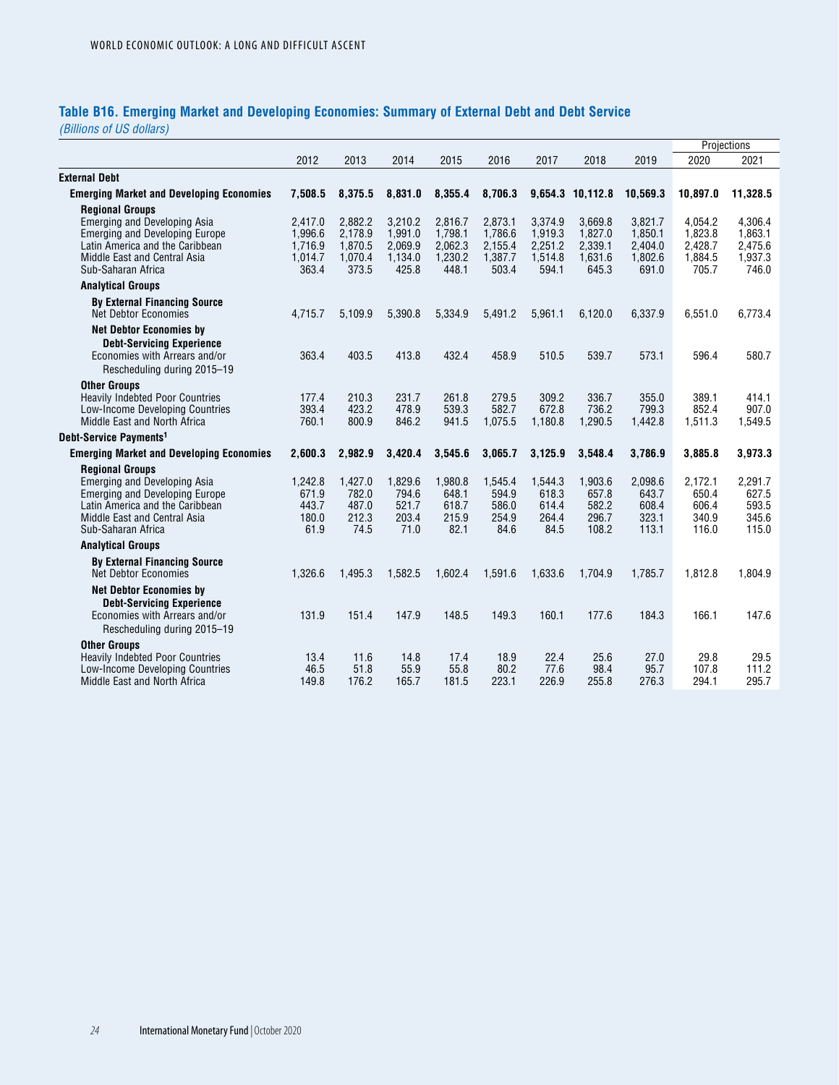## **Table B16. Emerging Market and Developing Economies: Summary of External Debt and Debt Service**

|                                                                           |                    |                    |                    |                    |                    |                    |                    |                    |                    | Projections        |
|---------------------------------------------------------------------------|--------------------|--------------------|--------------------|--------------------|--------------------|--------------------|--------------------|--------------------|--------------------|--------------------|
|                                                                           | 2012               | 2013               | 2014               | 2015               | 2016               | 2017               | 2018               | 2019               | 2020               | 2021               |
| External Debt                                                             |                    |                    |                    |                    |                    |                    |                    |                    |                    |                    |
| <b>Emerging Market and Developing Economies</b>                           | 7,508.5            | 8,375.5            | 8,831.0            | 8,355.4            | 8,706.3            |                    | 9,654.3 10,112.8   | 10,569.3           | 10,897.0           | 11,328.5           |
| <b>Regional Groups</b>                                                    |                    |                    |                    |                    |                    |                    |                    |                    |                    |                    |
| <b>Emerging and Developing Asia</b>                                       | 2.417.0            | 2.882.2            | 3.210.2            | 2.816.7            | 2.873.1            | 3.374.9            | 3.669.8            | 3.821.7            | 4.054.2            | 4.306.4            |
| <b>Emerging and Developing Europe</b>                                     | 1,996.6            | 2.178.9            | 1,991.0            | 1.798.1            | 1.786.6            | 1.919.3            | 1.827.0            | 1.850.1            | 1,823.8            | 1.863.1            |
| Latin America and the Caribbean<br>Middle East and Central Asia           | 1,716.9<br>1.014.7 | 1,870.5<br>1,070.4 | 2,069.9<br>1,134.0 | 2,062.3<br>1.230.2 | 2,155.4<br>1.387.7 | 2,251.2<br>1,514.8 | 2,339.1<br>1.631.6 | 2,404.0<br>1.802.6 | 2,428.7<br>1,884.5 | 2,475.6<br>1.937.3 |
| Sub-Saharan Africa                                                        | 363.4              | 373.5              | 425.8              | 448.1              | 503.4              | 594.1              | 645.3              | 691.0              | 705.7              | 746.0              |
| <b>Analytical Groups</b>                                                  |                    |                    |                    |                    |                    |                    |                    |                    |                    |                    |
| <b>By External Financing Source</b>                                       |                    |                    |                    |                    |                    |                    |                    |                    |                    |                    |
| <b>Net Debtor Economies</b>                                               | 4,715.7            | 5,109.9            | 5,390.8            | 5,334.9            | 5,491.2            | 5,961.1            | 6,120.0            | 6,337.9            | 6,551.0            | 6,773.4            |
| <b>Net Debtor Economies by</b>                                            |                    |                    |                    |                    |                    |                    |                    |                    |                    |                    |
| <b>Debt-Servicing Experience</b>                                          |                    |                    |                    |                    |                    |                    |                    |                    |                    |                    |
| Economies with Arrears and/or                                             | 363.4              | 403.5              | 413.8              | 432.4              | 458.9              | 510.5              | 539.7              | 573.1              | 596.4              | 580.7              |
| Rescheduling during 2015-19                                               |                    |                    |                    |                    |                    |                    |                    |                    |                    |                    |
| <b>Other Groups</b>                                                       |                    |                    |                    |                    |                    |                    |                    |                    |                    |                    |
| <b>Heavily Indebted Poor Countries</b><br>Low-Income Developing Countries | 177.4<br>393.4     | 210.3<br>423.2     | 231.7<br>478.9     | 261.8<br>539.3     | 279.5<br>582.7     | 309.2<br>672.8     | 336.7<br>736.2     | 355.0<br>799.3     | 389.1<br>852.4     | 414.1<br>907.0     |
| Middle East and North Africa                                              | 760.1              | 800.9              | 846.2              | 941.5              | 1,075.5            | 1,180.8            | 1,290.5            | 1,442.8            | 1,511.3            | 1,549.5            |
| Debt-Service Payments <sup>1</sup>                                        |                    |                    |                    |                    |                    |                    |                    |                    |                    |                    |
| <b>Emerging Market and Developing Economies</b>                           | 2,600.3            | 2,982.9            | 3,420.4            | 3,545.6            | 3,065.7            | 3,125.9            | 3,548.4            | 3,786.9            | 3,885.8            | 3,973.3            |
| <b>Regional Groups</b>                                                    |                    |                    |                    |                    |                    |                    |                    |                    |                    |                    |
| <b>Emerging and Developing Asia</b>                                       | 1,242.8            | 1,427.0            | 1,829.6            | 1,980.8            | 1,545.4            | 1,544.3            | 1,903.6            | 2,098.6            | 2,172.1            | 2,291.7            |
| <b>Emerging and Developing Europe</b>                                     | 671.9              | 782.0              | 794.6              | 648.1              | 594.9              | 618.3              | 657.8              | 643.7              | 650.4              | 627.5              |
| Latin America and the Caribbean<br>Middle East and Central Asia           | 443.7<br>180.0     | 487.0<br>212.3     | 521.7<br>203.4     | 618.7<br>215.9     | 586.0<br>254.9     | 614.4<br>264.4     | 582.2<br>296.7     | 608.4<br>323.1     | 606.4<br>340.9     | 593.5<br>345.6     |
| Sub-Saharan Africa                                                        | 61.9               | 74.5               | 71.0               | 82.1               | 84.6               | 84.5               | 108.2              | 113.1              | 116.0              | 115.0              |
| <b>Analytical Groups</b>                                                  |                    |                    |                    |                    |                    |                    |                    |                    |                    |                    |
| <b>By External Financing Source</b>                                       |                    |                    |                    |                    |                    |                    |                    |                    |                    |                    |
| <b>Net Debtor Economies</b>                                               | 1,326.6            | 1,495.3            | 1,582.5            | 1,602.4            | 1,591.6            | 1,633.6            | 1,704.9            | 1,785.7            | 1,812.8            | 1,804.9            |
| <b>Net Debtor Economies by</b>                                            |                    |                    |                    |                    |                    |                    |                    |                    |                    |                    |
| <b>Debt-Servicing Experience</b>                                          |                    |                    |                    |                    |                    |                    |                    |                    |                    |                    |
| Economies with Arrears and/or                                             | 131.9              | 151.4              | 147.9              | 148.5              | 149.3              | 160.1              | 177.6              | 184.3              | 166.1              | 147.6              |
| Rescheduling during 2015-19                                               |                    |                    |                    |                    |                    |                    |                    |                    |                    |                    |
| <b>Other Groups</b>                                                       |                    |                    |                    |                    |                    |                    |                    |                    |                    |                    |
| <b>Heavily Indebted Poor Countries</b><br>Low-Income Developing Countries | 13.4<br>46.5       | 11.6<br>51.8       | 14.8<br>55.9       | 17.4<br>55.8       | 18.9<br>80.2       | 22.4<br>77.6       | 25.6<br>98.4       | 27.0<br>95.7       | 29.8<br>107.8      | 29.5<br>111.2      |
| Middle East and North Africa                                              | 149.8              | 176.2              | 165.7              | 181.5              | 223.1              | 226.9              | 255.8              | 276.3              | 294.1              | 295.7              |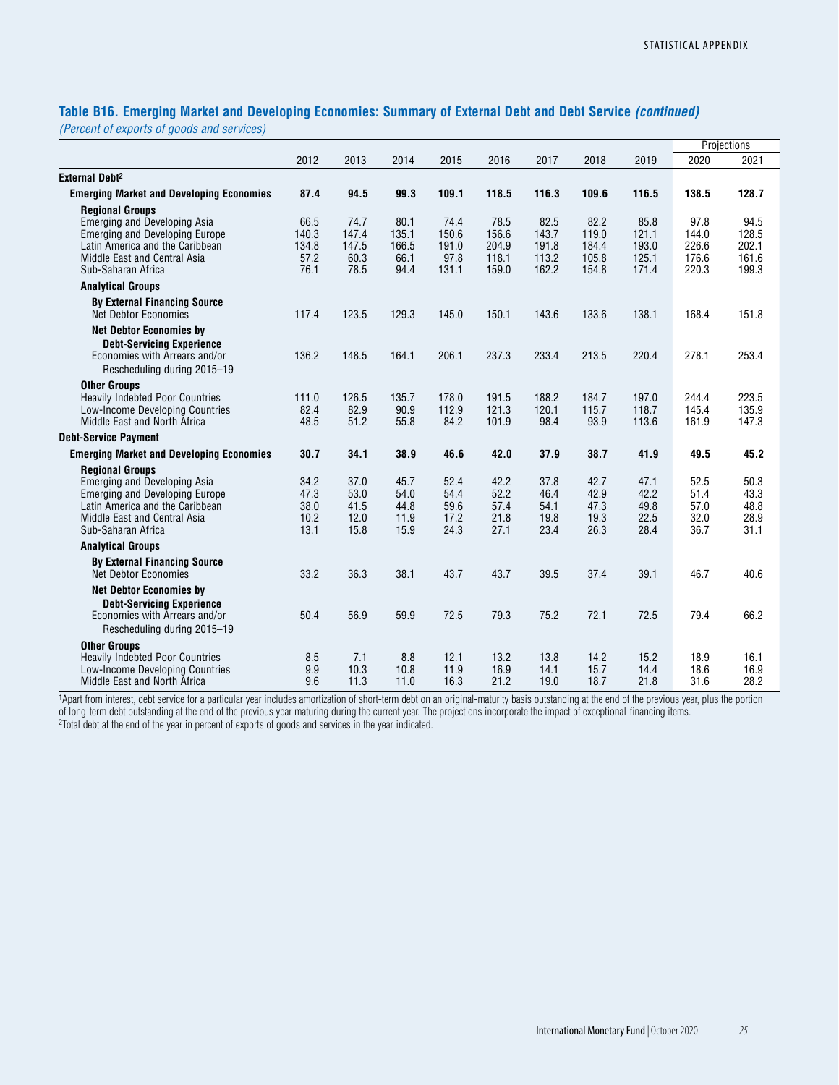### **Table B16. Emerging Market and Developing Economies: Summary of External Debt and Debt Service** *(continued)*

*(Percent of exports of goods and services)*

|                                                                 |              |              |              |              |              |              |              |              |              | Projections  |
|-----------------------------------------------------------------|--------------|--------------|--------------|--------------|--------------|--------------|--------------|--------------|--------------|--------------|
|                                                                 | 2012         | 2013         | 2014         | 2015         | 2016         | 2017         | 2018         | 2019         | 2020         | 2021         |
| <b>External Debt<sup>2</sup></b>                                |              |              |              |              |              |              |              |              |              |              |
| <b>Emerging Market and Developing Economies</b>                 | 87.4         | 94.5         | 99.3         | 109.1        | 118.5        | 116.3        | 109.6        | 116.5        | 138.5        | 128.7        |
| <b>Regional Groups</b>                                          |              |              |              |              |              |              |              |              |              |              |
| Emerging and Developing Asia                                    | 66.5         | 74.7         | 80.1         | 74.4         | 78.5         | 82.5         | 82.2         | 85.8         | 97.8         | 94.5         |
| <b>Emerging and Developing Europe</b>                           | 140.3        | 147.4        | 135.1        | 150.6        | 156.6        | 143.7        | 119.0        | 121.1        | 144.0        | 128.5        |
| Latin America and the Caribbean                                 | 134.8        | 147.5        | 166.5        | 191.0        | 204.9        | 191.8        | 184.4        | 193.0        | 226.6        | 202.1        |
| Middle East and Central Asia                                    | 57.2         | 60.3         | 66.1         | 97.8         | 118.1        | 113.2        | 105.8        | 125.1        | 176.6        | 161.6        |
| Sub-Saharan Africa                                              | 76.1         | 78.5         | 94.4         | 131.1        | 159.0        | 162.2        | 154.8        | 171.4        | 220.3        | 199.3        |
| <b>Analytical Groups</b>                                        |              |              |              |              |              |              |              |              |              |              |
| <b>By External Financing Source</b>                             |              |              |              |              |              |              |              |              |              |              |
| <b>Net Debtor Economies</b>                                     | 117.4        | 123.5        | 129.3        | 145.0        | 150.1        | 143.6        | 133.6        | 138.1        | 168.4        | 151.8        |
| <b>Net Debtor Economies by</b>                                  |              |              |              |              |              |              |              |              |              |              |
| <b>Debt-Servicing Experience</b>                                |              |              |              |              |              |              |              |              |              |              |
| Economies with Arrears and/or                                   | 136.2        | 148.5        | 164.1        | 206.1        | 237.3        | 233.4        | 213.5        | 220.4        | 278.1        | 253.4        |
| Rescheduling during 2015-19                                     |              |              |              |              |              |              |              |              |              |              |
| <b>Other Groups</b>                                             |              |              |              |              |              |              |              |              |              |              |
| <b>Heavily Indebted Poor Countries</b>                          | 111.0        | 126.5        | 135.7        | 178.0        | 191.5        | 188.2        | 184.7        | 197.0        | 244.4        | 223.5        |
| Low-Income Developing Countries                                 | 82.4         | 82.9         | 90.9         | 112.9        | 121.3        | 120.1        | 115.7        | 118.7        | 145.4        | 135.9        |
| Middle East and North Africa                                    | 48.5         | 51.2         | 55.8         | 84.2         | 101.9        | 98.4         | 93.9         | 113.6        | 161.9        | 147.3        |
| <b>Debt-Service Payment</b>                                     |              |              |              |              |              |              |              |              |              |              |
| <b>Emerging Market and Developing Economies</b>                 | 30.7         | 34.1         | 38.9         | 46.6         | 42.0         | 37.9         | 38.7         | 41.9         | 49.5         | 45.2         |
| <b>Regional Groups</b>                                          |              |              |              |              |              |              |              |              |              |              |
| Emerging and Developing Asia                                    | 34.2         | 37.0         | 45.7         | 52.4         | 42.2         | 37.8         | 42.7         | 47.1         | 52.5         | 50.3         |
| <b>Emerging and Developing Europe</b>                           | 47.3         | 53.0         | 54.0         | 54.4         | 52.2         | 46.4         | 42.9         | 42.2         | 51.4         | 43.3         |
| Latin America and the Caribbean                                 | 38.0         | 41.5         | 44.8         | 59.6         | 57.4         | 54.1         | 47.3         | 49.8         | 57.0         | 48.8         |
| Middle East and Central Asia<br>Sub-Saharan Africa              | 10.2<br>13.1 | 12.0<br>15.8 | 11.9<br>15.9 | 17.2<br>24.3 | 21.8<br>27.1 | 19.8<br>23.4 | 19.3<br>26.3 | 22.5<br>28.4 | 32.0<br>36.7 | 28.9<br>31.1 |
|                                                                 |              |              |              |              |              |              |              |              |              |              |
| <b>Analytical Groups</b>                                        |              |              |              |              |              |              |              |              |              |              |
| <b>By External Financing Source</b>                             |              |              |              |              |              |              |              |              |              |              |
| <b>Net Debtor Economies</b>                                     | 33.2         | 36.3         | 38.1         | 43.7         | 43.7         | 39.5         | 37.4         | 39.1         | 46.7         | 40.6         |
| <b>Net Debtor Economies by</b>                                  |              |              |              |              |              |              |              |              |              |              |
| <b>Debt-Servicing Experience</b>                                |              |              |              |              |              |              |              |              |              |              |
| Economies with Arrears and/or                                   | 50.4         | 56.9         | 59.9         | 72.5         | 79.3         | 75.2         | 72.1         | 72.5         | 79.4         | 66.2         |
| Rescheduling during 2015-19                                     |              |              |              |              |              |              |              |              |              |              |
| <b>Other Groups</b>                                             |              |              |              |              |              |              |              |              |              |              |
| <b>Heavily Indebted Poor Countries</b>                          | 8.5          | 7.1          | 8.8          | 12.1         | 13.2         | 13.8         | 14.2         | 15.2         | 18.9         | 16.1         |
| Low-Income Developing Countries<br>Middle East and North Africa | 9.9<br>9.6   | 10.3<br>11.3 | 10.8<br>11.0 | 11.9<br>16.3 | 16.9<br>21.2 | 14.1<br>19.0 | 15.7<br>18.7 | 14.4<br>21.8 | 18.6<br>31.6 | 16.9<br>28.2 |
|                                                                 |              |              |              |              |              |              |              |              |              |              |

1Apart from interest, debt service for a particular year includes amortization of short-term debt on an original-maturity basis outstanding at the end of the previous year, plus the portion of long-term debt outstanding at the end of the previous year maturing during the current year. The projections incorporate the impact of exceptional-financing items.

<sup>2</sup>Total debt at the end of the year in percent of exports of goods and services in the year indicated.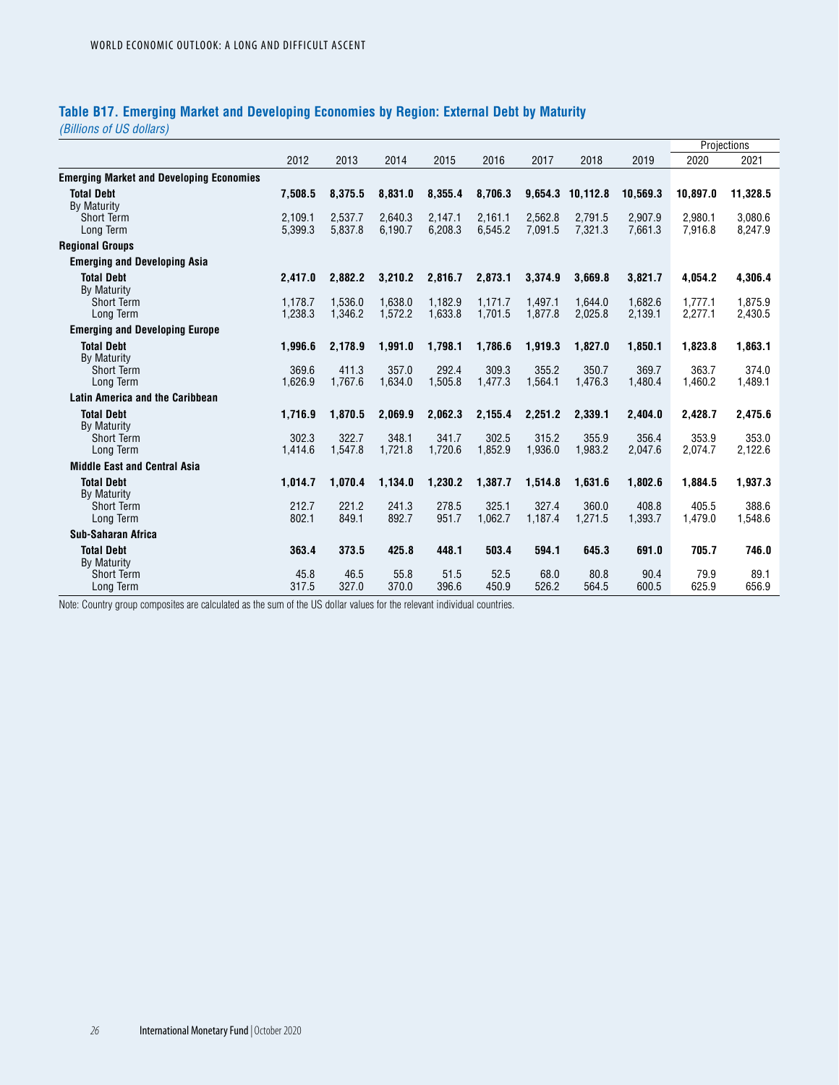### **Table B17. Emerging Market and Developing Economies by Region: External Debt by Maturity**

*(Billions of US dollars)*

|                                                 |                    |                    |                    |                    |                    |                    |                    |                    |                    | Projections        |
|-------------------------------------------------|--------------------|--------------------|--------------------|--------------------|--------------------|--------------------|--------------------|--------------------|--------------------|--------------------|
|                                                 | 2012               | 2013               | 2014               | 2015               | 2016               | 2017               | 2018               | 2019               | 2020               | 2021               |
| <b>Emerging Market and Developing Economies</b> |                    |                    |                    |                    |                    |                    |                    |                    |                    |                    |
| <b>Total Debt</b>                               | 7,508.5            | 8,375.5            | 8,831.0            | 8.355.4            | 8.706.3            | 9,654.3            | 10.112.8           | 10.569.3           | 10.897.0           | 11,328.5           |
| By Maturity                                     |                    |                    |                    |                    |                    |                    |                    |                    |                    |                    |
| Short Term<br>Long Term                         | 2,109.1<br>5,399.3 | 2.537.7<br>5.837.8 | 2,640.3<br>6.190.7 | 2.147.1<br>6.208.3 | 2,161.1<br>6,545.2 | 2.562.8<br>7.091.5 | 2.791.5<br>7.321.3 | 2.907.9<br>7,661.3 | 2.980.1<br>7.916.8 | 3,080.6<br>8,247.9 |
| <b>Regional Groups</b>                          |                    |                    |                    |                    |                    |                    |                    |                    |                    |                    |
| <b>Emerging and Developing Asia</b>             |                    |                    |                    |                    |                    |                    |                    |                    |                    |                    |
| <b>Total Debt</b>                               | 2.417.0            | 2.882.2            | 3,210.2            | 2.816.7            | 2,873.1            | 3.374.9            | 3.669.8            | 3.821.7            | 4.054.2            | 4,306.4            |
| <b>By Maturity</b><br>Short Term                | 1.178.7            | 1.536.0            | 1.638.0            | 1.182.9            | 1.171.7            | 1.497.1            | 1.644.0            | 1.682.6            | 1.777.1            | 1,875.9            |
| Long Term                                       | 1,238.3            | 1.346.2            | 1,572.2            | 1.633.8            | 1.701.5            | 1.877.8            | 2,025.8            | 2,139.1            | 2,277.1            | 2,430.5            |
| <b>Emerging and Developing Europe</b>           |                    |                    |                    |                    |                    |                    |                    |                    |                    |                    |
| <b>Total Debt</b>                               | 1,996.6            | 2,178.9            | 1,991.0            | 1,798.1            | 1,786.6            | 1,919.3            | 1,827.0            | 1,850.1            | 1,823.8            | 1,863.1            |
| <b>By Maturity</b><br><b>Short Term</b>         | 369.6              | 411.3              | 357.0              | 292.4              | 309.3              | 355.2              | 350.7              | 369.7              | 363.7              | 374.0              |
| Long Term                                       | 1,626.9            | 1.767.6            | 1,634.0            | 1,505.8            | 1,477.3            | 1.564.1            | 1.476.3            | 1,480.4            | 1,460.2            | 1,489.1            |
| <b>Latin America and the Caribbean</b>          |                    |                    |                    |                    |                    |                    |                    |                    |                    |                    |
| <b>Total Debt</b><br>By Maturity                | 1.716.9            | 1.870.5            | 2,069.9            | 2,062.3            | 2,155.4            | 2,251.2            | 2,339.1            | 2.404.0            | 2,428.7            | 2,475.6            |
| <b>Short Term</b>                               | 302.3              | 322.7              | 348.1              | 341.7              | 302.5              | 315.2              | 355.9              | 356.4              | 353.9              | 353.0              |
| Long Term                                       | 1,414.6            | 1,547.8            | 1,721.8            | 1,720.6            | 1,852.9            | 1,936.0            | 1.983.2            | 2,047.6            | 2,074.7            | 2,122.6            |
| <b>Middle East and Central Asia</b>             |                    |                    |                    |                    |                    |                    |                    |                    |                    |                    |
| <b>Total Debt</b>                               | 1,014.7            | 1.070.4            | 1,134.0            | 1,230.2            | 1,387.7            | 1,514.8            | 1,631.6            | 1,802.6            | 1,884.5            | 1,937.3            |
| <b>By Maturity</b><br><b>Short Term</b>         | 212.7              | 221.2              | 241.3              | 278.5              | 325.1              | 327.4              | 360.0              | 408.8              | 405.5              | 388.6              |
| Long Term                                       | 802.1              | 849.1              | 892.7              | 951.7              | 1.062.7            | 1,187.4            | 1,271.5            | 1.393.7            | 1,479.0            | 1,548.6            |
| Sub-Saharan Africa                              |                    |                    |                    |                    |                    |                    |                    |                    |                    |                    |
| <b>Total Debt</b>                               | 363.4              | 373.5              | 425.8              | 448.1              | 503.4              | 594.1              | 645.3              | 691.0              | 705.7              | 746.0              |
| <b>By Maturity</b><br>Short Term                | 45.8               | 46.5               | 55.8               | 51.5               | 52.5               | 68.0               | 80.8               | 90.4               | 79.9               | 89.1               |
| Long Term                                       | 317.5              | 327.0              | 370.0              | 396.6              | 450.9              | 526.2              | 564.5              | 600.5              | 625.9              | 656.9              |

Note: Country group composites are calculated as the sum of the US dollar values for the relevant individual countries.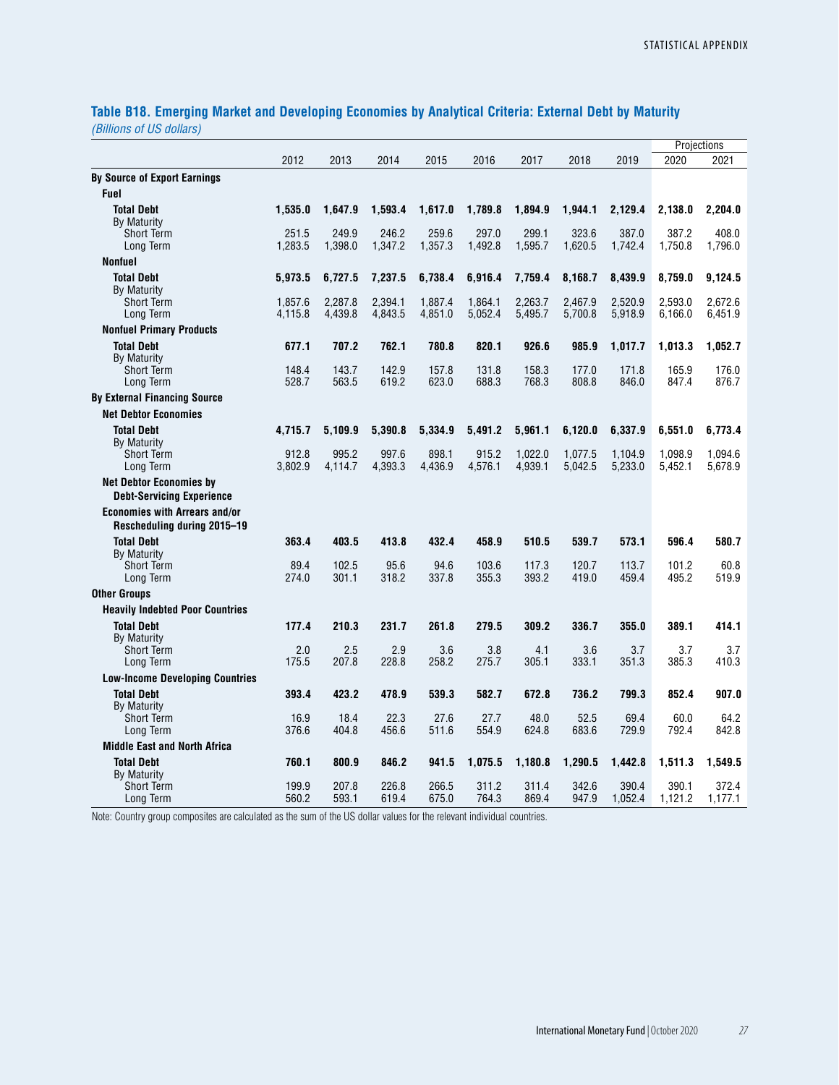**Table B18. Emerging Market and Developing Economies by Analytical Criteria: External Debt by Maturity** *(Billions of US dollars)*

|                                                                    |                    |                    |                    |                    |                    |                    |                    |                    | Projections        |                    |
|--------------------------------------------------------------------|--------------------|--------------------|--------------------|--------------------|--------------------|--------------------|--------------------|--------------------|--------------------|--------------------|
|                                                                    | 2012               | 2013               | 2014               | 2015               | 2016               | 2017               | 2018               | 2019               | 2020               | 2021               |
| <b>By Source of Export Earnings</b>                                |                    |                    |                    |                    |                    |                    |                    |                    |                    |                    |
| <b>Fuel</b>                                                        |                    |                    |                    |                    |                    |                    |                    |                    |                    |                    |
| <b>Total Debt</b><br>By Maturity                                   | 1,535.0            | 1,647.9            | 1,593.4            | 1,617.0            | 1,789.8            | 1,894.9            | 1,944.1            | 2,129.4            | 2,138.0            | 2,204.0            |
| <b>Short Term</b><br>Long Term                                     | 251.5<br>1,283.5   | 249.9<br>1,398.0   | 246.2<br>1,347.2   | 259.6<br>1,357.3   | 297.0<br>1,492.8   | 299.1<br>1,595.7   | 323.6<br>1,620.5   | 387.0<br>1.742.4   | 387.2<br>1,750.8   | 408.0<br>1,796.0   |
| Nonfuel                                                            |                    |                    |                    |                    |                    |                    |                    |                    |                    |                    |
| <b>Total Debt</b><br>By Maturity                                   | 5,973.5            | 6,727.5            | 7,237.5            | 6,738.4            | 6,916.4            | 7,759.4            | 8,168.7            | 8,439.9            | 8,759.0            | 9,124.5            |
| <b>Short Term</b><br>Long Term                                     | 1,857.6<br>4,115.8 | 2,287.8<br>4,439.8 | 2,394.1<br>4,843.5 | 1,887.4<br>4,851.0 | 1,864.1<br>5,052.4 | 2,263.7<br>5,495.7 | 2,467.9<br>5,700.8 | 2,520.9<br>5,918.9 | 2,593.0<br>6,166.0 | 2,672.6<br>6,451.9 |
| <b>Nonfuel Primary Products</b>                                    |                    |                    |                    |                    |                    |                    |                    |                    |                    |                    |
| <b>Total Debt</b><br>By Maturity                                   | 677.1              | 707.2              | 762.1              | 780.8              | 820.1              | 926.6              | 985.9              | 1,017.7            | 1,013.3            | 1,052.7            |
| <b>Short Term</b><br>Long Term                                     | 148.4<br>528.7     | 143.7<br>563.5     | 142.9<br>619.2     | 157.8<br>623.0     | 131.8<br>688.3     | 158.3<br>768.3     | 177.0<br>808.8     | 171.8<br>846.0     | 165.9<br>847.4     | 176.0<br>876.7     |
| <b>By External Financing Source</b>                                |                    |                    |                    |                    |                    |                    |                    |                    |                    |                    |
| <b>Net Debtor Economies</b>                                        |                    |                    |                    |                    |                    |                    |                    |                    |                    |                    |
| <b>Total Debt</b><br>By Maturity                                   | 4,715.7            | 5,109.9            | 5,390.8            | 5,334.9            | 5,491.2            | 5,961.1            | 6,120.0            | 6,337.9            | 6,551.0            | 6,773.4            |
| <b>Short Term</b><br>Long Term                                     | 912.8<br>3,802.9   | 995.2<br>4.114.7   | 997.6<br>4,393.3   | 898.1<br>4,436.9   | 915.2<br>4,576.1   | 1,022.0<br>4,939.1 | 1,077.5<br>5,042.5 | 1,104.9<br>5,233.0 | 1,098.9<br>5,452.1 | 1,094.6<br>5,678.9 |
| <b>Net Debtor Economies by</b><br><b>Debt-Servicing Experience</b> |                    |                    |                    |                    |                    |                    |                    |                    |                    |                    |
| Economies with Arrears and/or<br>Rescheduling during 2015-19       |                    |                    |                    |                    |                    |                    |                    |                    |                    |                    |
| <b>Total Debt</b><br>By Maturity                                   | 363.4              | 403.5              | 413.8              | 432.4              | 458.9              | 510.5              | 539.7              | 573.1              | 596.4              | 580.7              |
| <b>Short Term</b><br>Long Term                                     | 89.4<br>274.0      | 102.5<br>301.1     | 95.6<br>318.2      | 94.6<br>337.8      | 103.6<br>355.3     | 117.3<br>393.2     | 120.7<br>419.0     | 113.7<br>459.4     | 101.2<br>495.2     | 60.8<br>519.9      |
| <b>Other Groups</b>                                                |                    |                    |                    |                    |                    |                    |                    |                    |                    |                    |
| <b>Heavily Indebted Poor Countries</b>                             |                    |                    |                    |                    |                    |                    |                    |                    |                    |                    |
| <b>Total Debt</b><br>By Maturity                                   | 177.4              | 210.3              | 231.7              | 261.8              | 279.5              | 309.2              | 336.7              | 355.0              | 389.1              | 414.1              |
| <b>Short Term</b><br>Long Term                                     | 2.0<br>175.5       | 2.5<br>207.8       | 2.9<br>228.8       | 3.6<br>258.2       | 3.8<br>275.7       | 4.1<br>305.1       | 3.6<br>333.1       | 3.7<br>351.3       | 3.7<br>385.3       | 3.7<br>410.3       |
| <b>Low-Income Developing Countries</b>                             |                    |                    |                    |                    |                    |                    |                    |                    |                    |                    |
| <b>Total Debt</b><br><b>By Maturity</b>                            | 393.4              | 423.2              | 478.9              | 539.3              | 582.7              | 672.8              | 736.2              | 799.3              | 852.4              | 907.0              |
| <b>Short Term</b><br>Long Term                                     | 16.9<br>376.6      | 18.4<br>404.8      | 22.3<br>456.6      | 27.6<br>511.6      | 27.7<br>554.9      | 48.0<br>624.8      | 52.5<br>683.6      | 69.4<br>729.9      | 60.0<br>792.4      | 64.2<br>842.8      |
| <b>Middle East and North Africa</b>                                |                    |                    |                    |                    |                    |                    |                    |                    |                    |                    |
| <b>Total Debt</b><br>By Maturity                                   | 760.1              | 800.9              | 846.2              | 941.5              | 1,075.5            | 1,180.8            | 1,290.5            | 1,442.8            | 1,511.3            | 1,549.5            |
| <b>Short Term</b><br>Long Term                                     | 199.9<br>560.2     | 207.8<br>593.1     | 226.8<br>619.4     | 266.5<br>675.0     | 311.2<br>764.3     | 311.4<br>869.4     | 342.6<br>947.9     | 390.4<br>1,052.4   | 390.1<br>1,121.2   | 372.4<br>1.177.1   |

Note: Country group composites are calculated as the sum of the US dollar values for the relevant individual countries.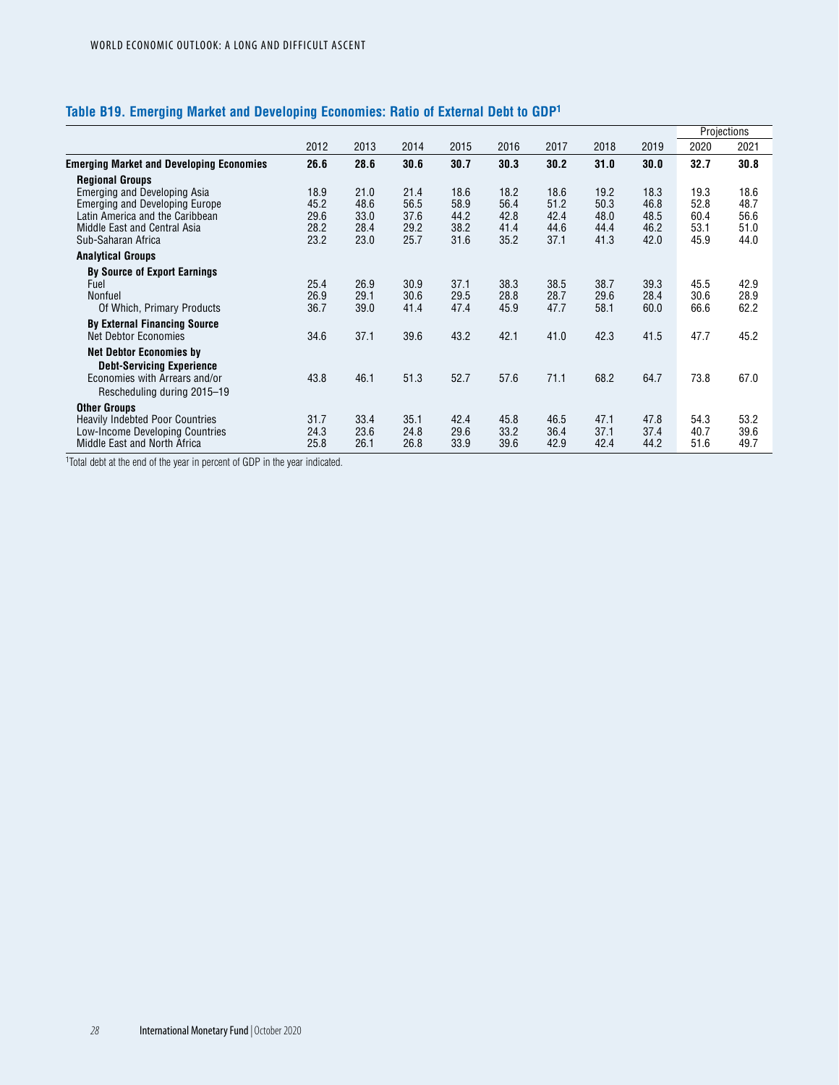# **Table B19. Emerging Market and Developing Economies: Ratio of External Debt to GDP1**

|                                                    |      |      |              |              |              |              |              |              |              | Projections  |
|----------------------------------------------------|------|------|--------------|--------------|--------------|--------------|--------------|--------------|--------------|--------------|
|                                                    | 2012 | 2013 | 2014         | 2015         | 2016         | 2017         | 2018         | 2019         | 2020         | 2021         |
| <b>Emerging Market and Developing Economies</b>    | 26.6 | 28.6 | 30.6         | 30.7         | 30.3         | 30.2         | 31.0         | 30.0         | 32.7         | 30.8         |
| <b>Regional Groups</b>                             |      |      |              |              |              |              |              |              |              |              |
| Emerging and Developing Asia                       | 18.9 | 21.0 | 21.4         | 18.6         | 18.2         | 18.6         | 19.2         | 18.3         | 19.3         | 18.6         |
| <b>Emerging and Developing Europe</b>              | 45.2 | 48.6 | 56.5         | 58.9         | 56.4         | 51.2         | 50.3         | 46.8         | 52.8         | 48.7         |
| Latin America and the Caribbean                    | 29.6 | 33.0 | 37.6         | 44.2         | 42.8         | 42.4         | 48.0         | 48.5         | 60.4         | 56.6         |
| Middle East and Central Asia<br>Sub-Saharan Africa | 28.2 | 28.4 | 29.2<br>25.7 | 38.2<br>31.6 | 41.4<br>35.2 | 44.6<br>37.1 | 44.4<br>41.3 | 46.2<br>42.0 | 53.1<br>45.9 | 51.0<br>44.0 |
|                                                    | 23.2 | 23.0 |              |              |              |              |              |              |              |              |
| <b>Analytical Groups</b>                           |      |      |              |              |              |              |              |              |              |              |
| <b>By Source of Export Earnings</b>                |      |      |              |              |              |              |              |              |              |              |
| Fuel                                               | 25.4 | 26.9 | 30.9         | 37.1         | 38.3         | 38.5         | 38.7         | 39.3         | 45.5         | 42.9         |
| Nonfuel                                            | 26.9 | 29.1 | 30.6         | 29.5         | 28.8         | 28.7         | 29.6         | 28.4         | 30.6         | 28.9         |
| Of Which, Primary Products                         | 36.7 | 39.0 | 41.4         | 47.4         | 45.9         | 47.7         | 58.1         | 60.0         | 66.6         | 62.2         |
| <b>By External Financing Source</b>                |      |      |              |              |              |              |              |              |              |              |
| Net Debtor Economies                               | 34.6 | 37.1 | 39.6         | 43.2         | 42.1         | 41.0         | 42.3         | 41.5         | 47.7         | 45.2         |
| <b>Net Debtor Economies by</b>                     |      |      |              |              |              |              |              |              |              |              |
| <b>Debt-Servicing Experience</b>                   |      |      |              |              |              |              |              |              |              |              |
| Economies with Arrears and/or                      | 43.8 | 46.1 | 51.3         | 52.7         | 57.6         | 71.1         | 68.2         | 64.7         | 73.8         | 67.0         |
| Rescheduling during 2015-19                        |      |      |              |              |              |              |              |              |              |              |
| <b>Other Groups</b>                                |      |      |              |              |              |              |              |              |              |              |
| <b>Heavily Indebted Poor Countries</b>             | 31.7 | 33.4 | 35.1         | 42.4         | 45.8         | 46.5         | 47.1         | 47.8         | 54.3         | 53.2         |
| Low-Income Developing Countries                    | 24.3 | 23.6 | 24.8         | 29.6         | 33.2         | 36.4         | 37.1         | 37.4         | 40.7         | 39.6         |
| Middle East and North Africa                       | 25.8 | 26.1 | 26.8         | 33.9         | 39.6         | 42.9         | 42.4         | 44.2         | 51.6         | 49.7         |

1Total debt at the end of the year in percent of GDP in the year indicated.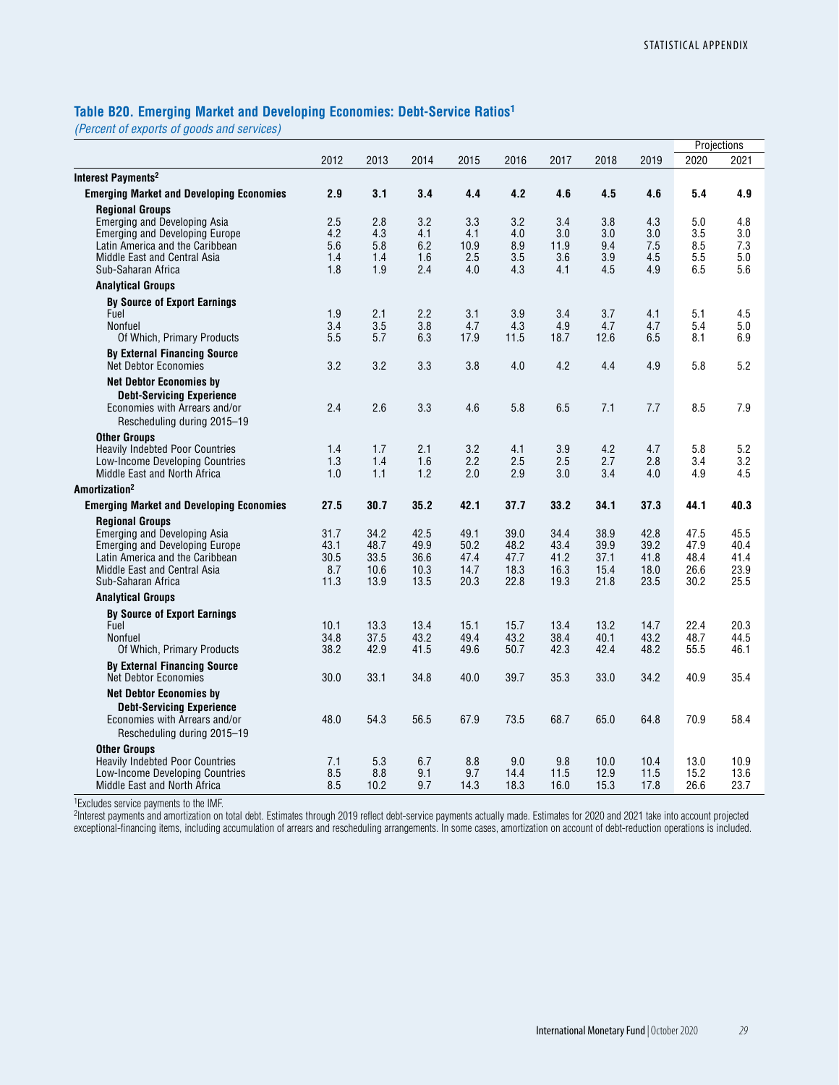### **Table B20. Emerging Market and Developing Economies: Debt-Service Ratios1**

*(Percent of exports of goods and services)*

|                                                 |      |      |      |      |      |      |      |      | Projections |      |  |
|-------------------------------------------------|------|------|------|------|------|------|------|------|-------------|------|--|
|                                                 | 2012 | 2013 | 2014 | 2015 | 2016 | 2017 | 2018 | 2019 | 2020        | 2021 |  |
| Interest Payments <sup>2</sup>                  |      |      |      |      |      |      |      |      |             |      |  |
| <b>Emerging Market and Developing Economies</b> | 2.9  | 3.1  | 3.4  | 4.4  | 4.2  | 4.6  | 4.5  | 4.6  | 5.4         | 4.9  |  |
| <b>Regional Groups</b>                          |      |      |      |      |      |      |      |      |             |      |  |
| Emerging and Developing Asia                    | 2.5  | 2.8  | 3.2  | 3.3  | 3.2  | 3.4  | 3.8  | 4.3  | 5.0         | 4.8  |  |
| Emerging and Developing Europe                  | 4.2  | 4.3  | 4.1  | 4.1  | 4.0  | 3.0  | 3.0  | 3.0  | 3.5         | 3.0  |  |
| Latin America and the Caribbean                 | 5.6  | 5.8  | 6.2  | 10.9 | 8.9  | 11.9 | 9.4  | 7.5  | 8.5         | 7.3  |  |
| Middle East and Central Asia                    | 1.4  | 1.4  | 1.6  | 2.5  | 3.5  | 3.6  | 3.9  | 4.5  | 5.5         | 5.0  |  |
| Sub-Saharan Africa                              | 1.8  | 1.9  | 2.4  | 4.0  | 4.3  | 4.1  | 4.5  | 4.9  | 6.5         | 5.6  |  |
| <b>Analytical Groups</b>                        |      |      |      |      |      |      |      |      |             |      |  |
| <b>By Source of Export Earnings</b>             |      |      |      |      |      |      |      |      |             |      |  |
| Fuel                                            | 1.9  | 2.1  | 2.2  | 3.1  | 3.9  | 3.4  | 3.7  | 4.1  | 5.1         | 4.5  |  |
| <b>Nonfuel</b>                                  | 3.4  | 3.5  | 3.8  | 4.7  | 4.3  | 4.9  | 4.7  | 4.7  | 5.4         | 5.0  |  |
| Of Which, Primary Products                      | 5.5  | 5.7  | 6.3  | 17.9 | 11.5 | 18.7 | 12.6 | 6.5  | 8.1         | 6.9  |  |
| <b>By External Financing Source</b>             |      |      |      |      |      |      |      |      |             |      |  |
| Net Debtor Economies                            | 3.2  | 3.2  | 3.3  | 3.8  | 4.0  | 4.2  | 4.4  | 4.9  | 5.8         | 5.2  |  |
| <b>Net Debtor Economies by</b>                  |      |      |      |      |      |      |      |      |             |      |  |
| <b>Debt-Servicing Experience</b>                |      |      |      |      |      |      |      |      |             |      |  |
| Economies with Arrears and/or                   | 2.4  | 2.6  | 3.3  | 4.6  | 5.8  | 6.5  | 7.1  | 7.7  | 8.5         | 7.9  |  |
| Rescheduling during 2015-19                     |      |      |      |      |      |      |      |      |             |      |  |
| <b>Other Groups</b>                             |      |      |      |      |      |      |      |      |             |      |  |
| <b>Heavily Indebted Poor Countries</b>          | 1.4  | 1.7  | 2.1  | 3.2  | 4.1  | 3.9  | 4.2  | 4.7  | 5.8         | 5.2  |  |
| Low-Income Developing Countries                 | 1.3  | 1.4  | 1.6  | 2.2  | 2.5  | 2.5  | 2.7  | 2.8  | 3.4         | 3.2  |  |
| Middle East and North Africa                    | 1.0  | 1.1  | 1.2  | 2.0  | 2.9  | 3.0  | 3.4  | 4.0  | 4.9         | 4.5  |  |
| Amortization <sup>2</sup>                       |      |      |      |      |      |      |      |      |             |      |  |
| <b>Emerging Market and Developing Economies</b> | 27.5 | 30.7 | 35.2 | 42.1 | 37.7 | 33.2 | 34.1 | 37.3 | 44.1        | 40.3 |  |
| <b>Regional Groups</b>                          |      |      |      |      |      |      |      |      |             |      |  |
| Emerging and Developing Asia                    | 31.7 | 34.2 | 42.5 | 49.1 | 39.0 | 34.4 | 38.9 | 42.8 | 47.5        | 45.5 |  |
| <b>Emerging and Developing Europe</b>           | 43.1 | 48.7 | 49.9 | 50.2 | 48.2 | 43.4 | 39.9 | 39.2 | 47.9        | 40.4 |  |
| Latin America and the Caribbean                 | 30.5 | 33.5 | 36.6 | 47.4 | 47.7 | 41.2 | 37.1 | 41.8 | 48.4        | 41.4 |  |
| Middle East and Central Asia                    | 8.7  | 10.6 | 10.3 | 14.7 | 18.3 | 16.3 | 15.4 | 18.0 | 26.6        | 23.9 |  |
| Sub-Saharan Africa                              | 11.3 | 13.9 | 13.5 | 20.3 | 22.8 | 19.3 | 21.8 | 23.5 | 30.2        | 25.5 |  |
| <b>Analytical Groups</b>                        |      |      |      |      |      |      |      |      |             |      |  |
| <b>By Source of Export Earnings</b>             |      |      |      |      |      |      |      |      |             |      |  |
| Fuel                                            | 10.1 | 13.3 | 13.4 | 15.1 | 15.7 | 13.4 | 13.2 | 14.7 | 22.4        | 20.3 |  |
| <b>Nonfuel</b>                                  | 34.8 | 37.5 | 43.2 | 49.4 | 43.2 | 38.4 | 40.1 | 43.2 | 48.7        | 44.5 |  |
| Of Which, Primary Products                      | 38.2 | 42.9 | 41.5 | 49.6 | 50.7 | 42.3 | 42.4 | 48.2 | 55.5        | 46.1 |  |
| <b>By External Financing Source</b>             |      |      |      |      |      |      |      |      |             |      |  |
| <b>Net Debtor Economies</b>                     | 30.0 | 33.1 | 34.8 | 40.0 | 39.7 | 35.3 | 33.0 | 34.2 | 40.9        | 35.4 |  |
| <b>Net Debtor Economies by</b>                  |      |      |      |      |      |      |      |      |             |      |  |
| <b>Debt-Servicing Experience</b>                |      |      |      |      |      |      |      |      |             |      |  |
| Economies with Arrears and/or                   | 48.0 | 54.3 | 56.5 | 67.9 | 73.5 | 68.7 | 65.0 | 64.8 | 70.9        | 58.4 |  |
| Rescheduling during 2015-19                     |      |      |      |      |      |      |      |      |             |      |  |
| <b>Other Groups</b>                             |      |      |      |      |      |      |      |      |             |      |  |
| <b>Heavily Indebted Poor Countries</b>          | 7.1  | 5.3  | 6.7  | 8.8  | 9.0  | 9.8  | 10.0 | 10.4 | 13.0        | 10.9 |  |
| Low-Income Developing Countries                 | 8.5  | 8.8  | 9.1  | 9.7  | 14.4 | 11.5 | 12.9 | 11.5 | 15.2        | 13.6 |  |
| Middle East and North Africa                    | 8.5  | 10.2 | 9.7  | 14.3 | 18.3 | 16.0 | 15.3 | 17.8 | 26.6        | 23.7 |  |

1Excludes service payments to the IMF.

2Interest payments and amortization on total debt. Estimates through 2019 reflect debt-service payments actually made. Estimates for 2020 and 2021 take into account projected exceptional-financing items, including accumulation of arrears and rescheduling arrangements. In some cases, amortization on account of debt-reduction operations is included.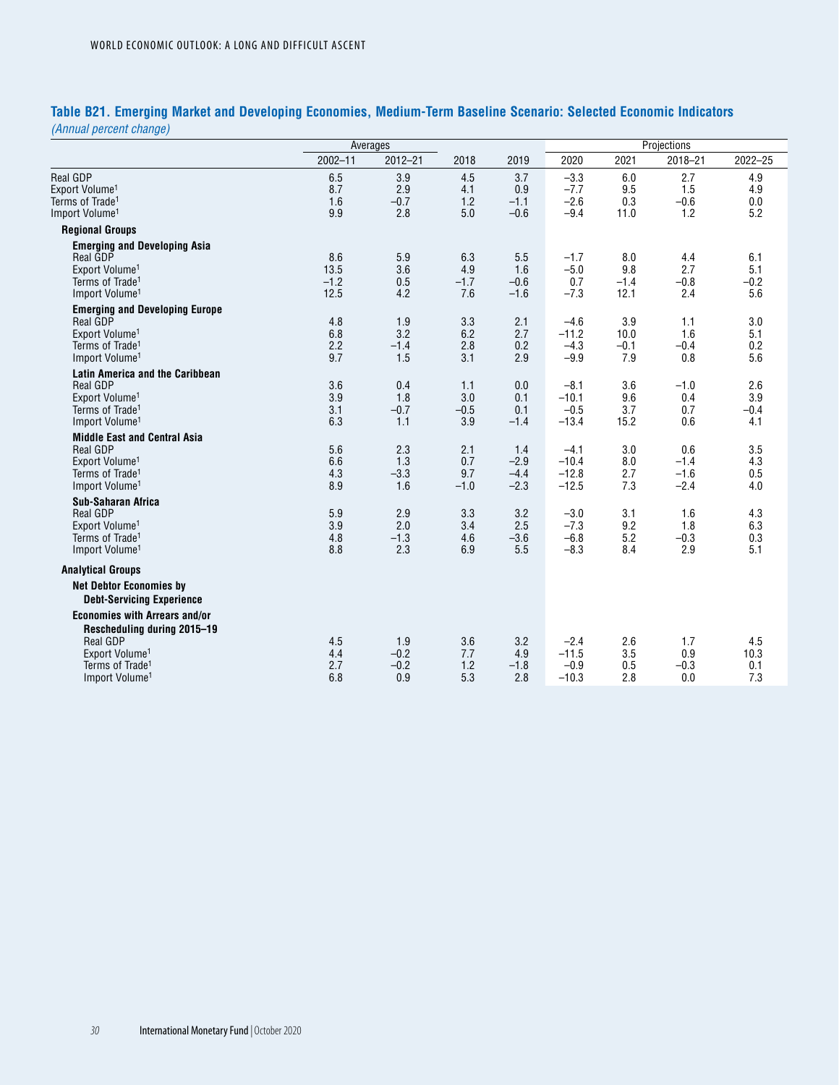### **Table B21. Emerging Market and Developing Economies, Medium-Term Baseline Scenario: Selected Economic Indicators** *(Annual percent change)*

|                                                                                                                                                                            |                               | Averages                       |                             | Projections                       |                                         |                              |                                   |                             |  |
|----------------------------------------------------------------------------------------------------------------------------------------------------------------------------|-------------------------------|--------------------------------|-----------------------------|-----------------------------------|-----------------------------------------|------------------------------|-----------------------------------|-----------------------------|--|
|                                                                                                                                                                            | $2002 - 11$                   | $2012 - 21$                    | 2018                        | 2019                              | 2020                                    | 2021                         | 2018-21                           | 2022-25                     |  |
| Real GDP<br>Export Volume <sup>1</sup><br>Terms of Trade <sup>1</sup><br>Import Volume <sup>1</sup>                                                                        | 6.5<br>8.7<br>1.6<br>9.9      | 3.9<br>2.9<br>$-0.7$<br>2.8    | 4.5<br>4.1<br>1.2<br>5.0    | 3.7<br>0.9<br>$-1.1$<br>$-0.6$    | $-3.3$<br>$-7.7$<br>$-2.6$<br>$-9.4$    | 6.0<br>9.5<br>0.3<br>11.0    | 2.7<br>1.5<br>$-0.6$<br>1.2       | 4.9<br>4.9<br>0.0<br>5.2    |  |
| <b>Regional Groups</b>                                                                                                                                                     |                               |                                |                             |                                   |                                         |                              |                                   |                             |  |
| <b>Emerging and Developing Asia</b><br>Real GDP<br>Export Volume <sup>1</sup><br>Terms of Trade <sup>1</sup><br>Import Volume <sup>1</sup>                                 | 8.6<br>13.5<br>$-1.2$<br>12.5 | 5.9<br>3.6<br>0.5<br>4.2       | 6.3<br>4.9<br>$-1.7$<br>7.6 | 5.5<br>1.6<br>$-0.6$<br>$-1.6$    | $-1.7$<br>$-5.0$<br>0.7<br>$-7.3$       | 8.0<br>9.8<br>$-1.4$<br>12.1 | 4.4<br>2.7<br>$-0.8$<br>2.4       | 6.1<br>5.1<br>$-0.2$<br>5.6 |  |
| <b>Emerging and Developing Europe</b><br><b>Real GDP</b><br>Export Volume <sup>1</sup><br>Terms of Trade <sup>1</sup><br>Import Volume <sup>1</sup>                        | 4.8<br>6.8<br>2.2<br>9.7      | 1.9<br>3.2<br>$-1.4$<br>1.5    | 3.3<br>6.2<br>2.8<br>3.1    | 2.1<br>2.7<br>0.2<br>2.9          | $-4.6$<br>$-11.2$<br>$-4.3$<br>$-9.9$   | 3.9<br>10.0<br>$-0.1$<br>7.9 | 1.1<br>1.6<br>$-0.4$<br>0.8       | 3.0<br>5.1<br>0.2<br>5.6    |  |
| <b>Latin America and the Caribbean</b><br><b>Real GDP</b><br>Export Volume <sup>1</sup><br>Terms of Trade <sup>1</sup><br>Import Volume <sup>1</sup>                       | 3.6<br>3.9<br>3.1<br>6.3      | 0.4<br>1.8<br>$-0.7$<br>1.1    | 1.1<br>3.0<br>$-0.5$<br>3.9 | 0.0<br>0.1<br>0.1<br>$-1.4$       | $-8.1$<br>$-10.1$<br>$-0.5$<br>$-13.4$  | 3.6<br>9.6<br>3.7<br>15.2    | $-1.0$<br>0.4<br>0.7<br>0.6       | 2.6<br>3.9<br>$-0.4$<br>4.1 |  |
| <b>Middle East and Central Asia</b><br>Real GDP<br>Export Volume <sup>1</sup><br>Terms of Trade <sup>1</sup><br>Import Volume <sup>1</sup>                                 | 5.6<br>6.6<br>4.3<br>8.9      | 2.3<br>1.3<br>$-3.3$<br>1.6    | 2.1<br>0.7<br>9.7<br>$-1.0$ | 1.4<br>$-2.9$<br>$-4.4$<br>$-2.3$ | $-4.1$<br>$-10.4$<br>$-12.8$<br>$-12.5$ | 3.0<br>8.0<br>2.7<br>7.3     | 0.6<br>$-1.4$<br>$-1.6$<br>$-2.4$ | 3.5<br>4.3<br>0.5<br>4.0    |  |
| Sub-Saharan Africa<br>Real GDP<br>Export Volume <sup>1</sup><br>Terms of Trade <sup>1</sup><br>Import Volume <sup>1</sup>                                                  | 5.9<br>3.9<br>4.8<br>8.8      | 2.9<br>2.0<br>$-1.3$<br>2.3    | 3.3<br>3.4<br>4.6<br>6.9    | 3.2<br>2.5<br>$-3.6$<br>5.5       | $-3.0$<br>$-7.3$<br>$-6.8$<br>$-8.3$    | 3.1<br>9.2<br>5.2<br>8.4     | 1.6<br>1.8<br>$-0.3$<br>2.9       | 4.3<br>6.3<br>0.3<br>5.1    |  |
| <b>Analytical Groups</b><br><b>Net Debtor Economies by</b><br><b>Debt-Servicing Experience</b>                                                                             |                               |                                |                             |                                   |                                         |                              |                                   |                             |  |
| <b>Economies with Arrears and/or</b><br>Rescheduling during 2015-19<br>Real GDP<br>Export Volume <sup>1</sup><br>Terms of Trade <sup>1</sup><br>Import Volume <sup>1</sup> | 4.5<br>4.4<br>2.7<br>6.8      | 1.9<br>$-0.2$<br>$-0.2$<br>0.9 | 3.6<br>7.7<br>1.2<br>5.3    | 3.2<br>4.9<br>$-1.8$<br>2.8       | $-2.4$<br>$-11.5$<br>$-0.9$<br>$-10.3$  | 2.6<br>3.5<br>0.5<br>2.8     | 1.7<br>0.9<br>$-0.3$<br>0.0       | 4.5<br>10.3<br>0.1<br>7.3   |  |